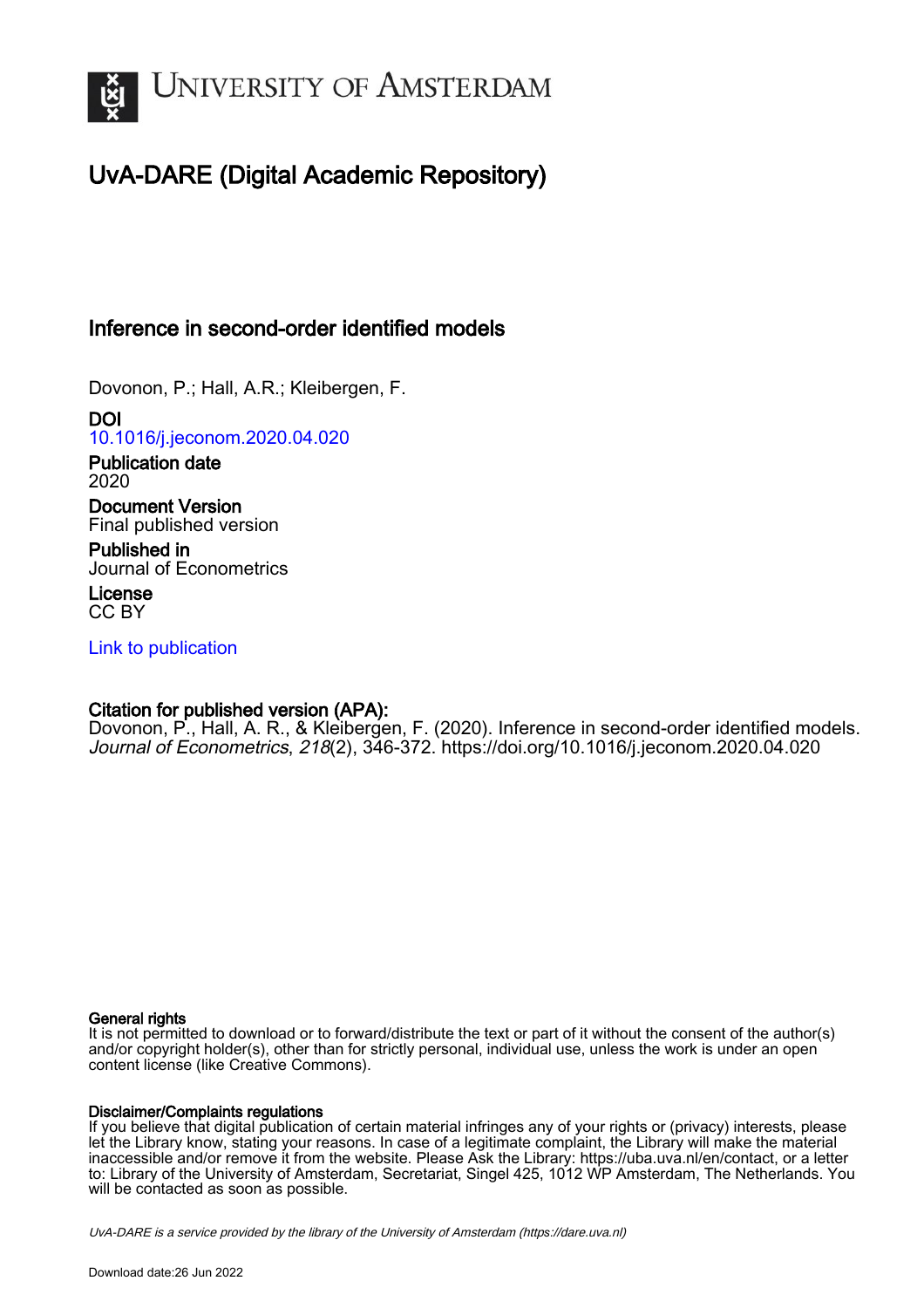

# UvA-DARE (Digital Academic Repository)

## Inference in second-order identified models

Dovonon, P.; Hall, A.R.; Kleibergen, F.

DOI [10.1016/j.jeconom.2020.04.020](https://doi.org/10.1016/j.jeconom.2020.04.020)

Publication date 2020

Document Version Final published version

Published in Journal of Econometrics

License CC BY

[Link to publication](https://dare.uva.nl/personal/pure/en/publications/inference-in-secondorder-identified-models(65bc3210-6005-49dc-8051-7212da09bcd4).html)

## Citation for published version (APA):

Dovonon, P., Hall, A. R., & Kleibergen, F. (2020). Inference in second-order identified models. Journal of Econometrics, 218(2), 346-372.<https://doi.org/10.1016/j.jeconom.2020.04.020>

### General rights

It is not permitted to download or to forward/distribute the text or part of it without the consent of the author(s) and/or copyright holder(s), other than for strictly personal, individual use, unless the work is under an open content license (like Creative Commons).

### Disclaimer/Complaints regulations

If you believe that digital publication of certain material infringes any of your rights or (privacy) interests, please let the Library know, stating your reasons. In case of a legitimate complaint, the Library will make the material inaccessible and/or remove it from the website. Please Ask the Library: https://uba.uva.nl/en/contact, or a letter to: Library of the University of Amsterdam, Secretariat, Singel 425, 1012 WP Amsterdam, The Netherlands. You will be contacted as soon as possible.

UvA-DARE is a service provided by the library of the University of Amsterdam (http*s*://dare.uva.nl)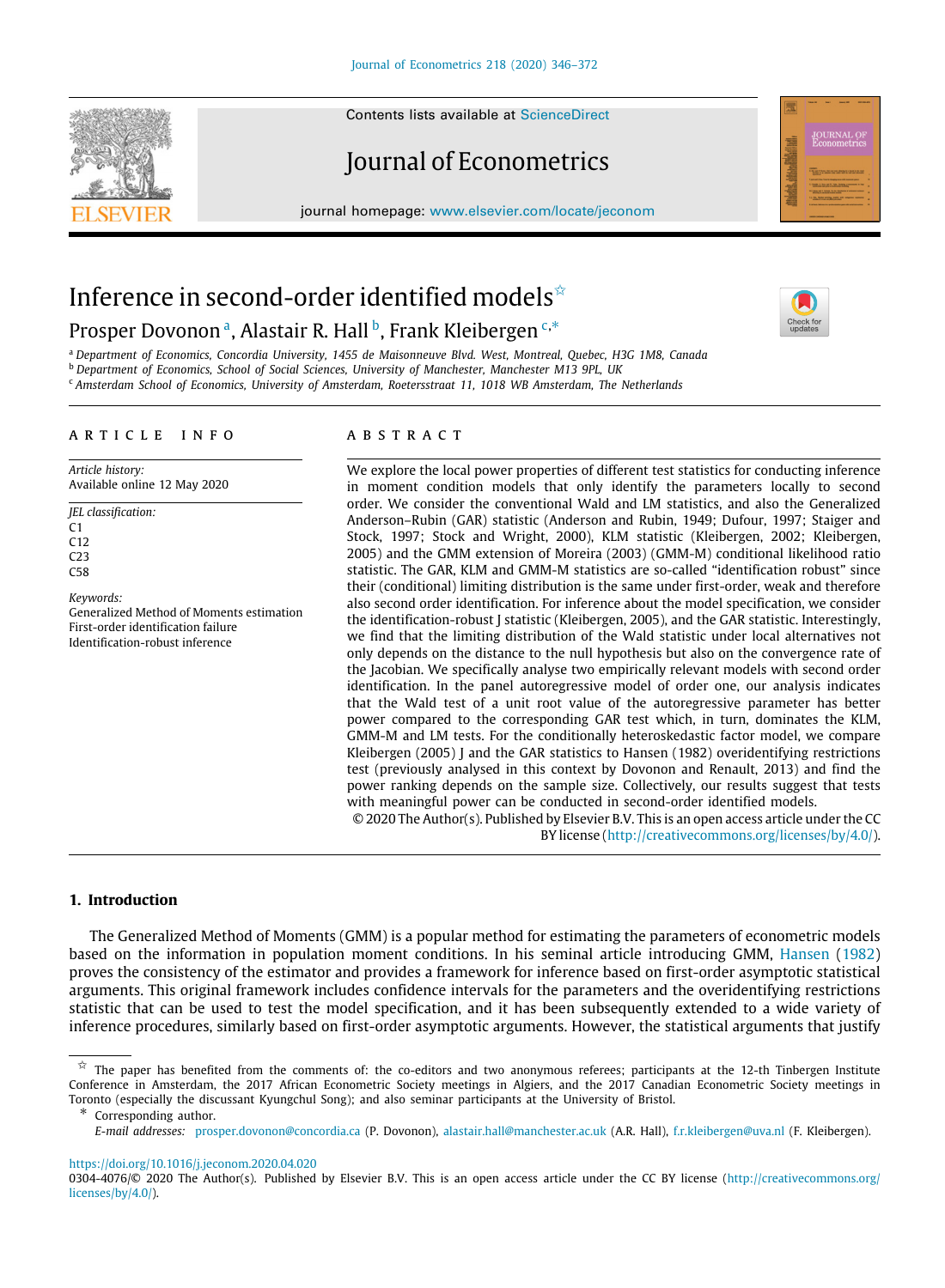Contents lists available at [ScienceDirect](http://www.elsevier.com/locate/jeconom)

# Journal of Econometrics

journal homepage: [www.elsevier.com/locate/jeconom](http://www.elsevier.com/locate/jeconom)





# Inference in second-order identified models<sup> $\star$ </sup> Prosper Dovononª, Al[a](#page-1-1)stair R. Hall <sup>[b](#page-1-2)</sup>, Frank Kleibergen <sup>[c](#page-1-3),\*</sup>



<span id="page-1-3"></span><span id="page-1-2"></span><span id="page-1-1"></span><sup>a</sup> *Department of Economics, Concordia University, 1455 de Maisonneuve Blvd. West, Montreal, Quebec, H3G 1M8, Canada* <sup>b</sup> *Department of Economics, School of Social Sciences, University of Manchester, Manchester M13 9PL, UK* <sup>c</sup> *Amsterdam School of Economics, University of Amsterdam, Roetersstraat 11, 1018 WB Amsterdam, The Netherlands*

### a r t i c l e i n f o

*Article history:* Available online 12 May 2020

*JEL classification:*  $C<sub>1</sub>$  $C<sub>12</sub>$  $C23$  $C58$ 

*Keywords:* Generalized Method of Moments estimation First-order identification failure Identification-robust inference

### a b s t r a c t

We explore the local power properties of different test statistics for conducting inference in moment condition models that only identify the parameters locally to second order. We consider the conventional Wald and LM statistics, and also the Generalized Anderson–Rubin (GAR) statistic (Anderson and Rubin, 1949; Dufour, 1997; Staiger and Stock, 1997; Stock and Wright, 2000), KLM statistic (Kleibergen, 2002; Kleibergen, 2005) and the GMM extension of Moreira (2003) (GMM-M) conditional likelihood ratio statistic. The GAR, KLM and GMM-M statistics are so-called "identification robust" since their (conditional) limiting distribution is the same under first-order, weak and therefore also second order identification. For inference about the model specification, we consider the identification-robust J statistic (Kleibergen, 2005), and the GAR statistic. Interestingly, we find that the limiting distribution of the Wald statistic under local alternatives not only depends on the distance to the null hypothesis but also on the convergence rate of the Jacobian. We specifically analyse two empirically relevant models with second order identification. In the panel autoregressive model of order one, our analysis indicates that the Wald test of a unit root value of the autoregressive parameter has better power compared to the corresponding GAR test which, in turn, dominates the KLM, GMM-M and LM tests. For the conditionally heteroskedastic factor model, we compare Kleibergen (2005) J and the GAR statistics to Hansen (1982) overidentifying restrictions test (previously analysed in this context by Dovonon and Renault, 2013) and find the power ranking depends on the sample size. Collectively, our results suggest that tests with meaningful power can be conducted in second-order identified models.

© 2020 The Author(s). Published by Elsevier B.V. This is an open access article under the CC BY license [\(http://creativecommons.org/licenses/by/4.0/](http://creativecommons.org/licenses/by/4.0/)).

### **1. Introduction**

The Generalized Method of Moments (GMM) is a popular method for estimating the parameters of econometric models based on the information in population moment conditions. In his seminal article introducing GMM, [Hansen](#page-27-0) [\(1982](#page-27-0)) proves the consistency of the estimator and provides a framework for inference based on first-order asymptotic statistical arguments. This original framework includes confidence intervals for the parameters and the overidentifying restrictions statistic that can be used to test the model specification, and it has been subsequently extended to a wide variety of inference procedures, similarly based on first-order asymptotic arguments. However, the statistical arguments that justify

<https://doi.org/10.1016/j.jeconom.2020.04.020>

<span id="page-1-0"></span> $\hat{\varphi}$  The paper has benefited from the comments of: the co-editors and two anonymous referees; participants at the 12-th Tinbergen Institute Conference in Amsterdam, the 2017 African Econometric Society meetings in Algiers, and the 2017 Canadian Econometric Society meetings in Toronto (especially the discussant Kyungchul Song); and also seminar participants at the University of Bristol.

<span id="page-1-4"></span>Corresponding author.

*E-mail addresses:* [prosper.dovonon@concordia.ca](mailto:prosper.dovonon@concordia.ca) (P. Dovonon), [alastair.hall@manchester.ac.uk](mailto:alastair.hall@manchester.ac.uk) (A.R. Hall), [f.r.kleibergen@uva.nl](mailto:f.r.kleibergen@uva.nl) (F. Kleibergen).

<sup>0304-4076/© 2020</sup> The Author(s). Published by Elsevier B.V. This is an open access article under the CC BY license [\(http://creativecommons.org/](http://creativecommons.org/licenses/by/4.0/) [licenses/by/4.0/\)](http://creativecommons.org/licenses/by/4.0/).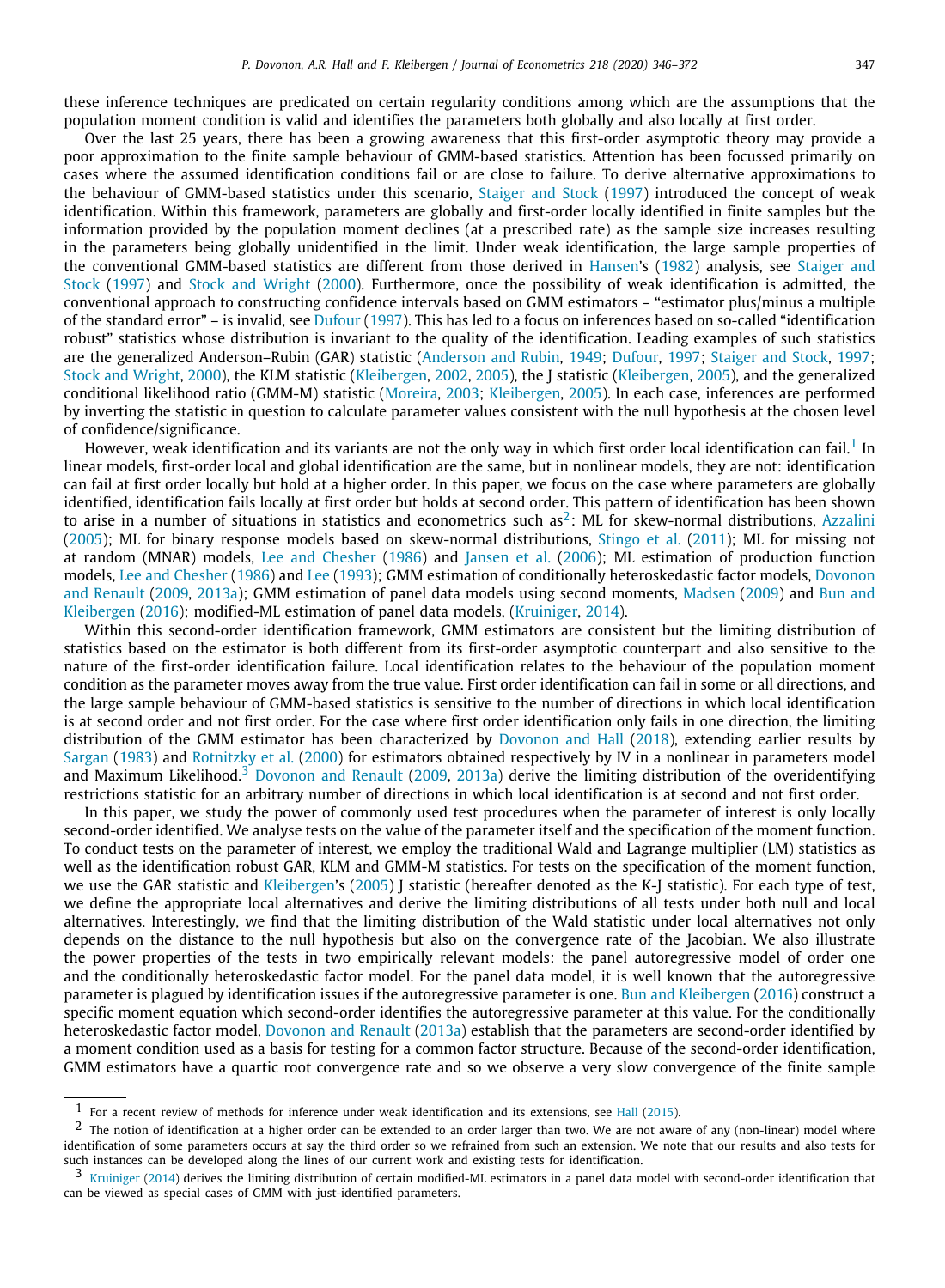these inference techniques are predicated on certain regularity conditions among which are the assumptions that the population moment condition is valid and identifies the parameters both globally and also locally at first order.

Over the last 25 years, there has been a growing awareness that this first-order asymptotic theory may provide a poor approximation to the finite sample behaviour of GMM-based statistics. Attention has been focussed primarily on cases where the assumed identification conditions fail or are close to failure. To derive alternative approximations to the behaviour of GMM-based statistics under this scenario, [Staiger and Stock](#page-27-1) ([1997\)](#page-27-1) introduced the concept of weak identification. Within this framework, parameters are globally and first-order locally identified in finite samples but the information provided by the population moment declines (at a prescribed rate) as the sample size increases resulting in the parameters being globally unidentified in the limit. Under weak identification, the large sample properties of the conventional GMM-based statistics are different from those derived in [Hansen](#page-27-0)'s ([1982](#page-27-0)) analysis, see [Staiger and](#page-27-1) [Stock](#page-27-1) ([1997\)](#page-27-1) and [Stock and Wright](#page-27-2) ([2000](#page-27-2)). Furthermore, once the possibility of weak identification is admitted, the conventional approach to constructing confidence intervals based on GMM estimators – "estimator plus/minus a multiple of the standard error" – is invalid, see [Dufour](#page-27-3) ([1997](#page-27-3)). This has led to a focus on inferences based on so-called "identification robust" statistics whose distribution is invariant to the quality of the identification. Leading examples of such statistics are the generalized Anderson–Rubin (GAR) statistic [\(Anderson and Rubin,](#page-26-0) [1949;](#page-26-0) [Dufour,](#page-27-3) [1997;](#page-27-3) [Staiger and Stock](#page-27-1), [1997](#page-27-1); [Stock and Wright,](#page-27-2) [2000](#page-27-2)), the KLM statistic [\(Kleibergen](#page-27-4), [2002,](#page-27-4) [2005](#page-27-5)), the J statistic [\(Kleibergen](#page-27-5), [2005\)](#page-27-5), and the generalized conditional likelihood ratio (GMM-M) statistic ([Moreira](#page-27-6), [2003](#page-27-6); [Kleibergen](#page-27-5), [2005](#page-27-5)). In each case, inferences are performed by inverting the statistic in question to calculate parameter values consistent with the null hypothesis at the chosen level of confidence/significance.

<span id="page-2-1"></span><span id="page-2-0"></span>However, weak identification and its variants are not the only way in which first order local identification can fail.<sup>[1](#page-2-0)</sup> In linear models, first-order local and global identification are the same, but in nonlinear models, they are not: identification can fail at first order locally but hold at a higher order. In this paper, we focus on the case where parameters are globally identified, identification fails locally at first order but holds at second order. This pattern of identification has been shown to arise in a number of situations in statistics and econometrics such  $as^2$  $as^2$ : ML for skew-normal distributions, [Azzalini](#page-27-7) ([2005](#page-27-7)); ML for binary response models based on skew-normal distributions, [Stingo et al.](#page-27-8) [\(2011\)](#page-27-8); ML for missing not at random (MNAR) models, [Lee and Chesher](#page-27-9) ([1986\)](#page-27-9) and [Jansen et al.](#page-27-10) ([2006\)](#page-27-10); ML estimation of production function models, [Lee and Chesher](#page-27-9) [\(1986\)](#page-27-9) and [Lee](#page-27-11) [\(1993](#page-27-11)); GMM estimation of conditionally heteroskedastic factor models, [Dovonon](#page-27-12) [and Renault](#page-27-12) [\(2009,](#page-27-12) [2013a](#page-27-13)); GMM estimation of panel data models using second moments, [Madsen](#page-27-14) ([2009\)](#page-27-14) and [Bun and](#page-27-15) [Kleibergen](#page-27-15) ([2016](#page-27-15)); modified-ML estimation of panel data models, ([Kruiniger,](#page-27-16) [2014\)](#page-27-16).

Within this second-order identification framework, GMM estimators are consistent but the limiting distribution of statistics based on the estimator is both different from its first-order asymptotic counterpart and also sensitive to the nature of the first-order identification failure. Local identification relates to the behaviour of the population moment condition as the parameter moves away from the true value. First order identification can fail in some or all directions, and the large sample behaviour of GMM-based statistics is sensitive to the number of directions in which local identification is at second order and not first order. For the case where first order identification only fails in one direction, the limiting distribution of the GMM estimator has been characterized by [Dovonon and Hall](#page-27-17) ([2018\)](#page-27-17), extending earlier results by [Sargan](#page-27-18) ([1983\)](#page-27-18) and [Rotnitzky et al.](#page-27-19) [\(2000\)](#page-27-19) for estimators obtained respectively by IV in a nonlinear in parameters model and Maximum Likelihood.<sup>[3](#page-2-2)</sup> [Dovonon and Renault](#page-27-12) ([2009,](#page-27-12) [2013a\)](#page-27-13) derive the limiting distribution of the overidentifying restrictions statistic for an arbitrary number of directions in which local identification is at second and not first order.

<span id="page-2-2"></span>In this paper, we study the power of commonly used test procedures when the parameter of interest is only locally second-order identified. We analyse tests on the value of the parameter itself and the specification of the moment function. To conduct tests on the parameter of interest, we employ the traditional Wald and Lagrange multiplier (LM) statistics as well as the identification robust GAR, KLM and GMM-M statistics. For tests on the specification of the moment function, we use the GAR statistic and [Kleibergen](#page-27-5)'s ([2005\)](#page-27-5) J statistic (hereafter denoted as the K-J statistic). For each type of test, we define the appropriate local alternatives and derive the limiting distributions of all tests under both null and local alternatives. Interestingly, we find that the limiting distribution of the Wald statistic under local alternatives not only depends on the distance to the null hypothesis but also on the convergence rate of the Jacobian. We also illustrate the power properties of the tests in two empirically relevant models: the panel autoregressive model of order one and the conditionally heteroskedastic factor model. For the panel data model, it is well known that the autoregressive parameter is plagued by identification issues if the autoregressive parameter is one. [Bun and Kleibergen](#page-27-15) ([2016\)](#page-27-15) construct a specific moment equation which second-order identifies the autoregressive parameter at this value. For the conditionally heteroskedastic factor model, [Dovonon and Renault](#page-27-13) [\(2013a\)](#page-27-13) establish that the parameters are second-order identified by a moment condition used as a basis for testing for a common factor structure. Because of the second-order identification, GMM estimators have a quartic root convergence rate and so we observe a very slow convergence of the finite sample

 $<sup>1</sup>$  For a recent review of methods for inference under weak identification and its extensions, see [Hall](#page-27-20) [\(2015](#page-27-20)).</sup>

 $<sup>2</sup>$  The notion of identification at a higher order can be extended to an order larger than two. We are not aware of any (non-linear) model where</sup> identification of some parameters occurs at say the third order so we refrained from such an extension. We note that our results and also tests for such instances can be developed along the lines of our current work and existing tests for identification.

 $3$  [Kruiniger](#page-27-16) ([2014\)](#page-27-16) derives the limiting distribution of certain modified-ML estimators in a panel data model with second-order identification that can be viewed as special cases of GMM with just-identified parameters.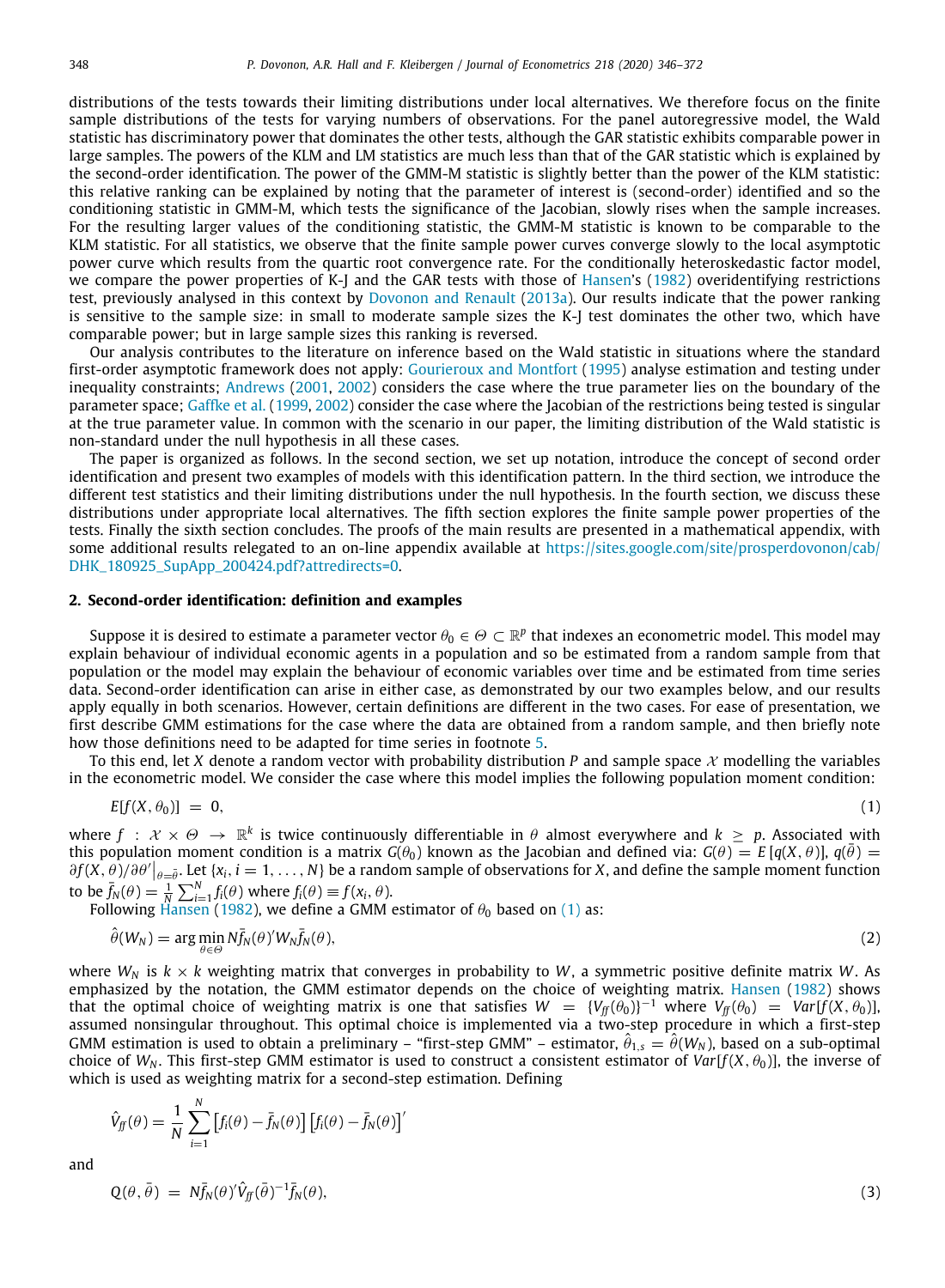distributions of the tests towards their limiting distributions under local alternatives. We therefore focus on the finite sample distributions of the tests for varying numbers of observations. For the panel autoregressive model, the Wald statistic has discriminatory power that dominates the other tests, although the GAR statistic exhibits comparable power in large samples. The powers of the KLM and LM statistics are much less than that of the GAR statistic which is explained by the second-order identification. The power of the GMM-M statistic is slightly better than the power of the KLM statistic: this relative ranking can be explained by noting that the parameter of interest is (second-order) identified and so the conditioning statistic in GMM-M, which tests the significance of the Jacobian, slowly rises when the sample increases. For the resulting larger values of the conditioning statistic, the GMM-M statistic is known to be comparable to the KLM statistic. For all statistics, we observe that the finite sample power curves converge slowly to the local asymptotic power curve which results from the quartic root convergence rate. For the conditionally heteroskedastic factor model, we compare the power properties of K-J and the GAR tests with those of [Hansen](#page-27-0)'s [\(1982](#page-27-0)) overidentifying restrictions test, previously analysed in this context by [Dovonon and Renault](#page-27-13) ([2013a](#page-27-13)). Our results indicate that the power ranking is sensitive to the sample size: in small to moderate sample sizes the K-J test dominates the other two, which have comparable power; but in large sample sizes this ranking is reversed.

Our analysis contributes to the literature on inference based on the Wald statistic in situations where the standard first-order asymptotic framework does not apply: [Gourieroux and Montfort](#page-27-21) ([1995\)](#page-27-21) analyse estimation and testing under inequality constraints; [Andrews](#page-26-1) [\(2001,](#page-26-1) [2002\)](#page-26-2) considers the case where the true parameter lies on the boundary of the parameter space; [Gaffke et al.](#page-27-22) ([1999,](#page-27-22) [2002](#page-27-23)) consider the case where the Jacobian of the restrictions being tested is singular at the true parameter value. In common with the scenario in our paper, the limiting distribution of the Wald statistic is non-standard under the null hypothesis in all these cases.

The paper is organized as follows. In the second section, we set up notation, introduce the concept of second order identification and present two examples of models with this identification pattern. In the third section, we introduce the different test statistics and their limiting distributions under the null hypothesis. In the fourth section, we discuss these distributions under appropriate local alternatives. The fifth section explores the finite sample power properties of the tests. Finally the sixth section concludes. The proofs of the main results are presented in a mathematical appendix, with some additional results relegated to an on-line appendix available at [https://sites.google.com/site/prosperdovonon/cab/](https://sites.google.com/site/prosperdovonon/cab/DHK_180925_SupApp_200424.pdf?attredirects=0) [DHK\\_180925\\_SupApp\\_200424.pdf?attredirects=0.](https://sites.google.com/site/prosperdovonon/cab/DHK_180925_SupApp_200424.pdf?attredirects=0)

### **2. Second-order identification: definition and examples**

<span id="page-3-2"></span>Suppose it is desired to estimate a parameter vector  $\theta_0\in\Theta\subset\R^p$  that indexes an econometric model. This model may explain behaviour of individual economic agents in a population and so be estimated from a random sample from that population or the model may explain the behaviour of economic variables over time and be estimated from time series data. Second-order identification can arise in either case, as demonstrated by our two examples below, and our results apply equally in both scenarios. However, certain definitions are different in the two cases. For ease of presentation, we first describe GMM estimations for the case where the data are obtained from a random sample, and then briefly note how those definitions need to be adapted for time series in footnote [5](#page-4-0).

To this end, let *X* denote a random vector with probability distribution *P* and sample space  $X$  modelling the variables in the econometric model. We consider the case where this model implies the following population moment condition:

<span id="page-3-0"></span>
$$
E[f(X, \theta_0)] = 0, \tag{1}
$$

where  $f\,:\,\mathcal{X}\times\varTheta\,\to\,\mathbb{R}^k$  is twice continuously differentiable in  $\theta$  almost everywhere and  $k\,\geq\,p$ . Associated with this population moment condition is a matrix  $G(\theta_0)$  known as the Jacobian and defined via:  $G(\theta) = E[q(X, \theta)], q(\bar{\theta}) =$  $\partial f(X,\theta)/\partial\theta'\big|_{\theta=\bar{\theta}}$ . Let {*x<sub>i</sub>*, *i* = 1, ..., *N*} be a random sample of observations for *X*, and define the sample moment function to be  $\bar{f}_N(\theta) = \frac{1}{N} \sum_{i=1}^N f_i(\theta)$  where  $f_i(\theta) \equiv f(x_i, \theta)$ .

Following [Hansen](#page-27-0) ([1982\)](#page-27-0), we define a GMM estimator of  $\theta_0$  based on ([1](#page-3-0)) as:

$$
\hat{\theta}(W_N) = \arg\min_{\theta \in \Theta} N \bar{f}_N(\theta)' W_N \bar{f}_N(\theta), \tag{2}
$$

where  $W_N$  is  $k \times k$  weighting matrix that converges in probability to W, a symmetric positive definite matrix W. As emphasized by the notation, the GMM estimator depends on the choice of weighting matrix. [Hansen](#page-27-0) ([1982](#page-27-0)) shows that the optimal choice of weighting matrix is one that satisfies  $W = \{V_f(\theta_0)\}^{-1}$  where  $V_f(\theta_0) = Var[f(X, \theta_0)]$ , assumed nonsingular throughout. This optimal choice is implemented via a two-step procedure in which a first-step  $GMM$  estimation is used to obtain a preliminary – "first-step  $GMM''$  – estimator,  $\hat{\theta}_{1,s} = \hat{\theta}(W_N)$ , based on a sub-optimal choice of  $W_N$ . This first-step GMM estimator is used to construct a consistent estimator of  $Var[f(X, \theta_0)]$ , the inverse of which is used as weighting matrix for a second-step estimation. Defining

$$
\hat{V}_{ff}(\theta) = \frac{1}{N} \sum_{i=1}^{N} \left[ f_i(\theta) - \bar{f}_N(\theta) \right] \left[ f_i(\theta) - \bar{f}_N(\theta) \right]'
$$

and

<span id="page-3-1"></span>
$$
Q(\theta, \bar{\theta}) = N \bar{f}_N(\theta)' \hat{V}_{ff} (\bar{\theta})^{-1} \bar{f}_N(\theta), \qquad (3)
$$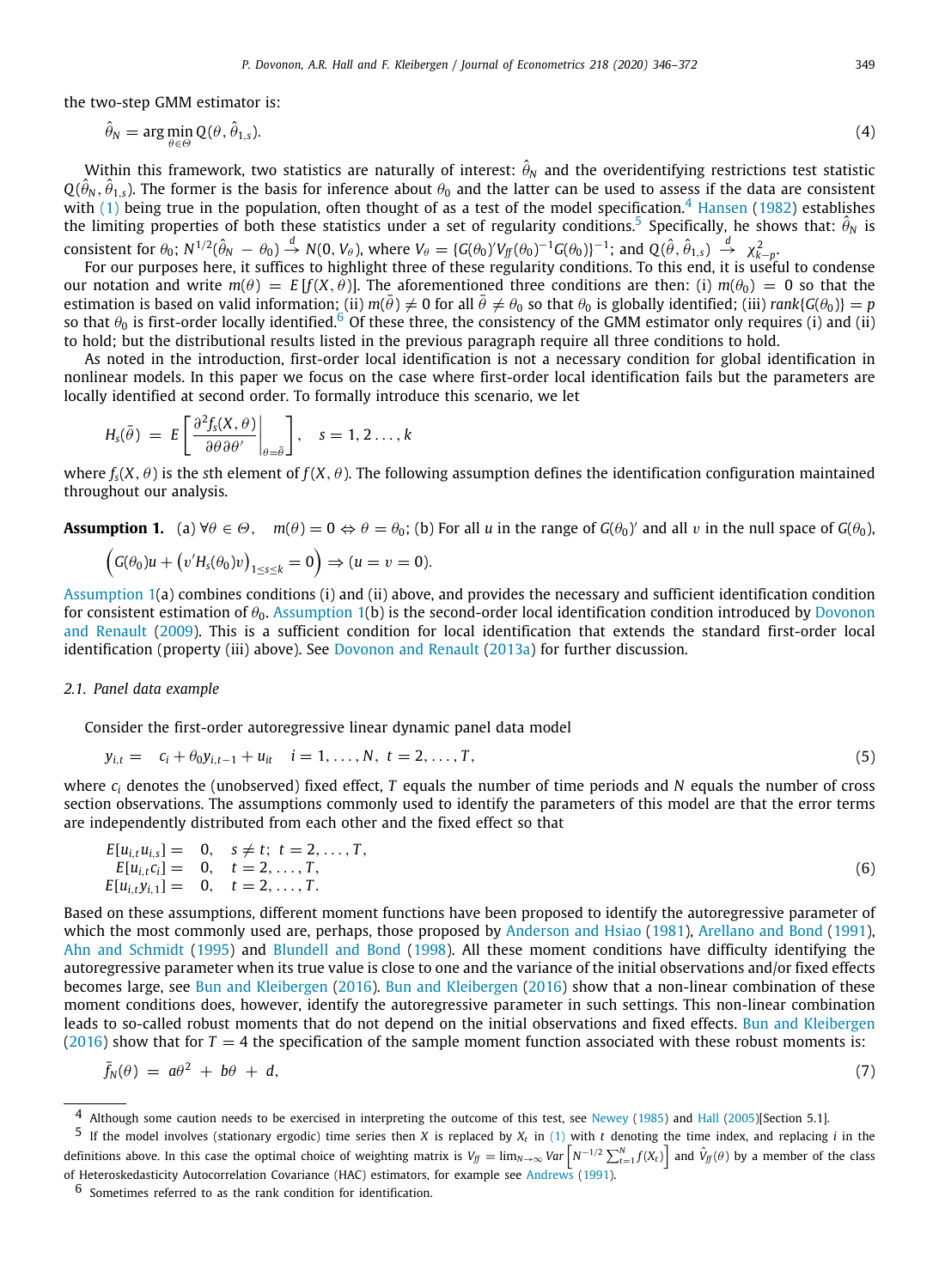the two-step GMM estimator is:

<span id="page-4-1"></span><span id="page-4-0"></span>
$$
\hat{\theta}_N = \arg\min_{\theta \in \Theta} Q(\theta, \hat{\theta}_{1,s}).
$$
\n(4)

Within this framework, two statistics are naturally of interest:  $\hat \theta_N$  and the overidentifying restrictions test statistic  $Q(\hat{\theta}_N, \hat{\theta}_{1,s})$ . The former is the basis for inference about  $\theta_0$  and the latter can be used to assess if the data are consistent with ([1\)](#page-3-0) being true in the population, often thought of as a test of the model specification.<sup>[4](#page-4-1)</sup> [Hansen](#page-27-0) [\(1982](#page-27-0)) establishes the limiting properties of both these statistics under a set of regularity conditions.<sup>[5](#page-4-0)</sup> Specifically, he shows that:  $\hat{\theta}_N$  is consistent for  $\theta_0$ ;  $N^{1/2}(\hat{\theta}_N - \theta_0) \stackrel{d}{\rightarrow} N(0, V_\theta)$ , where  $V_\theta = \{G(\theta_0)'V_{ff}(\theta_0)^{-1}G(\theta_0)\}^{-1}$ ; and  $Q(\hat{\theta}, \hat{\theta}_{1, s}) \stackrel{d}{\rightarrow} \chi^2_{k-p}$ .

For our purposes here, it suffices to highlight three of these regularity conditions. To this end, it is useful to condense our notation and write  $m(\theta) = E[f(X, \theta)]$ . The aforementioned three conditions are then: (i)  $m(\theta_0) = 0$  so that the estimation is based on valid information; (ii)  $m(\bar{\theta}) \neq 0$  for all  $\bar{\theta} \neq \theta_0$  so that  $\theta_0$  is globally identified; (iii) *rank*{*G*( $\theta_0$ )} = *p* so that  $\theta_0$  is first-order locally identified.<sup>[6](#page-4-2)</sup> Of these three, the consistency of the GMM estimator only requires (i) and (ii) to hold; but the distributional results listed in the previous paragraph require all three conditions to hold.

As noted in the introduction, first-order local identification is not a necessary condition for global identification in nonlinear models. In this paper we focus on the case where first-order local identification fails but the parameters are locally identified at second order. To formally introduce this scenario, we let

<span id="page-4-2"></span>
$$
H_{\rm s}(\bar{\theta})\ =\ E\left[\left.\frac{\partial^2 f_{\rm s}(X,\theta)}{\partial \theta \partial \theta'}\right|_{\theta=\bar{\theta}}\right],\quad s=1,2\ldots,k
$$

where  $f_s(X, \theta)$  is the *s*th element of  $f(X, \theta)$ . The following assumption defines the identification configuration maintained throughout our analysis.

<span id="page-4-3"></span>**Assumption 1.** (a)  $\forall \theta \in \Theta$ ,  $m(\theta) = 0 \Leftrightarrow \theta = \theta_0$ ; (b) For all *u* in the range of  $G(\theta_0)'$  and all *v* in the null space of  $G(\theta_0)$ ,

$$
(G(\theta_0)u + (v'H_s(\theta_0)v)_{1 \leq s \leq k} = 0) \Rightarrow (u = v = 0).
$$

[Assumption](#page-4-3) [1\(](#page-4-3)a) combines conditions (i) and (ii) above, and provides the necessary and sufficient identification condition for consistent estimation of  $\theta_0$ . [Assumption](#page-4-3) [1](#page-4-3)(b) is the second-order local identification condition introduced by [Dovonon](#page-27-12) [and Renault](#page-27-12) [\(2009](#page-27-12)). This is a sufficient condition for local identification that extends the standard first-order local identification (property (iii) above). See [Dovonon and Renault](#page-27-13) [\(2013a\)](#page-27-13) for further discussion.

### *2.1. Panel data example*

<span id="page-4-5"></span>Consider the first-order autoregressive linear dynamic panel data model

$$
y_{i,t} = c_i + \theta_0 y_{i,t-1} + u_{it} \quad i = 1, ..., N, \ t = 2, ..., T,
$$
\n(5)

where *c<sup>i</sup>* denotes the (unobserved) fixed effect, *T* equals the number of time periods and *N* equals the number of cross section observations. The assumptions commonly used to identify the parameters of this model are that the error terms are independently distributed from each other and the fixed effect so that

$$
E[u_{i,t}u_{i,s}] = 0, \quad s \neq t; \quad t = 2, ..., T,\nE[u_{i,t}c_i] = 0, \quad t = 2, ..., T,\nE[u_{i,t}y_{i,1}] = 0, \quad t = 2, ..., T.
$$
\n(6)

Based on these assumptions, different moment functions have been proposed to identify the autoregressive parameter of which the most commonly used are, perhaps, those proposed by [Anderson and Hsiao](#page-26-3) ([1981\)](#page-26-3), [Arellano and Bond](#page-26-4) [\(1991](#page-26-4)), [Ahn and Schmidt](#page-26-5) [\(1995](#page-26-5)) and [Blundell and Bond](#page-27-24) [\(1998](#page-27-24)). All these moment conditions have difficulty identifying the autoregressive parameter when its true value is close to one and the variance of the initial observations and/or fixed effects becomes large, see [Bun and Kleibergen](#page-27-15) [\(2016](#page-27-15)). [Bun and Kleibergen](#page-27-15) ([2016\)](#page-27-15) show that a non-linear combination of these moment conditions does, however, identify the autoregressive parameter in such settings. This non-linear combination leads to so-called robust moments that do not depend on the initial observations and fixed effects. [Bun and Kleibergen](#page-27-15) ([2016](#page-27-15)) show that for  $T = 4$  the specification of the sample moment function associated with these robust moments is:

<span id="page-4-4"></span>
$$
\bar{f}_N(\theta) = a\theta^2 + b\theta + d,\tag{7}
$$

<sup>4</sup> Although some caution needs to be exercised in interpreting the outcome of this test, see [Newey](#page-27-25) [\(1985\)](#page-27-25) and [Hall](#page-27-26) ([2005](#page-27-26))[Section 5.1].

 $^5$  If the model involves (stationary ergodic) time series then *X* is replaced by  $X_t$  in [\(1](#page-3-0)) with *t* denoting the time index, and replacing *i* in the definitions above. In this case the optimal choice of weighting matrix is  $V_{\bar{f}}=\lim_{N\to\infty}Var\left[N^{-1/2}\sum_{t=1}^Nf(X_t)\right]$  and  $\hat{V}_{\bar{f}f}(\theta)$  by a member of the class of Heteroskedasticity Autocorrelation Covariance (HAC) estimators, for example see [Andrews](#page-26-6) ([1991](#page-26-6)).

<sup>6</sup> Sometimes referred to as the rank condition for identification.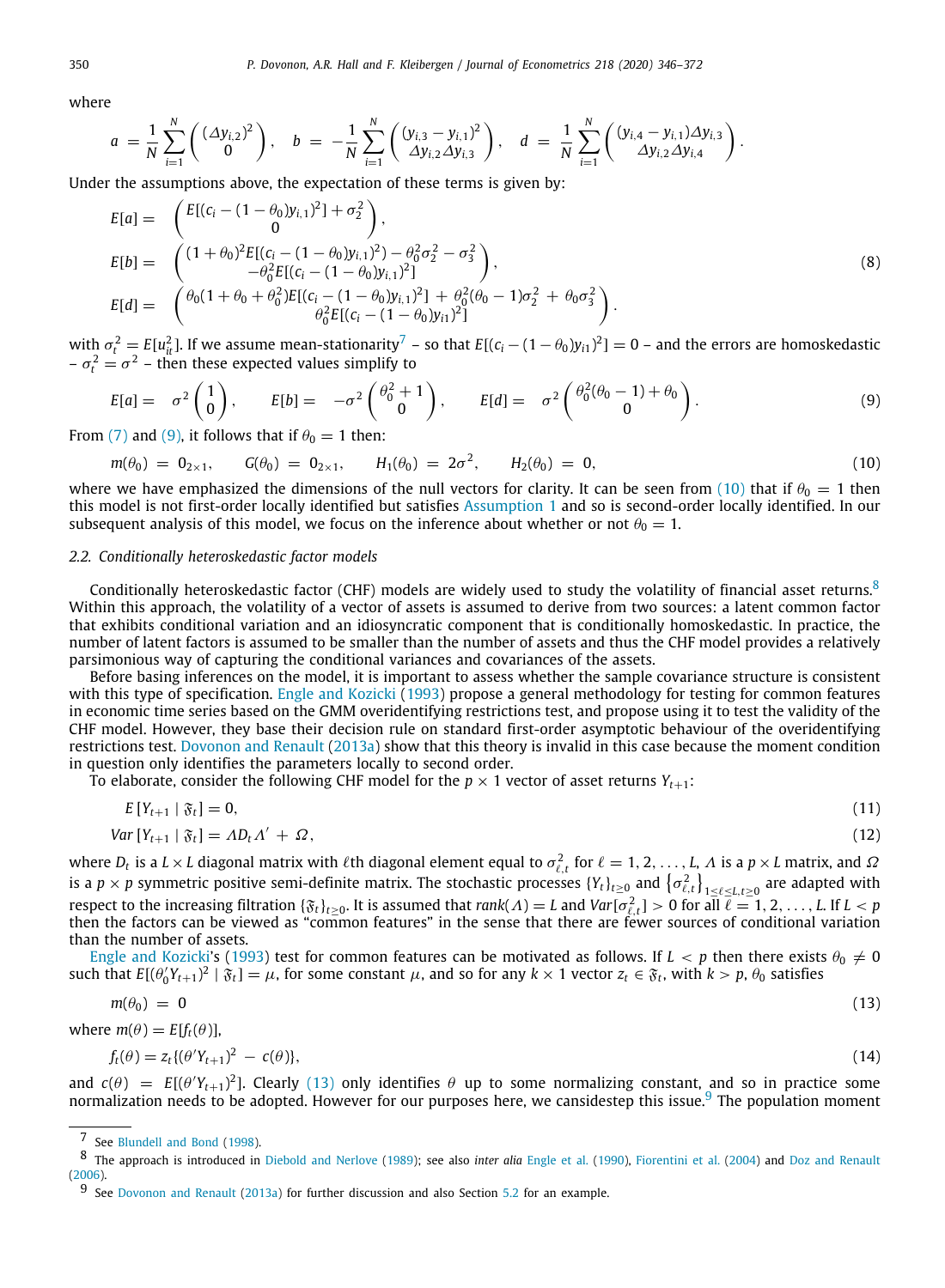where

$$
a = \frac{1}{N} \sum_{i=1}^{N} \begin{pmatrix} (\Delta y_{i,2})^2 \\ 0 \end{pmatrix}, \quad b = -\frac{1}{N} \sum_{i=1}^{N} \begin{pmatrix} (y_{i,3} - y_{i,1})^2 \\ \Delta y_{i,2} \Delta y_{i,3} \end{pmatrix}, \quad d = \frac{1}{N} \sum_{i=1}^{N} \begin{pmatrix} (y_{i,4} - y_{i,1}) \Delta y_{i,3} \\ \Delta y_{i,2} \Delta y_{i,4} \end{pmatrix}.
$$

Under the assumptions above, the expectation of these terms is given by:

$$
E[a] = \begin{pmatrix} E[(c_i - (1 - \theta_0)y_{i,1})^2] + \sigma_2^2 \\ 0 \\ E[b] = \begin{pmatrix} (1 + \theta_0)^2 E[(c_i - (1 - \theta_0)y_{i,1})^2) - \theta_0^2 \sigma_2^2 - \sigma_3^2 \\ -\theta_0^2 E[(c_i - (1 - \theta_0)y_{i,1})^2] \end{pmatrix}, \\ E[d] = \begin{pmatrix} \theta_0(1 + \theta_0 + \theta_0^2) E[(c_i - (1 - \theta_0)y_{i,1})^2] + \theta_0^2 (\theta_0 - 1)\sigma_2^2 + \theta_0 \sigma_3^2 \\ \theta_0^2 E[(c_i - (1 - \theta_0)y_{i,1})^2] \end{pmatrix}. \end{pmatrix}.
$$
\n
$$
(8)
$$

with  $\sigma_t^2 = E[u_{it}^2]$ . If we assume mean-stationarity<sup>[7](#page-5-0)</sup> – so that  $E[(c_i - (1 - \theta_0)y_{i1})^2] = 0$  – and the errors are homoskedastic  $-\sigma_t^2 = \sigma^2$  – then these expected values simplify to

<span id="page-5-1"></span><span id="page-5-0"></span>
$$
E[a] = \sigma^2 \begin{pmatrix} 1 \\ 0 \end{pmatrix}, \qquad E[b] = -\sigma^2 \begin{pmatrix} \theta_0^2 + 1 \\ 0 \end{pmatrix}, \qquad E[d] = \sigma^2 \begin{pmatrix} \theta_0^2 (\theta_0 - 1) + \theta_0 \\ 0 \end{pmatrix}.
$$
 (9)

From ([7](#page-4-4)) and [\(9](#page-5-1)), it follows that if  $\theta_0 = 1$  then:

<span id="page-5-3"></span><span id="page-5-2"></span>
$$
m(\theta_0) = 0_{2 \times 1}, \qquad G(\theta_0) = 0_{2 \times 1}, \qquad H_1(\theta_0) = 2\sigma^2, \qquad H_2(\theta_0) = 0,\tag{10}
$$

where we have emphasized the dimensions of the null vectors for clarity. It can be seen from ([10](#page-5-2)) that if  $\theta_0 = 1$  then this model is not first-order locally identified but satisfies [Assumption](#page-4-3) [1](#page-4-3) and so is second-order locally identified. In our subsequent analysis of this model, we focus on the inference about whether or not  $\theta_0 = 1$ .

### *2.2. Conditionally heteroskedastic factor models*

<span id="page-5-6"></span>Conditionally heteroskedastic factor (CHF) models are widely used to study the volatility of financial asset returns.<sup>[8](#page-5-3)</sup> Within this approach, the volatility of a vector of assets is assumed to derive from two sources: a latent common factor that exhibits conditional variation and an idiosyncratic component that is conditionally homoskedastic. In practice, the number of latent factors is assumed to be smaller than the number of assets and thus the CHF model provides a relatively parsimonious way of capturing the conditional variances and covariances of the assets.

Before basing inferences on the model, it is important to assess whether the sample covariance structure is consistent with this type of specification. [Engle and Kozicki](#page-27-27) [\(1993](#page-27-27)) propose a general methodology for testing for common features in economic time series based on the GMM overidentifying restrictions test, and propose using it to test the validity of the CHF model. However, they base their decision rule on standard first-order asymptotic behaviour of the overidentifying restrictions test. [Dovonon and Renault](#page-27-13) [\(2013a\)](#page-27-13) show that this theory is invalid in this case because the moment condition in question only identifies the parameters locally to second order.

To elaborate, consider the following CHF model for the  $p \times 1$  vector of asset returns  $Y_{t+1}$ :

<span id="page-5-7"></span>
$$
E[Y_{t+1} \mid \mathfrak{F}_t] = 0,\tag{11}
$$

$$
Var[Y_{t+1} | \mathfrak{F}_t] = AD_t \Lambda' + \Omega, \tag{12}
$$

where  $D_t$  is a  $L\times L$  diagonal matrix with  $\ell$ th diagonal element equal to  $\sigma^2_{\ell,t}$  for  $\ell=1,2,\ldots,L$ ,  $\Lambda$  is a  $p\times L$  matrix, and  $\Omega$ is a  $p\times p$  symmetric positive semi-definite matrix. The stochastic processes  $\{Y_t\}_{t\ge0}$  and  $\{\sigma^2_{\ell,t}\}_{1\le\ell\le L, t\ge0}$  are adapted with respect to the increasing filtration  $\{\mathfrak{F}_t\}_{t\geq0}$ . It is assumed that  $rank(\Lambda)=L$  and  $Var[\sigma_{\ell,t}^2]>0$  for all  $\overline{\ell}=1,2,\ldots,L$  If  $L< p$ then the factors can be viewed as "common features" in the sense that there are fewer sources of conditional variation than the number of assets.

[Engle and Kozicki](#page-27-27)'s [\(1993](#page-27-27)) test for common features can be motivated as follows. If  $L < p$  then there exists  $\theta_0 \neq 0$ such that *E*[(θ ′ 0 *Yt*+1) 2 | F*t*] = µ, for some constant µ, and so for any *k* × 1 vector *z<sup>t</sup>* ∈ F*<sup>t</sup>* , with *k* > *p*, θ<sup>0</sup> satisfies

$$
m(\theta_0) = 0 \tag{13}
$$

where  $m(\theta) = E[f_t(\theta)],$ 

<span id="page-5-5"></span><span id="page-5-4"></span>
$$
f_t(\theta) = z_t \{ (\theta' Y_{t+1})^2 - c(\theta) \}, \tag{14}
$$

and  $c(\theta) = E[(\theta'Y_{t+1})^2]$ . Clearly ([13\)](#page-5-4) only identifies  $\theta$  up to some normalizing constant, and so in practice some normalization needs to be adopted. However for our purposes here, we cansidestep this issue.<sup>[9](#page-5-5)</sup> The population moment

<sup>7</sup> See [Blundell and Bond](#page-27-24) [\(1998\)](#page-27-24).

<sup>8</sup> The approach is introduced in [Diebold and Nerlove](#page-27-28) ([1989](#page-27-28)); see also *inter alia* [Engle et al.](#page-27-29) [\(1990\)](#page-27-29), [Fiorentini et al.](#page-27-30) [\(2004\)](#page-27-30) and [Doz and Renault](#page-27-31) [\(2006\)](#page-27-31).

<sup>9</sup> See [Dovonon and Renault](#page-27-13) [\(2013a](#page-27-13)) for further discussion and also Section [5.2](#page-18-0) for an example.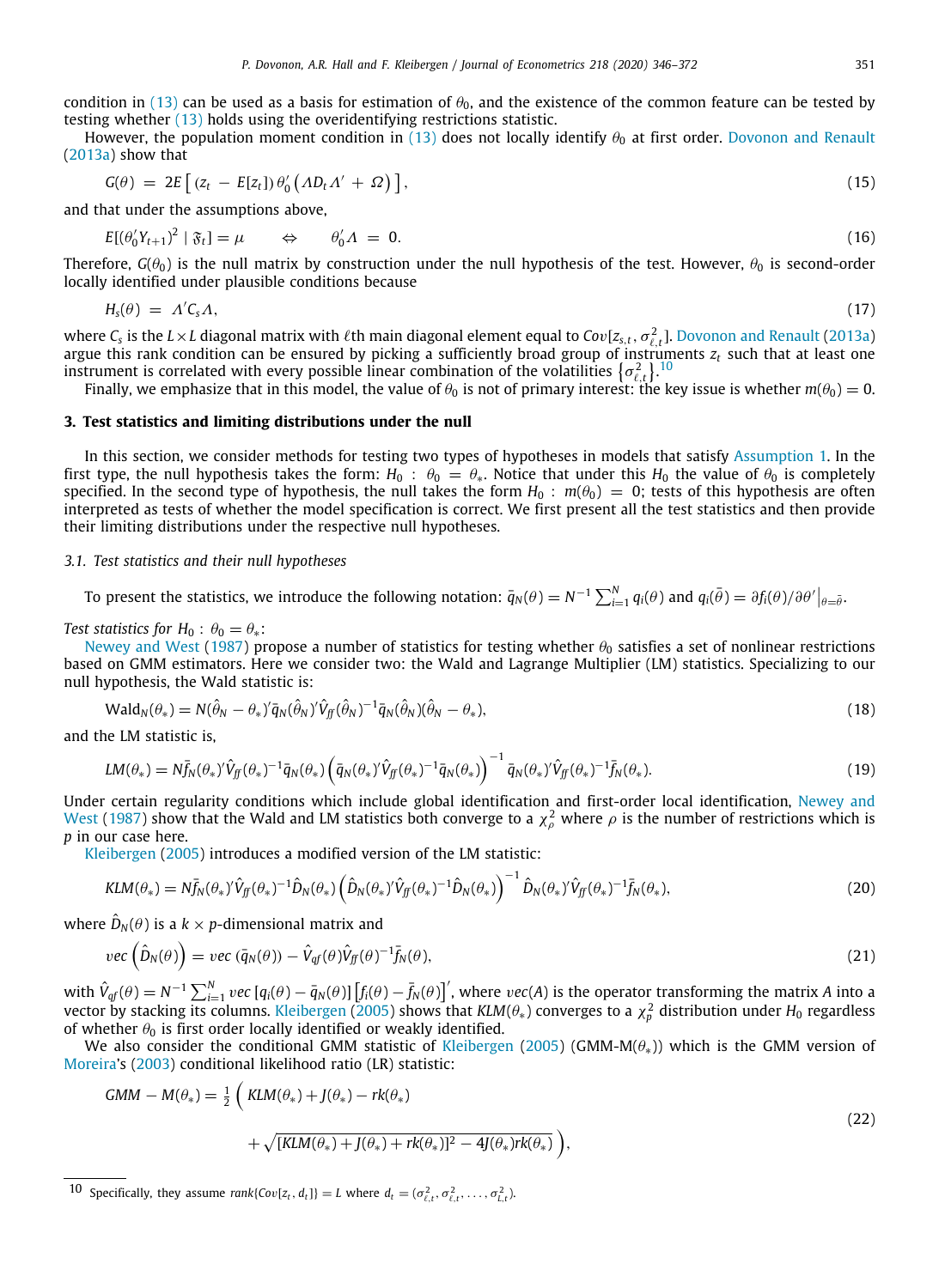condition in ([13](#page-5-4)) can be used as a basis for estimation of  $\theta_0$ , and the existence of the common feature can be tested by testing whether [\(13\)](#page-5-4) holds using the overidentifying restrictions statistic.

However, the population moment condition in ([13](#page-5-4)) does not locally identify  $\theta_0$  at first order. [Dovonon and Renault](#page-27-13) ([2013a](#page-27-13)) show that

$$
G(\theta) = 2E\left[ (z_t - E[z_t])\theta_0' \left( AD_t \Lambda' + \Omega \right) \right], \tag{15}
$$

and that under the assumptions above,

$$
E[(\theta_0'Y_{t+1})^2 \mid \mathfrak{F}_t] = \mu \qquad \Leftrightarrow \qquad \theta_0' \Lambda = 0. \tag{16}
$$

Therefore,  $G(\theta_0)$  is the null matrix by construction under the null hypothesis of the test. However,  $\theta_0$  is second-order locally identified under plausible conditions because

<span id="page-6-0"></span>
$$
H_{\rm s}(\theta) = \Lambda' C_{\rm s} \Lambda, \tag{17}
$$

where  $C_s$  is the  $L\times L$  diagonal matrix with  $\ell$ th main diagonal element equal to  $Cov[z_{s,t},\sigma_{\ell,t}^2]$ . [Dovonon and Renault](#page-27-13) ([2013a](#page-27-13)) argue this rank condition can be ensured by picking a sufficiently broad group of instruments *z<sup>t</sup>* such that at least one instrument is correlated with every possible linear combination of the volatilities  $\{\sigma_{\ell,t}^2\}$ .<sup>[10](#page-6-0)</sup>

Finally, we emphasize that in this model, the value of  $\theta_0$  is not of primary interest: the key issue is whether  $m(\theta_0) = 0$ .

### **3. Test statistics and limiting distributions under the null**

<span id="page-6-4"></span>In this section, we consider methods for testing two types of hypotheses in models that satisfy [Assumption](#page-4-3) [1.](#page-4-3) In the first type, the null hypothesis takes the form:  $H_0$ :  $\theta_0 = \theta_*$ . Notice that under this  $H_0$  the value of  $\theta_0$  is completely specified. In the second type of hypothesis, the null takes the form  $H_0$ :  $m(\theta_0) = 0$ ; tests of this hypothesis are often interpreted as tests of whether the model specification is correct. We first present all the test statistics and then provide their limiting distributions under the respective null hypotheses.

### *3.1. Test statistics and their null hypotheses*

<span id="page-6-1"></span>To present the statistics, we introduce the following notation:  $\bar{q}_N(\theta) = N^{-1} \sum_{i=1}^N q_i(\theta)$  and  $q_i(\bar{\theta}) = \partial f_i(\theta) / \partial \theta' \big|_{\theta = \bar{\theta}}$ .

*Test statistics for*  $H_0$  :  $\theta_0 = \theta_*$ :

[Newey and West](#page-27-32) [\(1987](#page-27-32)) propose a number of statistics for testing whether  $\theta_0$  satisfies a set of nonlinear restrictions based on GMM estimators. Here we consider two: the Wald and Lagrange Multiplier (LM) statistics. Specializing to our null hypothesis, the Wald statistic is:

<span id="page-6-2"></span>
$$
Wald_N(\theta_*) = N(\hat{\theta}_N - \theta_*)'\bar{q}_N(\hat{\theta}_N)'\hat{V}_{ff}(\hat{\theta}_N)^{-1}\bar{q}_N(\hat{\theta}_N)(\hat{\theta}_N - \theta_*),
$$
\n(18)

and the LM statistic is,

$$
LM(\theta_*) = N\overline{f}_N(\theta_*)'\hat{V}_{ff}(\theta_*)^{-1}\overline{q}_N(\theta_*)\left(\overline{q}_N(\theta_*)'\hat{V}_{ff}(\theta_*)^{-1}\overline{q}_N(\theta_*)\right)^{-1}\overline{q}_N(\theta_*)'\hat{V}_{ff}(\theta_*)^{-1}\overline{f}_N(\theta_*)
$$
\n(19)

Under certain regularity conditions which include global identification and first-order local identification, [Newey and](#page-27-32) [West](#page-27-32) [\(1987\)](#page-27-32) show that the Wald and LM statistics both converge to a  $\chi^2_\rho$  where  $\rho$  is the number of restrictions which is *p* in our case here.

[Kleibergen](#page-27-5) ([2005\)](#page-27-5) introduces a modified version of the LM statistic:

$$
KLM(\theta_*) = N\bar{f}_N(\theta_*)^{\prime}\hat{V}_{ff}(\theta_*)^{-1}\hat{D}_N(\theta_*)\left(\hat{D}_N(\theta_*)^{\prime}\hat{V}_{ff}(\theta_*)^{-1}\hat{D}_N(\theta_*)\right)^{-1}\hat{D}_N(\theta_*)^{\prime}\hat{V}_{ff}(\theta_*)^{-1}\bar{f}_N(\theta_*)
$$
\n(20)

where  $\hat{D}_N(\theta)$  is a  $k\times p$ -dimensional matrix and

<span id="page-6-3"></span>
$$
\text{vec}\left(\hat{D}_N(\theta)\right) = \text{vec}\left(\bar{q}_N(\theta)\right) - \hat{V}_{qf}(\theta)\hat{V}_{ff}(\theta)^{-1}\bar{f}_N(\theta),\tag{21}
$$

with  $\hat{V}_{qf}(\theta)=N^{-1}\sum_{i=1}^N vec\left[q_i(\theta)-\bar{q}_N(\theta)\right]\left[f_i(\theta)-\bar{f}_N(\theta)\right]^\prime$ , where  $vec(A)$  is the operator transforming the matrix A into a vector by stacking its columns. [Kleibergen](#page-27-5) [\(2005](#page-27-5)) shows that *KLM*(θ∗) converges to a χ 2 *p* distribution under *H*<sup>0</sup> regardless of whether  $\theta_0$  is first order locally identified or weakly identified.

We also consider the conditional GMM statistic of [Kleibergen](#page-27-5) [\(2005](#page-27-5)) (GMM-M( $\theta_*)$ ) which is the GMM version of [Moreira](#page-27-6)'s ([2003\)](#page-27-6) conditional likelihood ratio (LR) statistic:

$$
GMM - M(\theta_*) = \frac{1}{2} \left( KLM(\theta_*) + J(\theta_*) - rk(\theta_*)
$$
  
+  $\sqrt{[KLM(\theta_*) + J(\theta_*) + rk(\theta_*)]^2 - 4J(\theta_*)rk(\theta_*)}$  (22)

<sup>10</sup> Specifically, they assume  $rank\{Cov[z_t, d_t]\} = L$  where  $d_t = (\sigma_{\ell,t}^2, \sigma_{\ell,t}^2, \ldots, \sigma_{L,t}^2)$ .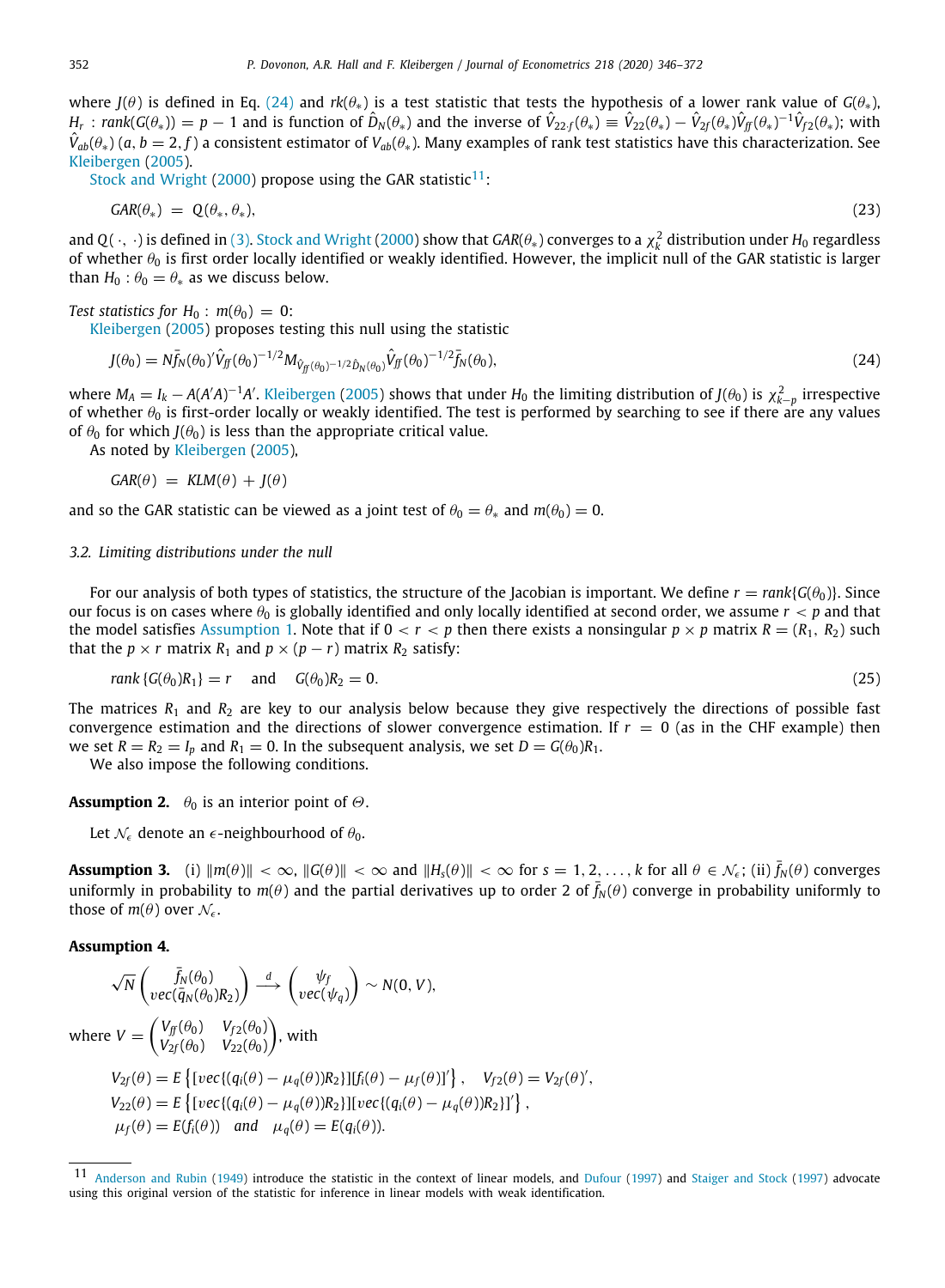where *J*( $\theta$ ) is defined in Eq. ([24](#page-7-0)) and *rk*( $\theta_*$ ) is a test statistic that tests the hypothesis of a lower rank value of  $G(\theta_*)$ ,  $H_r: rank(G(\theta_*)) = p-1$  and is function of  $\hat{D}_N(\theta_*)$  and the inverse of  $\hat{V}_{22f}(\theta_*) \equiv \hat{V}_{22}(\theta_*) - \hat{V}_{2f}(\theta_*)\hat{V}_{ff}(\theta_*)^{-1}\hat{V}_{f2}(\theta_*);$  with *V*ˆ *ab*(θ∗) (*a*, *b* = 2, *f* ) a consistent estimator of *Vab*(θ∗). Many examples of rank test statistics have this characterization. See [Kleibergen](#page-27-5) ([2005](#page-27-5)).

[Stock and Wright](#page-27-2) [\(2000](#page-27-2)) propose using the GAR statistic<sup>[11](#page-7-1)</sup>:

<span id="page-7-4"></span><span id="page-7-1"></span>
$$
GAR(\theta_*) = \mathbb{Q}(\theta_*, \theta_*) \tag{23}
$$

and Q(  $\cdot$  ,  $\cdot$ ) is defined in [\(3\)](#page-3-1). [Stock and Wright](#page-27-2) [\(2000](#page-27-2)) show that *GAR(* $\theta_*$ *) converges to a*  $\chi^2_k$  *distribution under*  $H_0$  *regardless* of whether  $\theta_0$  is first order locally identified or weakly identified. However, the implicit null of the GAR statistic is larger than  $H_0$ :  $\theta_0 = \theta_*$  as we discuss below.

### *Test statistics for*  $H_0$  :  $m(\theta_0) = 0$ :

[Kleibergen](#page-27-5) ([2005\)](#page-27-5) proposes testing this null using the statistic

<span id="page-7-0"></span>
$$
J(\theta_0) = N \bar{f}_N(\theta_0)^{\prime} \hat{V}_{ff}(\theta_0)^{-1/2} M_{\hat{V}_{ff}(\theta_0)^{-1/2} \hat{D}_N(\theta_0)} \hat{V}_{ff}(\theta_0)^{-1/2} \bar{f}_N(\theta_0), \tag{24}
$$

where  $M_A = I_k - A(A'A)^{-1}A'$ . [Kleibergen](#page-27-5) [\(2005](#page-27-5)) shows that under  $H_0$  the limiting distribution of *J*( $\theta_0$ ) is  $\chi^2_{k-p}$  irrespective of whether  $\theta_0$  is first-order locally or weakly identified. The test is performed by searching to see if there are any values of  $\theta_0$  for which *J*( $\theta_0$ ) is less than the appropriate critical value.

As noted by [Kleibergen](#page-27-5) ([2005\)](#page-27-5),

$$
GAR(\theta) = KLM(\theta) + J(\theta)
$$

and so the GAR statistic can be viewed as a joint test of  $\theta_0 = \theta_*$  and  $m(\theta_0) = 0$ .

### *3.2. Limiting distributions under the null*

For our analysis of both types of statistics, the structure of the Jacobian is important. We define  $r = rank{G(\theta_0)}$ . Since our focus is on cases where  $\theta_0$  is globally identified and only locally identified at second order, we assume  $r < p$  and that the model satisfies [Assumption](#page-4-3) [1](#page-4-3). Note that if  $0 < r < p$  then there exists a nonsingular  $p \times p$  matrix  $R = (R_1, R_2)$  such that the  $p \times r$  matrix  $R_1$  and  $p \times (p - r)$  matrix  $R_2$  satisfy:

<span id="page-7-6"></span><span id="page-7-5"></span>
$$
rank \{ G(\theta_0)R_1 \} = r \quad \text{and} \quad G(\theta_0)R_2 = 0. \tag{25}
$$

The matrices  $R_1$  and  $R_2$  are key to our analysis below because they give respectively the directions of possible fast convergence estimation and the directions of slower convergence estimation. If  $r = 0$  (as in the CHF example) then we set  $R = R_2 = I_p$  and  $R_1 = 0$ . In the subsequent analysis, we set  $D = G(\theta_0)R_1$ .

We also impose the following conditions.

**Assumption 2.**  $\theta_0$  is an interior point of  $\Theta$ .

<span id="page-7-3"></span>Let  $\mathcal{N}_{\epsilon}$  denote an  $\epsilon$ -neighbourhood of  $\theta_0$ .

**Assumption 3.** (i)  $||m(\theta)|| < \infty$ ,  $||G(\theta)|| < \infty$  and  $||H_s(\theta)|| < \infty$  for  $s = 1, 2, ..., k$  for all  $\theta \in \mathcal{N}_{\epsilon}$ ; (ii)  $\bar{f}_N(\theta)$  converges uniformly in probability to  $m(\theta)$  and the partial derivatives up to order 2 of  $\bar{f}_N(\theta)$  converge in probability uniformly to those of  $m(\theta)$  over  $\mathcal{N}_{\epsilon}$ .

### <span id="page-7-2"></span>**Assumption 4.**

$$
\sqrt{N} \begin{pmatrix} \bar{f}_N(\theta_0) \\ vec(\bar{q}_N(\theta_0) R_2) \end{pmatrix} \xrightarrow{d} \begin{pmatrix} \psi_f \\ vec(\psi_q) \end{pmatrix} \sim N(0, V),
$$
  
where  $V = \begin{pmatrix} V_{ff}(\theta_0) & V_{f2}(\theta_0) \\ V_{2f}(\theta_0) & V_{22}(\theta_0) \end{pmatrix}$ , with  

$$
V_{2f}(\theta) = E \left\{ [vec((q_i(\theta) - \mu_q(\theta))R_2] | [f_i(\theta) - \mu_f(\theta)]' \right\}, \quad V_{f2}(\theta) = V_{2f}(\theta)',
$$

$$
V_{22}(\theta) = E \left\{ [vec((q_i(\theta) - \mu_q(\theta))R_2] | [vec((q_i(\theta) - \mu_q(\theta))R_2]'] \right\},
$$

$$
\mu_f(\theta) = E(f_i(\theta)) \quad \text{and} \quad \mu_q(\theta) = E(q_i(\theta)).
$$

[Anderson and Rubin](#page-26-0) ([1949](#page-26-0)) introduce the statistic in the context of linear models, and [Dufour](#page-27-3) ([1997\)](#page-27-3) and [Staiger and Stock](#page-27-1) [\(1997\)](#page-27-1) advocate using this original version of the statistic for inference in linear models with weak identification.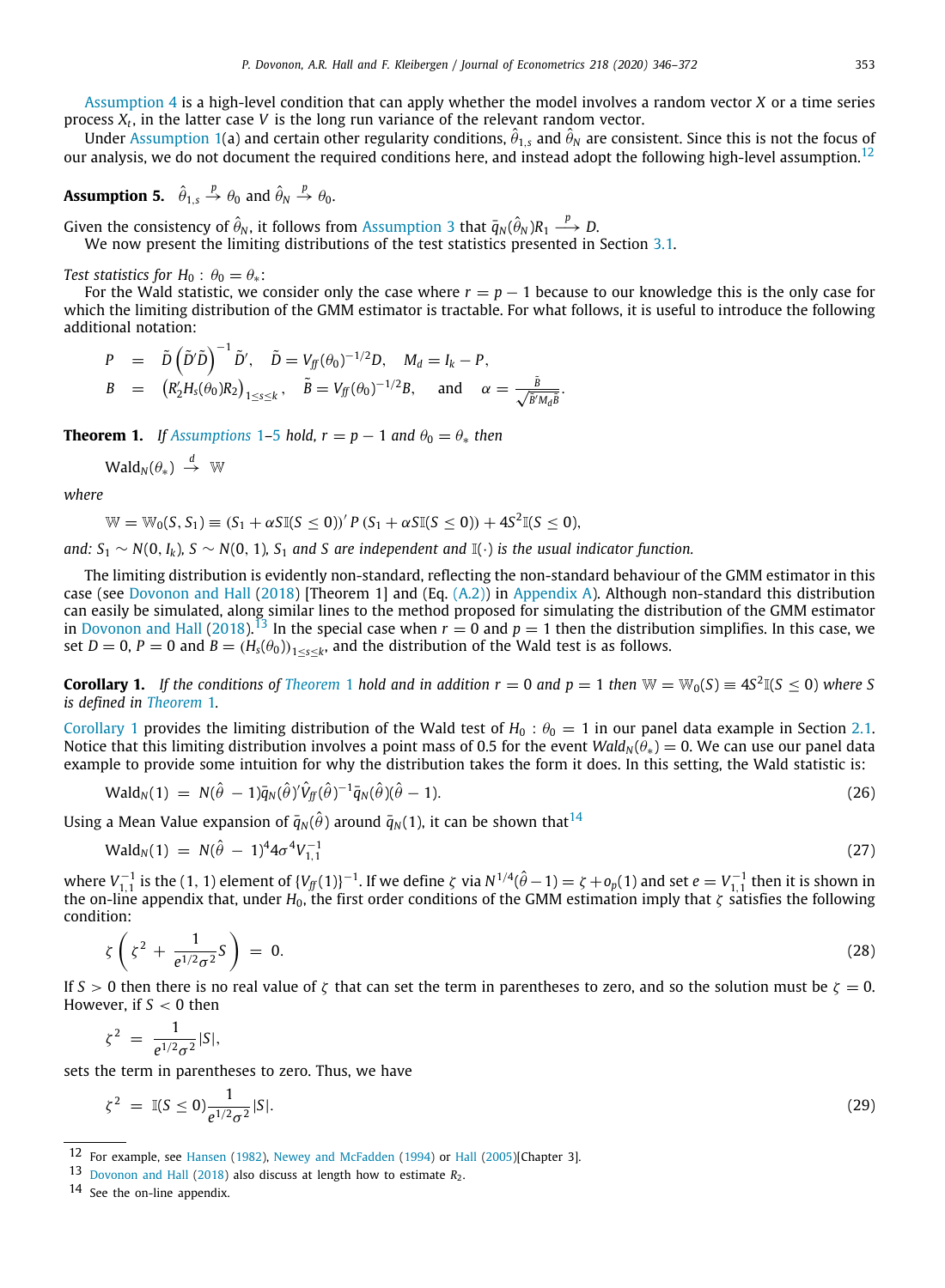[Assumption](#page-7-2) [4](#page-7-2) is a high-level condition that can apply whether the model involves a random vector *X* or a time series process *X<sup>t</sup>* , in the latter case *V* is the long run variance of the relevant random vector.

Under [Assumption](#page-4-3) [1](#page-4-3)(a) and certain other regularity conditions,  $\hat{\theta}_{1,s}$  and  $\hat{\theta}_N$  are consistent. Since this is not the focus of our analysis, we do not document the required conditions here, and instead adopt the following high-level assumption.<sup>[12](#page-8-0)</sup>

## <span id="page-8-1"></span>**Assumption 5.**  $\hat{\theta}_{1,s} \stackrel{p}{\rightarrow} \theta_0$  and  $\hat{\theta}_N \stackrel{p}{\rightarrow} \theta_0$ .

Given the consistency of  $\hat{\theta}_N$ , it follows from [Assumption](#page-7-3) [3](#page-7-3) that  $\bar{q}_N(\hat{\theta}_N)R_1 \stackrel{p}{\longrightarrow} D.$ We now present the limiting distributions of the test statistics presented in Section [3.1](#page-6-1).

*Test statistics for*  $H_0$  :  $\theta_0 = \theta_*$ :

For the Wald statistic, we consider only the case where  $r = p - 1$  because to our knowledge this is the only case for which the limiting distribution of the GMM estimator is tractable. For what follows, it is useful to introduce the following additional notation:

<span id="page-8-0"></span>
$$
P = \tilde{D}(\tilde{D}'\tilde{D})^{-1}\tilde{D}', \quad \tilde{D} = V_{ff}(\theta_0)^{-1/2}D, \quad M_d = I_k - P,
$$
  
\n
$$
B = (R'_2H_s(\theta_0)R_2)_{1 \le s \le k}, \quad \tilde{B} = V_{ff}(\theta_0)^{-1/2}B, \quad \text{and} \quad \alpha = \frac{\tilde{B}}{\sqrt{\tilde{B}'M_d\tilde{B}}}
$$

<span id="page-8-3"></span>**Theorem [1](#page-4-3).** *If [Assumptions](#page-4-3)* 1–[5](#page-8-1) *hold,*  $r = p - 1$  *and*  $\theta_0 = \theta_*$  *then* 

$$
\mathsf{Wald}_N(\theta_*) \stackrel{d}{\rightarrow} \mathbb{W}
$$

*where*

<span id="page-8-2"></span>
$$
\mathbb{W}=\mathbb{W}_0(S,S_1)\equiv (S_1+\alpha S\mathbb{I}(S\leq 0))'\,P\,(S_1+\alpha S\mathbb{I}(S\leq 0))+4S^2\mathbb{I}(S\leq 0),
$$

*and:*  $S_1 \sim N(0, I_k)$ ,  $S \sim N(0, 1)$ ,  $S_1$  *and S are independent and*  $\mathbb{I}(\cdot)$  *is the usual indicator function.* 

The limiting distribution is evidently non-standard, reflecting the non-standard behaviour of the GMM estimator in this case (see [Dovonon and Hall](#page-27-17) ([2018\)](#page-27-17) [Theorem 1] and (Eq. [\(A.2](#page-20-0))) in [Appendix](#page-20-1) [A](#page-20-1)). Although non-standard this distribution can easily be simulated, along similar lines to the method proposed for simulating the distribution of the GMM estimator in [Dovonon and Hall](#page-27-17) [\(2018](#page-27-17)).<sup>[13](#page-8-2)</sup> In the special case when  $r = 0$  and  $p = 1$  then the distribution simplifies. In this case, we set *D* = 0, *P* = 0 and *B* =  $(H_s(\theta_0))_{1 \le s \le k}$ , and the distribution of the Wald test is as follows.

<span id="page-8-4"></span>**Corollary [1](#page-8-3).** If the conditions of [Theorem](#page-8-3) 1 hold and in addition  $r = 0$  and  $p = 1$  then  $W = W_0(S) \equiv 4S^2 \mathbb{I}(S \le 0)$  where S *is defined in [Theorem](#page-8-3)* [1](#page-8-3)*.*

[Corollary](#page-8-4) [1](#page-8-4) provides the limiting distribution of the Wald test of  $H_0$ :  $\theta_0 = 1$  in our panel data example in Section [2.1](#page-4-5). Notice that this limiting distribution involves a point mass of 0.5 for the event *Wald<sup>N</sup>* (θ∗) = 0. We can use our panel data example to provide some intuition for why the distribution takes the form it does. In this setting, the Wald statistic is:

$$
\text{Wald}_N(1) = N(\hat{\theta} - 1)\bar{q}_N(\hat{\theta})\hat{V}_{ff}(\hat{\theta})^{-1}\bar{q}_N(\hat{\theta})(\hat{\theta} - 1). \tag{26}
$$

Using a Mean Value expansion of  $\bar{q}_N(\hat{\theta})$  around  $\bar{q}_N(1)$ , it can be shown that <sup>[14](#page-8-5)</sup>

<span id="page-8-7"></span><span id="page-8-5"></span>
$$
Wald_N(1) = N(\hat{\theta} - 1)^4 4\sigma^4 V_{1,1}^{-1}
$$
\n(27)

where  $V_{1,1}^{-1}$  is the (1, 1) element of  $\{V_f(f(1)\}^{-1}$ . If we define  $\zeta$  via  $N^{1/4}(\hat{\theta}-1) = \zeta + o_p(1)$  and set  $e = V_{1,1}^{-1}$  then it is shown in the on-line appendix that, under *H*0, the first order conditions of the GMM estimation imply that ζ satisfies the following condition:

$$
\zeta \left( \zeta^2 + \frac{1}{e^{1/2} \sigma^2} \zeta \right) = 0. \tag{28}
$$

If  $S > 0$  then there is no real value of  $\zeta$  that can set the term in parentheses to zero, and so the solution must be  $\zeta = 0$ . However, if *S* < 0 then

 $\zeta^2 = \frac{1}{1/2}$  $\frac{1}{e^{1/2}\sigma^2}$ |S|,

sets the term in parentheses to zero. Thus, we have

<span id="page-8-6"></span>
$$
\zeta^2 = \mathbb{I}(S \le 0) \frac{1}{e^{1/2} \sigma^2} |S|.
$$
 (29)

<sup>12</sup> For example, see [Hansen](#page-27-0) ([1982](#page-27-0)), [Newey and McFadden](#page-27-33) ([1994](#page-27-33)) or [Hall](#page-27-26) [\(2005](#page-27-26))[Chapter 3].

<sup>13</sup> [Dovonon and Hall](#page-27-17) ([2018](#page-27-17)) also discuss at length how to estimate *<sup>R</sup>*2.

<sup>14</sup> See the on-line appendix.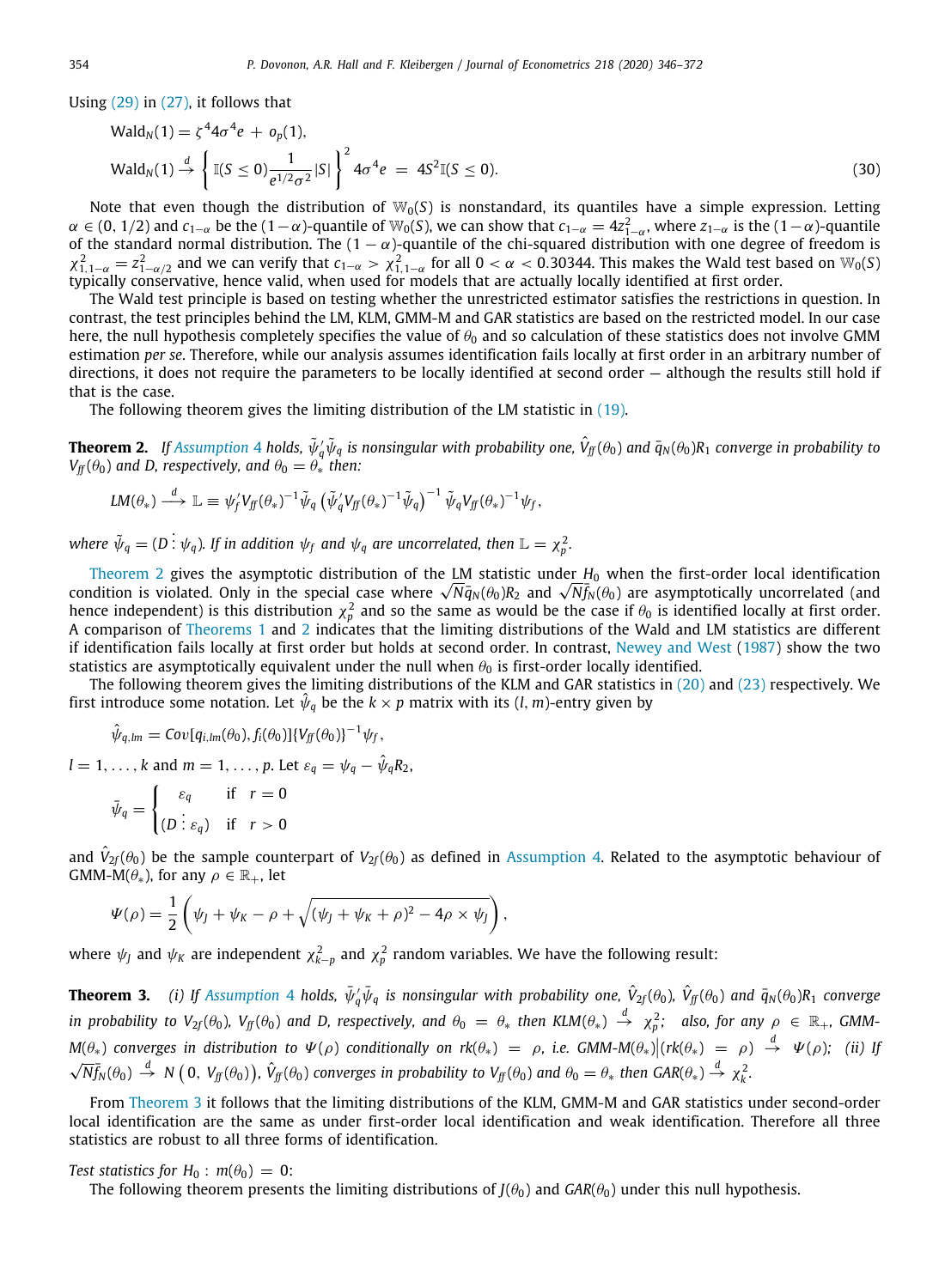Using  $(29)$  in  $(27)$ , it follows that

$$
\text{Wald}_N(1) = \zeta^4 4\sigma^4 e + o_p(1),
$$
\n
$$
\text{Wald}_N(1) \stackrel{d}{\to} \left\{ \mathbb{I}(S \le 0) \frac{1}{e^{1/2} \sigma^2} |S| \right\}^2 4\sigma^4 e = 4S^2 \mathbb{I}(S \le 0).
$$
\n(30)

Note that even though the distribution of  $W_0(S)$  is nonstandard, its quantiles have a simple expression. Letting  $\alpha \in (0, 1/2)$  and  $c_{1-\alpha}$  be the  $(1-\alpha)$ -quantile of W<sub>0</sub>(S), we can show that  $c_{1-\alpha} = 4z_{1-\alpha}^2$ , where  $z_{1-\alpha}$  is the  $(1-\alpha)$ -quantile of the standard normal distribution. The  $(1 - \alpha)$ -quantile of the chi-squared distribution with one degree of freedom is  $\chi^2_{1,1-\alpha} = z^2_{1-\alpha/2}$  and we can verify that  $c_{1-\alpha} > \chi^2_{1,1-\alpha}$  for all  $0 < \alpha < 0.30344$ . This makes the Wald test based on W<sub>0</sub>(S) typically conservative, hence valid, when used for models that are actually locally identified at first order.

The Wald test principle is based on testing whether the unrestricted estimator satisfies the restrictions in question. In contrast, the test principles behind the LM, KLM, GMM-M and GAR statistics are based on the restricted model. In our case here, the null hypothesis completely specifies the value of  $\theta_0$  and so calculation of these statistics does not involve GMM estimation *per se*. Therefore, while our analysis assumes identification fails locally at first order in an arbitrary number of directions, it does not require the parameters to be locally identified at second order — although the results still hold if that is the case.

The following theorem gives the limiting distribution of the LM statistic in ([19](#page-6-2)).

<span id="page-9-0"></span>**Theorem 2.** If [Assumption](#page-7-2) [4](#page-7-2) holds,  $\tilde\psi_q'\tilde\psi_q$  is nonsingular with probability one,  $\hat V_f(\theta_0)$  and  $\bar q_N(\theta_0)R_1$  converge in probability to  $V_f(f(\theta_0))$  and *D, respectively, and*  $\theta_0 = \theta_*$  *then:* 

$$
LM(\theta_*) \stackrel{d}{\longrightarrow} \mathbb{L} \equiv \psi'_f V_{f\!f}(\theta_*)^{-1} \tilde{\psi}_q \left( \tilde{\psi}'_q V_{f\!f}(\theta_*)^{-1} \tilde{\psi}_q \right)^{-1} \tilde{\psi}_q V_{f\!f}(\theta_*)^{-1} \psi_f,
$$

where  $\tilde{\psi}_q = (D \; \vdots \; \psi_q)$ . If in addition  $\psi_f$  and  $\psi_q$  are uncorrelated, then  $\mathbb{L} = \chi_p^2$ .

[Theorem](#page-9-0) [2](#page-9-0) gives the asymptotic distribution of the LM statistic under *H*<sup>0</sup> when the first-order local identification Theorem 2 gives the asymptotic distribution of the LM statistic under  $H_0$  when the first-order local identification<br>condition is violated. Only in the special case where  $\sqrt{N}\bar{q}_N(\theta_0)R_2$  and  $\sqrt{N}\bar{f}_N(\theta_0)$  are as hence independent) is this distribution  $\chi^2_p$  and so the same as would be the case if  $\theta_0$  is identified locally at first order. A comparison of [Theorems](#page-8-3) [1](#page-8-3) and [2](#page-9-0) indicates that the limiting distributions of the Wald and LM statistics are different if identification fails locally at first order but holds at second order. In contrast, [Newey and West](#page-27-32) ([1987](#page-27-32)) show the two statistics are asymptotically equivalent under the null when  $\theta_0$  is first-order locally identified.

The following theorem gives the limiting distributions of the KLM and GAR statistics in [\(20](#page-6-3)) and ([23](#page-7-4)) respectively. We first introduce some notation. Let  $\hat{\psi}_q$  be the  $k \times p$  matrix with its (*l*, *m*)-entry given by

$$
\hat{\psi}_{q,lm} = Cov[q_{i,lm}(\theta_0), f_i(\theta_0)]\{V_{ff}(\theta_0)\}^{-1}\psi_f,
$$

 $l = 1, \ldots, k$  and  $m = 1, \ldots, p$ . Let  $\varepsilon_q = \psi_q - \hat{\psi}_q R_2$ ,  $\int \varepsilon_q$  if  $r=0$ 

$$
\bar{\psi}_q = \begin{cases} c_q & \text{if } r = 0 \\ (D \vdots \varepsilon_q) & \text{if } r > 0 \end{cases}
$$

and  $\hat{V}_{2f}(\theta_0)$  be the sample counterpart of  $V_{2f}(\theta_0)$  as defined in [Assumption](#page-7-2) [4](#page-7-2). Related to the asymptotic behaviour of GMM-M( $\theta_*$ ), for any  $\rho \in \mathbb{R}_+$ , let

$$
\Psi(\rho)=\frac{1}{2}\left(\psi_J+\psi_K-\rho+\sqrt{(\psi_J+\psi_K+\rho)^2-4\rho\times\psi_J}\right),
$$

where  $\psi_J$  and  $\psi_K$  are independent  $\chi^2_{k-p}$  and  $\chi^2_p$  random variables. We have the following result:

<span id="page-9-1"></span>**Theorem 3.** (i) If [Assumption](#page-7-2) [4](#page-7-2) holds,  $\bar{\psi}'_q\bar{\psi}_q$  is nonsingular with probability one,  $\hat{V}_{2f}(\theta_0)$ ,  $\hat{V}_{ff}(\theta_0)$  and  $\bar{q}_N(\theta_0)R_1$  converge  $i$ n probability to V $_{2f}(\theta_0)$ , V $_{f\!f}(\theta_0)$  and D, respectively, and  $\theta_0\ =\ \theta_*$  then KLM $(\theta_*)\ \stackrel{d}{\to}\ \chi^2_p$ ; also, for any  $\rho\ \in\ \mathbb{R}_+$ , GMM- $M(\theta_*)$  converges in distribution to  $\Psi(\rho)$  conditionally on  $rk(\theta_*) = \rho$ , i.e. GMM-M $(\theta_*)| (rk(\theta_*) = \rho) \stackrel{d}{\to} \Psi(\rho);$  (ii) If  $\sqrt{N}f_N(\theta_0) \stackrel{d}{\rightarrow} N(0, V_{jj}(\theta_0)), \hat{V}_{jj}(\theta_0)$  converges in probability to  $V_{jj}(\theta_0)$  and  $\theta_0 = \theta_*$  then  $GAR(\theta_*) \stackrel{d}{\rightarrow} \chi^2_k$ .

From [Theorem](#page-9-1) [3](#page-9-1) it follows that the limiting distributions of the KLM, GMM-M and GAR statistics under second-order local identification are the same as under first-order local identification and weak identification. Therefore all three statistics are robust to all three forms of identification.

### *Test statistics for*  $H_0$  :  $m(\theta_0) = 0$ :

<span id="page-9-2"></span>The following theorem presents the limiting distributions of  $J(\theta_0)$  and  $GAR(\theta_0)$  under this null hypothesis.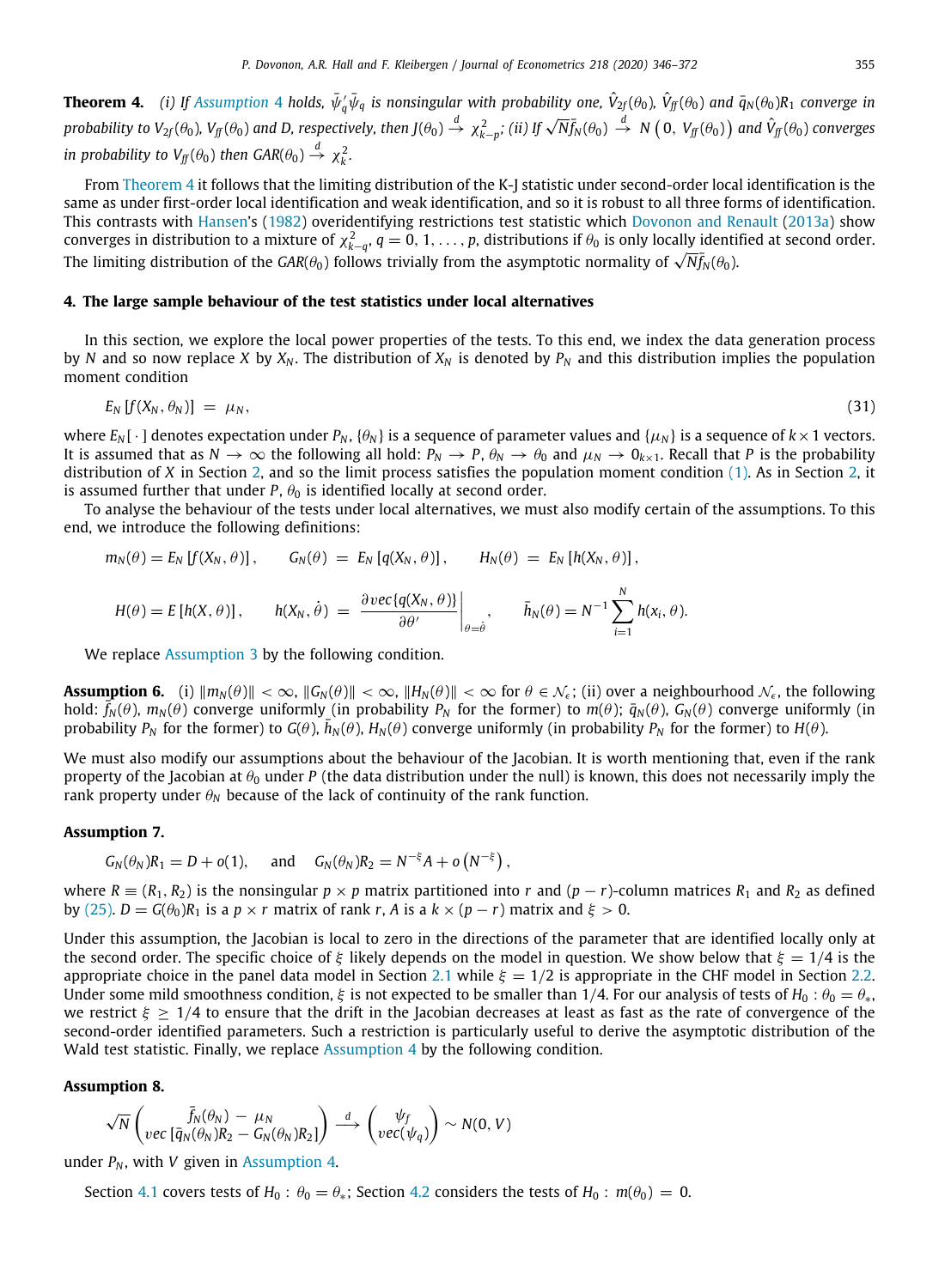**Theorem [4](#page-7-2).** (i) If [Assumption](#page-7-2) 4 holds,  $\bar{\psi}'_q\bar{\psi}_q$  is nonsingular with probability one,  $\hat{V}_{2f}(\theta_0)$ ,  $\hat{V}_{ff}(\theta_0)$  and  $\bar{q}_N(\theta_0)R_1$  converge in probability to  $V_{2f}(\theta_0)$ ,  $V_{ff}(\theta_0)$  and D, respectively, then  $J(\theta_0) \stackrel{d}{\rightarrow} \chi^2_{k-p}$ ; (ii) If  $\sqrt{N} \bar{f}_N(\theta_0) \stackrel{d}{\rightarrow} N(0, V_{ff}(\theta_0))$  and  $\hat{V}_{ff}(\theta_0)$  converges *in probability to*  $V_f(\theta_0)$  *then*  $GAR(\theta_0) \stackrel{d}{\rightarrow} \chi_k^2$ *.* 

From [Theorem](#page-9-2) [4](#page-9-2) it follows that the limiting distribution of the K-J statistic under second-order local identification is the same as under first-order local identification and weak identification, and so it is robust to all three forms of identification. This contrasts with [Hansen'](#page-27-0)s [\(1982\)](#page-27-0) overidentifying restrictions test statistic which [Dovonon and Renault](#page-27-13) [\(2013a\)](#page-27-13) show converges in distribution to a mixture of  $\chi^2_{k-q},q=0,1,\ldots,p$ , distributions if  $\theta_0$  is only locally identified at second order. The limiting distribution to a mixture of  $\chi_{k-q}$ ,  $q = 0, 1, ..., p$ , distributions if  $\sigma_0$  is only locally identity of  $\sqrt{N}f_N(\theta_0)$ .

### **4. The large sample behaviour of the test statistics under local alternatives**

<span id="page-10-4"></span>In this section, we explore the local power properties of the tests. To this end, we index the data generation process by *N* and so now replace *X* by  $X_N$ . The distribution of  $X_N$  is denoted by  $P_N$  and this distribution implies the population moment condition

<span id="page-10-0"></span>
$$
E_N[f(X_N,\theta_N)] = \mu_N,\tag{31}
$$

where  $E_N[\cdot]$  denotes expectation under  $P_N$ ,  $\{\theta_N\}$  is a sequence of parameter values and  $\{\mu_N\}$  is a sequence of  $k \times 1$  vectors. It is assumed that as  $N \to \infty$  the following all hold:  $P_N \to P$ ,  $\theta_N \to \theta_0$  and  $\mu_N \to 0_{k \times 1}$ . Recall that *P* is the probability distribution of *X* in Section [2](#page-3-2), and so the limit process satisfies the population moment condition [\(1\)](#page-3-0). As in Section [2,](#page-3-2) it is assumed further that under  $P$ ,  $\theta_0$  is identified locally at second order.

To analyse the behaviour of the tests under local alternatives, we must also modify certain of the assumptions. To this end, we introduce the following definitions:

$$
m_N(\theta) = E_N [f(X_N, \theta)], \qquad G_N(\theta) = E_N [q(X_N, \theta)], \qquad H_N(\theta) = E_N [h(X_N, \theta)],
$$

<span id="page-10-2"></span>
$$
H(\theta) = E[h(X, \theta)], \qquad h(X_N, \dot{\theta}) = \left. \frac{\partial \text{vec}\{q(X_N, \theta)\}}{\partial \theta'} \right|_{\theta = \dot{\theta}}, \qquad \bar{h}_N(\theta) = N^{-1} \sum_{i=1}^N h(x_i, \theta).
$$

We replace [Assumption](#page-7-3) [3](#page-7-3) by the following condition.

**Assumption 6.** (i)  $||m_N(\theta)|| < \infty$ ,  $||G_N(\theta)|| < \infty$ ,  $||H_N(\theta)|| < \infty$  for  $\theta \in \mathcal{N}_{\epsilon}$ ; (ii) over a neighbourhood  $\mathcal{N}_{\epsilon}$ , the following hold:  $\bar{f}_N(\theta)$ ,  $m_N(\theta)$  converge uniformly (in probability  $P_N$  for the former) to  $m(\theta)$ ;  $\bar{q}_N(\theta)$ ,  $G_N(\theta)$  converge uniformly (in probability  $P_N$  for the former) to  $G(\theta)$ ,  $\bar{h}_N(\theta)$ ,  $H_N(\theta)$  converge uniformly (in probability  $P_N$  for the former) to  $H(\theta)$ .

We must also modify our assumptions about the behaviour of the Jacobian. It is worth mentioning that, even if the rank property of the Jacobian at  $\theta_0$  under *P* (the data distribution under the null) is known, this does not necessarily imply the rank property under  $\theta_N$  because of the lack of continuity of the rank function.

### **Assumption 7.**

<span id="page-10-1"></span>
$$
G_N(\theta_N)R_1 = D + o(1)
$$
, and  $G_N(\theta_N)R_2 = N^{-\xi}A + o(N^{-\xi})$ ,

where  $R \equiv (R_1, R_2)$  is the nonsingular  $p \times p$  matrix partitioned into *r* and  $(p - r)$ -column matrices  $R_1$  and  $R_2$  as defined by [\(25\)](#page-7-5). *D* = *G*( $\theta$ <sub>0</sub>)*R*<sub>1</sub> is a *p* × *r* matrix of rank *r*, *A* is a  $k \times (p - r)$  matrix and  $\xi > 0$ .

Under this assumption, the Jacobian is local to zero in the directions of the parameter that are identified locally only at the second order. The specific choice of ξ likely depends on the model in question. We show below that  $\xi = 1/4$  is the appropriate choice in the panel data model in Section [2.1](#page-4-5) while  $\xi = 1/2$  is appropriate in the CHF model in Section [2.2](#page-5-6). Under some mild smoothness condition,  $\xi$  is not expected to be smaller than 1/4. For our analysis of tests of  $H_0: \theta_0 = \theta_{*}$ , we restrict  $\xi \geq 1/4$  to ensure that the drift in the Jacobian decreases at least as fast as the rate of convergence of the second-order identified parameters. Such a restriction is particularly useful to derive the asymptotic distribution of the Wald test statistic. Finally, we replace [Assumption](#page-7-2) [4](#page-7-2) by the following condition.

### <span id="page-10-3"></span>**Assumption 8.**

$$
\sqrt{N}\begin{pmatrix} \bar{f}_N(\theta_N) - \mu_N \\ vec\left[\bar{q}_N(\theta_N)R_2 - G_N(\theta_N)R_2\right] \end{pmatrix} \overset{d}{\longrightarrow} \begin{pmatrix} \psi_f \\ vec(\psi_q) \end{pmatrix} \sim N(0, V)
$$

under  $P_N$ , with *V* given in [Assumption](#page-7-2) [4](#page-7-2).

Section [4.1](#page-11-0) covers tests of  $H_0$ :  $\theta_0 = \theta_*$ ; Section [4.2](#page-13-0) considers the tests of  $H_0$ :  $m(\theta_0) = 0$ .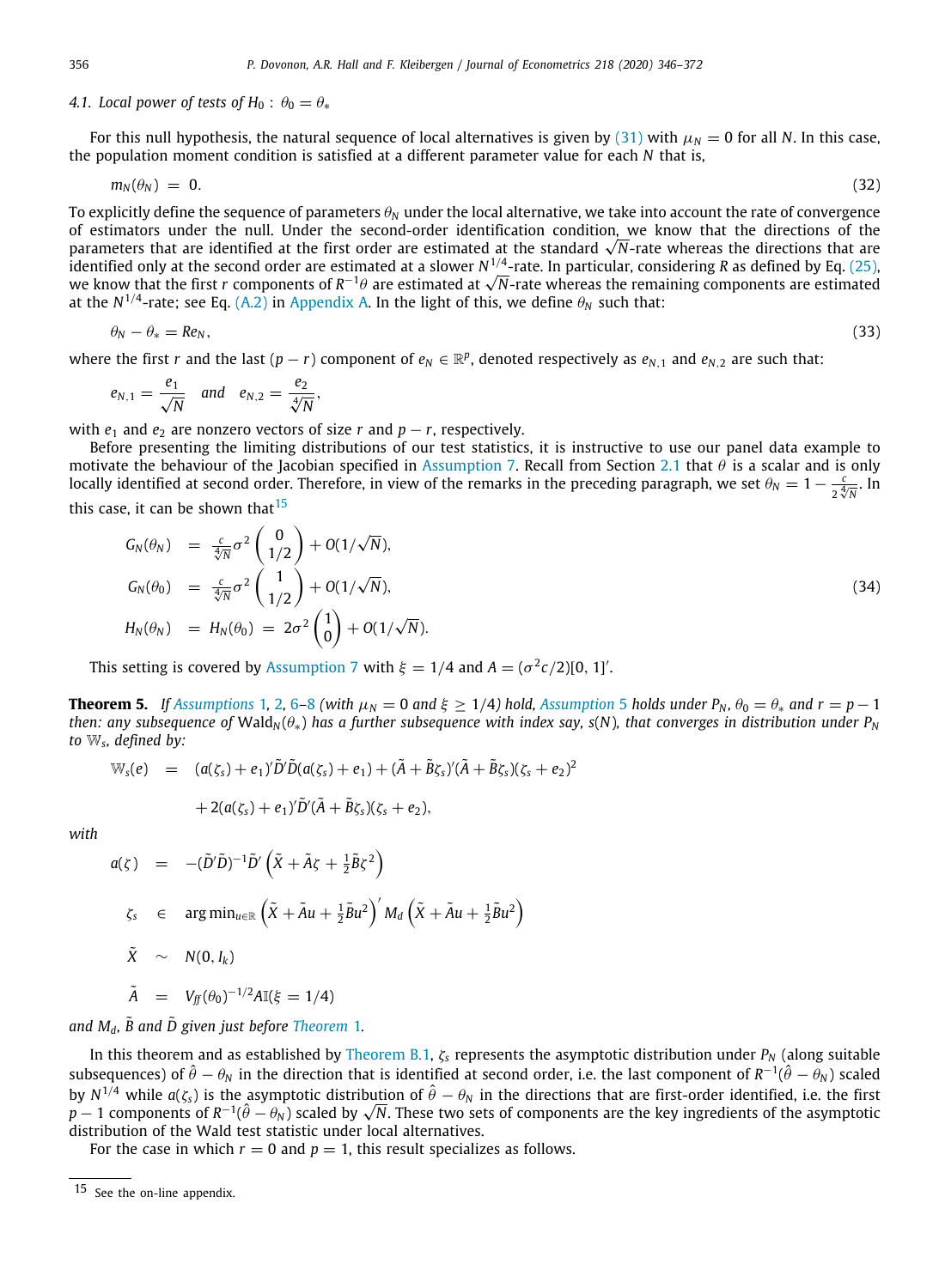### *4.1. Local power of tests of H*<sub>0</sub> :  $\theta_0 = \theta_*$

<span id="page-11-0"></span>For this null hypothesis, the natural sequence of local alternatives is given by ([31](#page-10-0)) with  $\mu_N = 0$  for all *N*. In this case, the population moment condition is satisfied at a different parameter value for each *N* that is,

$$
m_N(\theta_N) = 0. \tag{32}
$$

To explicitly define the sequence of parameters  $\theta_N$  under the local alternative, we take into account the rate of convergence of estimators under the null. Under the second-order identification condition, we know that the directions of the of estimators under the null. Under the second-order identification condition, we know that the directions of the<br>parameters that are identified at the first order are estimated at the standard √N-rate whereas the directi identified only at the second order are estimated at a slower *N* 1/4 -rate. In particular, considering *R* as defined by Eq. ([25](#page-7-5)), identified only at the second order are estimated at a slower N<sup>+/4</sup>-rate. In particular, considering R as defined by Eq. (25),<br>we know that the first *r* components of R<sup>−1</sup>θ are estimated at √N-rate whereas the remainin at the N $^{1/4}$ -rate; see Eq. ([A.2](#page-20-0)) in [Appendix](#page-20-1) [A](#page-20-1). In the light of this, we define  $\theta_N$  such that:

$$
\theta_N - \theta_* = Re_N,\tag{33}
$$

where the first *r* and the last  $(p - r)$  component of  $e_N \in \mathbb{R}^p$ , denoted respectively as  $e_{N,1}$  and  $e_{N,2}$  are such that:

$$
e_{N,1}=\frac{e_1}{\sqrt{N}} \quad \text{and} \quad e_{N,2}=\frac{e_2}{\sqrt[4]{N}},
$$

with  $e_1$  and  $e_2$  are nonzero vectors of size  $r$  and  $p - r$ , respectively.

Before presenting the limiting distributions of our test statistics, it is instructive to use our panel data example to motivate the behaviour of the Jacobian specified in [Assumption](#page-10-1) [7](#page-10-1). Recall from Section [2.1](#page-4-5) that  $\theta$  is a scalar and is only locally identified at second order. Therefore, in view of the remarks in the preceding paragraph, we set  $\theta_N=1-\frac{c}{2}$  $rac{c}{2\sqrt[4]{N}}$ . In this case, it can be shown that  $15$ 

<span id="page-11-1"></span>
$$
G_N(\theta_N) = \frac{c}{\sqrt[4]{N}} \sigma^2 \begin{pmatrix} 0 \\ 1/2 \end{pmatrix} + O(1/\sqrt{N}),
$$
  
\n
$$
G_N(\theta_0) = \frac{c}{\sqrt[4]{N}} \sigma^2 \begin{pmatrix} 1 \\ 1/2 \end{pmatrix} + O(1/\sqrt{N}),
$$
  
\n
$$
H_N(\theta_N) = H_N(\theta_0) = 2\sigma^2 \begin{pmatrix} 1 \\ 0 \end{pmatrix} + O(1/\sqrt{N}).
$$
\n(34)

This setting is covered by [Assumption](#page-10-1) [7](#page-10-1) with  $\xi = 1/4$  and  $A = (\sigma^2 c/2)[0, 1]'$ .

<span id="page-11-2"></span>**Theorem [5](#page-8-1).** If [Assumptions](#page-4-3) [1](#page-4-3), [2](#page-7-6), [6](#page-10-2)–[8](#page-10-3) (with  $\mu_N = 0$  and  $\xi \ge 1/4$ ) hold, [Assumption](#page-8-1) 5 holds under  $P_N$ ,  $\theta_0 = \theta_*$  and  $r = p - 1$ *then: any subsequence of* Wald<sub>N</sub> $(\theta_*)$  *has a further subsequence with index say, s(N), that converges in distribution under P<sub>N</sub> to* W*<sup>s</sup> , defined by:*

$$
\mathbb{W}_{s}(e) = (a(\zeta_{s}) + e_{1})'\tilde{D}'\tilde{D}(a(\zeta_{s}) + e_{1}) + (\tilde{A} + \tilde{B}\zeta_{s})'(\tilde{A} + \tilde{B}\zeta_{s})(\zeta_{s} + e_{2})^{2}
$$

<span id="page-11-3"></span>
$$
+2(a(\zeta_s)+e_1)'\tilde{D}'(\tilde{A}+\tilde{B}\zeta_s)(\zeta_s+e_2),
$$

*with*

$$
a(\zeta) = -(\tilde{D}'\tilde{D})^{-1}\tilde{D}' \left( \tilde{X} + \tilde{A}\zeta + \frac{1}{2}\tilde{B}\zeta^2 \right)
$$
  

$$
\zeta_{\tilde{S}} \in \arg\min_{u \in \mathbb{R}} \left( \tilde{X} + \tilde{A}u + \frac{1}{2}\tilde{B}u^2 \right)' M_d \left( \tilde{X} + \tilde{A}u + \frac{1}{2}\tilde{B}u^2 \right)
$$
  

$$
\tilde{X} \sim N(0, I_k)
$$

$$
\tilde{A} = V_{ff}(\theta_0)^{-1/2} A \mathbb{I}(\xi = 1/4)
$$

*and*  $M_d$ ,  $\tilde{B}$  and  $\tilde{D}$  given just before [Theorem](#page-8-3) [1](#page-8-3).

In this theorem and as established by [Theorem](#page-22-0) [B.1,](#page-22-0) ζ*<sup>s</sup>* represents the asymptotic distribution under *P<sup>N</sup>* (along suitable subsequences) of  $\hat\theta-\theta_N$  in the direction that is identified at second order, i.e. the last component of  $R^{-1}(\hat\theta-\theta_N)$  scaled by  $N^{1/4}$  while  $a(\zeta_s)$  is the asymptotic distribution of  $\hat{\theta}-\theta_N$  in the directions that are first-order identified, i.e. the first *by N*<sup>+/4</sup> while  $a(\zeta_s)$  is the asymptotic distribution of  $\theta - \theta_N$  in the directions that are first-order identified, i.e. the first  $p-1$  components of the asymptotic distribution of the Wald test statistic under local alternatives.

<span id="page-11-4"></span>For the case in which  $r = 0$  and  $p = 1$ , this result specializes as follows.

<sup>15</sup> See the on-line appendix.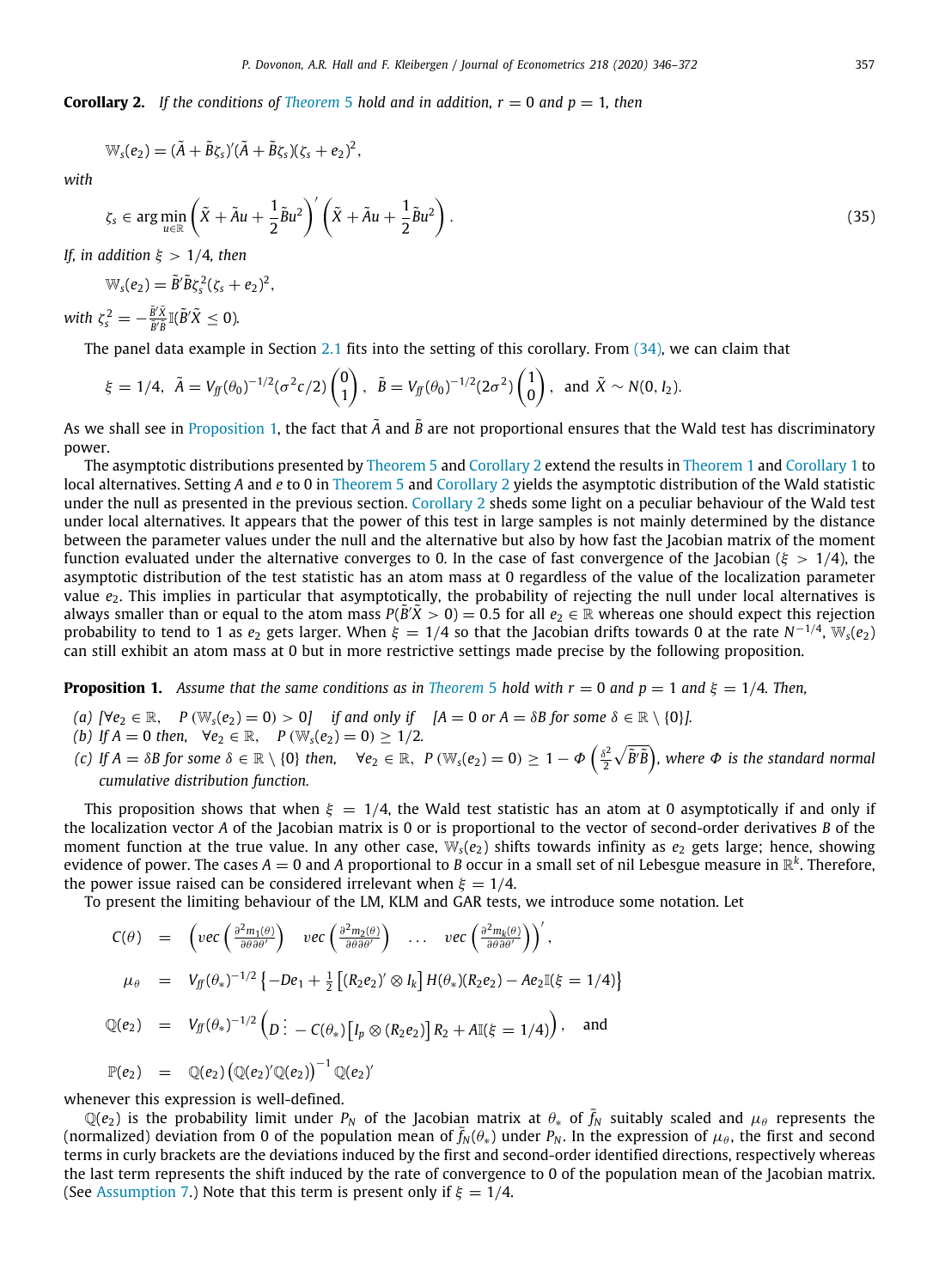**Corollary 2.** If the conditions of *[Theorem](#page-11-2)* [5](#page-11-2) *hold and in addition, r* = 0 *and p* = 1*, then* 

$$
\mathbb{W}_s(e_2)=(\tilde{A}+\tilde{B}\zeta_s)'(\tilde{A}+\tilde{B}\zeta_s)(\zeta_s+e_2)^2,
$$

*with*

$$
\zeta_s \in \arg\min_{u \in \mathbb{R}} \left( \tilde{X} + \tilde{A}u + \frac{1}{2}\tilde{B}u^2 \right)' \left( \tilde{X} + \tilde{A}u + \frac{1}{2}\tilde{B}u^2 \right).
$$
\n(35)

*If, in addition* ξ > 1/4*, then*

$$
\mathbb{W}_s(e_2)=\tilde{B}'\tilde{B}\zeta_s^2(\zeta_s+e_2)^2,
$$

with  $\zeta_s^2 = -\frac{\tilde{B}'\tilde{X}}{\tilde{B}'\tilde{B}}$  $\frac{\tilde{B}'\tilde{X}}{\tilde{B}'\tilde{B}}\mathbb{I}(\tilde{B}'\tilde{X}\leq 0).$ 

The panel data example in Section [2.1](#page-4-5) fits into the setting of this corollary. From ([34](#page-11-3)), we can claim that

$$
\xi = 1/4
$$
,  $\tilde{A} = V_{ff}(\theta_0)^{-1/2} (\sigma^2 c/2) {0 \choose 1}$ ,  $\tilde{B} = V_{ff}(\theta_0)^{-1/2} (2\sigma^2) {1 \choose 0}$ , and  $\tilde{X} \sim N(0, I_2)$ .

As we shall see in [Proposition](#page-12-0) [1,](#page-12-0) the fact that  $\tilde{A}$  and  $\tilde{B}$  are not proportional ensures that the Wald test has discriminatory power.

The asymptotic distributions presented by [Theorem](#page-11-2) [5](#page-11-2) and [Corollary](#page-11-4) [2](#page-11-4) extend the results in [Theorem](#page-8-3) [1](#page-8-3) and [Corollary](#page-8-4) [1](#page-8-4) to local alternatives. Setting *A* and *e* to 0 in [Theorem](#page-11-2) [5](#page-11-2) and [Corollary](#page-11-4) [2](#page-11-4) yields the asymptotic distribution of the Wald statistic under the null as presented in the previous section. [Corollary](#page-11-4) [2](#page-11-4) sheds some light on a peculiar behaviour of the Wald test under local alternatives. It appears that the power of this test in large samples is not mainly determined by the distance between the parameter values under the null and the alternative but also by how fast the Jacobian matrix of the moment function evaluated under the alternative converges to 0. In the case of fast convergence of the Jacobian ( $\xi > 1/4$ ), the asymptotic distribution of the test statistic has an atom mass at 0 regardless of the value of the localization parameter value  $e_2$ . This implies in particular that asymptotically, the probability of rejecting the null under local alternatives is always smaller than or equal to the atom mass  $P(B'X > 0) = 0.5$  for all  $e_2 \in \mathbb{R}$  whereas one should expect this rejection probability to tend to 1 as  $e_2$  gets larger. When  $\xi=1/4$  so that the Jacobian drifts towards 0 at the rate  $N^{-1/4}$ ,  $\mathbb{W}_{s}(e_2)$ can still exhibit an atom mass at 0 but in more restrictive settings made precise by the following proposition.

<span id="page-12-0"></span>**Proposition 1.** *Assume that the same conditions as in [Theorem](#page-11-2)* [5](#page-11-2) *hold with*  $r = 0$  *and*  $p = 1$  *and*  $\xi = 1/4$ *. Then,* 

- *(a)*  $[Ve_2 \in \mathbb{R},$   $P(W_s(e_2) = 0) > 0]$  *if and only if*  $[A = 0 \text{ or } A = \delta B \text{ for some } \delta \in \mathbb{R} \setminus \{0\}].$
- *(b) If*  $A = 0$  *then,*  $\forall e_2 \in \mathbb{R}$ ,  $P(\mathbb{W}_s(e_2) = 0) \ge 1/2$ *.*
- *(c)* If  $A = \delta B$  for some  $\delta \in \mathbb{R} \setminus \{0\}$  then,  $\forall e_2 \in \mathbb{R}, P(\mathbb{W}_s(e_2) = 0) \geq 1 \Phi\left(\frac{\delta^2}{2}\right)$  $\frac{\delta^2}{2}\sqrt{\tilde{B}'\tilde{B}}\Big)$ , where  $\Phi$  is the standard normal *cumulative distribution function.*

This proposition shows that when  $\xi = 1/4$ , the Wald test statistic has an atom at 0 asymptotically if and only if the localization vector *A* of the Jacobian matrix is 0 or is proportional to the vector of second-order derivatives *B* of the moment function at the true value. In any other case,  $\mathbb{W}_{s}(e_2)$  shifts towards infinity as  $e_2$  gets large; hence, showing evidence of power. The cases  $A=0$  and A proportional to B occur in a small set of nil Lebesgue measure in  $\mathbb{R}^k$ . Therefore, the power issue raised can be considered irrelevant when  $\xi = 1/4$ .

To present the limiting behaviour of the LM, KLM and GAR tests, we introduce some notation. Let

$$
C(\theta) = \left( vec \left( \frac{\partial^2 m_1(\theta)}{\partial \theta \partial \theta'} \right) vec \left( \frac{\partial^2 m_2(\theta)}{\partial \theta \partial \theta'} \right) \dots vec \left( \frac{\partial^2 m_k(\theta)}{\partial \theta \partial \theta'} \right) \right)',
$$
  
\n
$$
\mu_{\theta} = V_{\text{ff}}(\theta_*)^{-1/2} \left\{ -De_1 + \frac{1}{2} \left[ (R_2 e_2)' \otimes I_k \right] H(\theta_*) (R_2 e_2) - Ae_2 \mathbb{I}(\xi = 1/4) \right\}
$$
  
\n
$$
\mathbb{Q}(e_2) = V_{\text{ff}}(\theta_*)^{-1/2} \left( D \right) - C(\theta_*) \left[ I_p \otimes (R_2 e_2) \right] R_2 + A \mathbb{I}(\xi = 1/4) \right),
$$
 and  
\n
$$
\mathbb{P}(e_2) = \mathbb{Q}(e_2) \left( \mathbb{Q}(e_2)' \mathbb{Q}(e_2) \right)^{-1} \mathbb{Q}(e_2)'
$$

whenever this expression is well-defined.

 $\mathbb{Q}(e_2)$  is the probability limit under  $P_N$  of the Jacobian matrix at  $\theta_*$  of  $\bar{f}_N$  suitably scaled and  $\mu_\theta$  represents the (normalized) deviation from 0 of the population mean of  $\bar{f}_N(\theta_*)$  under  $P_N$ . In the expression of  $\mu_\theta$ , the first and second terms in curly brackets are the deviations induced by the first and second-order identified directions, respectively whereas the last term represents the shift induced by the rate of convergence to 0 of the population mean of the Jacobian matrix. (See [Assumption](#page-10-1) [7](#page-10-1).) Note that this term is present only if  $\xi = 1/4$ .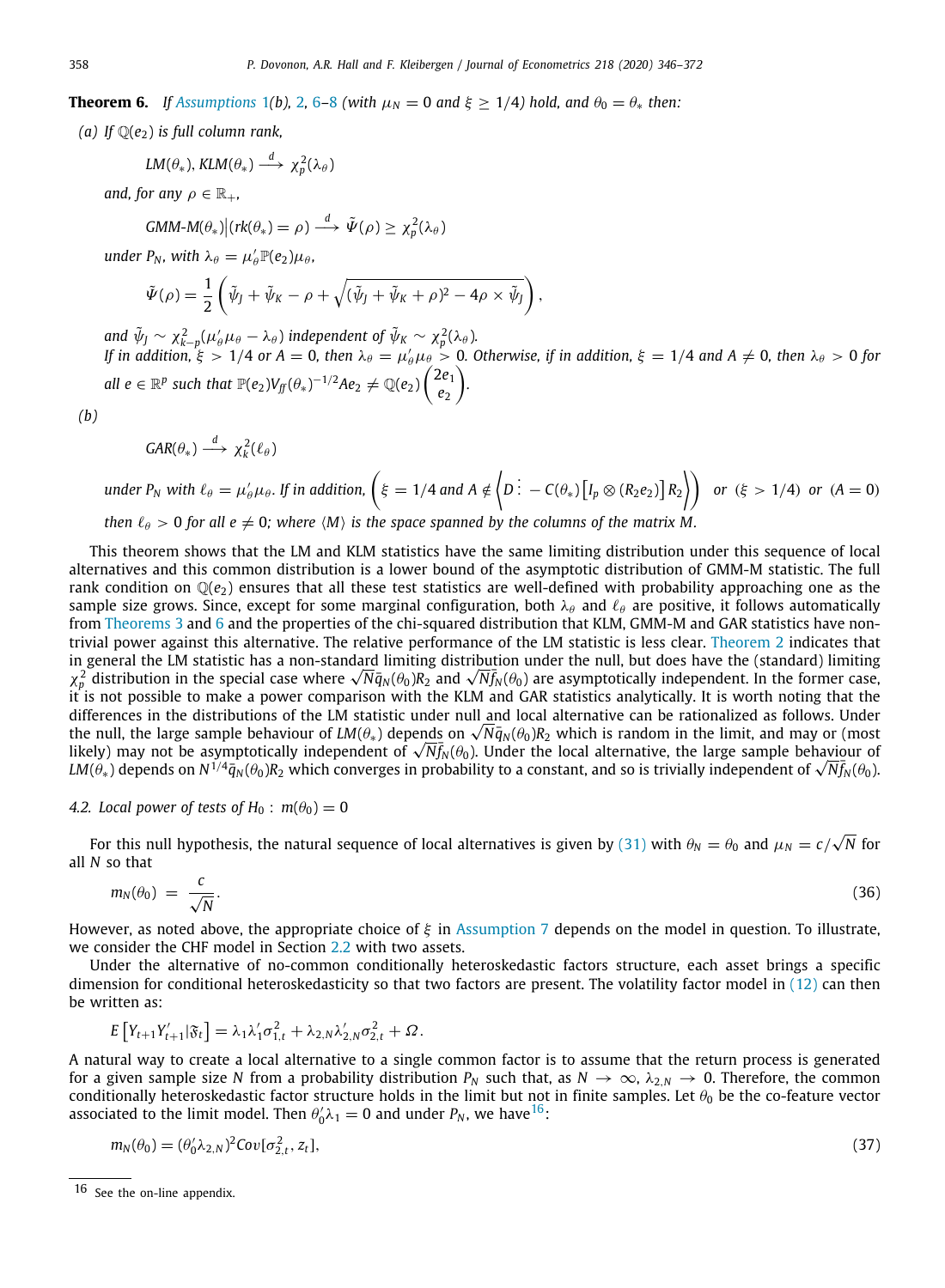<span id="page-13-1"></span>**Theorem [6](#page-10-2).** *If [Assumptions](#page-4-3)* [1](#page-4-3)*(b),* [2](#page-7-6)*,* 6–[8](#page-10-3) *(with*  $\mu_N = 0$  *and*  $\xi \geq 1/4$ *) hold, and*  $\theta_0 = \theta_*$  *then:* 

*(a) If*  $\mathbb{Q}(e_2)$  *is full column rank,* 

$$
LM(\theta_*)
$$
,  $KLM(\theta_*) \xrightarrow{d} \chi_p^2(\lambda_\theta)$ 

*and, for any*  $\rho \in \mathbb{R}_+$ *,* 

$$
GMM-M(\theta_*)|(rk(\theta_*)=\rho)\stackrel{d}{\longrightarrow}\tilde{\Psi}(\rho)\geq\chi_p^2(\lambda_\theta)
$$

 $u$ nder P<sub>N</sub>, with  $\lambda_{\theta} = \mu'_{\theta} \mathbb{P}(e_2) \mu_{\theta}$ ,

$$
\tilde{\Psi}(\rho) = \frac{1}{2} \left( \tilde{\psi}_J + \tilde{\psi}_K - \rho + \sqrt{(\tilde{\psi}_J + \tilde{\psi}_K + \rho)^2 - 4\rho \times \tilde{\psi}_J} \right),
$$

and  $\tilde{\psi}_J \sim \chi^2_{k-p}(\mu_\theta'\mu_\theta-\lambda_\theta)$  independent of  $\tilde{\psi}_K \sim \chi^2_p(\lambda_\theta)$ . *If in addition,*  $\xi > 1/4$  or  $A = 0$ , then  $\lambda_{\theta} = \mu'_{\theta} \mu_{\theta} > 0$ . Otherwise, if in addition,  $\xi = 1/4$  and  $A \neq 0$ , then  $\lambda_{\theta} > 0$  for *all*  $e \in \mathbb{R}^p$  such that  $\mathbb{P}(e_2) V_f(\theta_*)^{-1/2} A e_2 \neq \mathbb{Q}(e_2) \begin{pmatrix} 2e_1 \ e_2 \end{pmatrix}$ *e*2 ) *.*

$$
(b)
$$

$$
GAR(\theta_*) \stackrel{d}{\longrightarrow} \chi_k^2(\ell_\theta)
$$

under 
$$
P_N
$$
 with  $\ell_{\theta} = \mu'_{\theta}\mu_{\theta}$ . If in addition,  $(\xi = 1/4$  and  $A \notin \left\langle D : -C(\theta_*)[I_p \otimes (R_2 e_2)]R_2 \right\rangle$  or  $(\xi > 1/4)$  or  $(A = 0)$   
then  $\ell_{\theta} > 0$  for all  $e \neq 0$ ; where  $\langle M \rangle$  is the space spanned by the columns of the matrix M.

This theorem shows that the LM and KLM statistics have the same limiting distribution under this sequence of local alternatives and this common distribution is a lower bound of the asymptotic distribution of GMM-M statistic. The full rank condition on  $\mathbb{Q}(e_2)$  ensures that all these test statistics are well-defined with probability approaching one as the sample size grows. Since, except for some marginal configuration, both  $\lambda_\theta$  and  $\ell_\theta$  are positive, it follows automatically from [Theorems](#page-9-1) [3](#page-9-1) and [6](#page-13-1) and the properties of the chi-squared distribution that KLM, GMM-M and GAR statistics have nontrivial power against this alternative. The relative performance of the LM statistic is less clear. [Theorem](#page-9-0) [2](#page-9-0) indicates that in general the LM statistic has a non-standard limiting distribution under the null, but does have the (standard) limiting in general the LM statistic has a non-standard limiting distribution under the null, but does have the (standard) limiting<br> $\chi^2_p$  distribution in the special case where  $\sqrt{N}\bar q_N(\theta_0)R_2$  and  $\sqrt{N}\bar f_N(\theta_0)$  are asymptot it is not possible to make a power comparison with the KLM and GAR statistics analytically. It is worth noting that the differences in the distributions of the LM statistic under null and local alternative can be rationalized as follows. Under differences in the distributions of the LM statistic under null and local alternative can be rationalized as follows. Under<br>the null, the large sample behaviour of LM(θ<sub>∗</sub>) depen<u>ds</u> on √N̄q<sub>N</sub>(θ<sub>0</sub>)R<sub>2</sub> which is random the null, the large sample behaviour of LM( $\theta_*$ ) depends on √N $q_N(\theta_0)R_2$  which is random in the limit, and may or (most<br>likely) may not be asymptotically independent of √N $\bar{f}_N(\theta_0)$ . Under the local alternative, th likely) may not be asymptotically independent of √*Nf<sub>N</sub>(θ*0). Under the local alternative, the large sample behaviour of √*Rf<sub>N</sub>(θ*0).<br>*LM(θ<sub>\*</sub>)* depends on N<sup>1/4</sup>ą̃<sub>N</sub>(θ<sub>0</sub>)R<sub>2</sub> which converges in probability to a cons

### *4.2. Local power of tests of H*<sub>0</sub> :  $m(\theta_0) = 0$

<span id="page-13-0"></span>For this null hypothesis, the natural sequence of local alternatives is given by ([31](#page-10-0)) with  $\theta_N = \theta_0$  and  $\mu_N = c/\sqrt{2}$ *N* for all *N* so that

<span id="page-13-4"></span>
$$
m_N(\theta_0) = \frac{c}{\sqrt{N}}.\tag{36}
$$

However, as noted above, the appropriate choice of  $\xi$  in [Assumption](#page-10-1) [7](#page-10-1) depends on the model in question. To illustrate, we consider the CHF model in Section [2.2](#page-5-6) with two assets.

Under the alternative of no-common conditionally heteroskedastic factors structure, each asset brings a specific dimension for conditional heteroskedasticity so that two factors are present. The volatility factor model in [\(12](#page-5-7)) can then be written as:

$$
E[Y_{t+1}Y'_{t+1}|\mathfrak{F}_t] = \lambda_1 \lambda'_1 \sigma_{1,t}^2 + \lambda_{2,N} \lambda'_{2,N} \sigma_{2,t}^2 + \Omega.
$$

A natural way to create a local alternative to a single common factor is to assume that the return process is generated for a given sample size *N* from a probability distribution  $P_N$  such that, as  $N \to \infty$ ,  $\lambda_{2,N} \to 0$ . Therefore, the common conditionally heteroskedastic factor structure holds in the limit but not in finite samples. Let  $\theta_0$  be the co-feature vector associated to the limit model. Then  $\theta_0^{\prime} \lambda_1 = 0$  and under  $P_N$ , we have  $^{16}$  $^{16}$  $^{16}$ :

<span id="page-13-3"></span><span id="page-13-2"></span>
$$
m_N(\theta_0) = (\theta_0' \lambda_{2,N})^2 Cov[\sigma_{2,t}^2, z_t],
$$
\n(37)

<sup>16</sup> See the on-line appendix.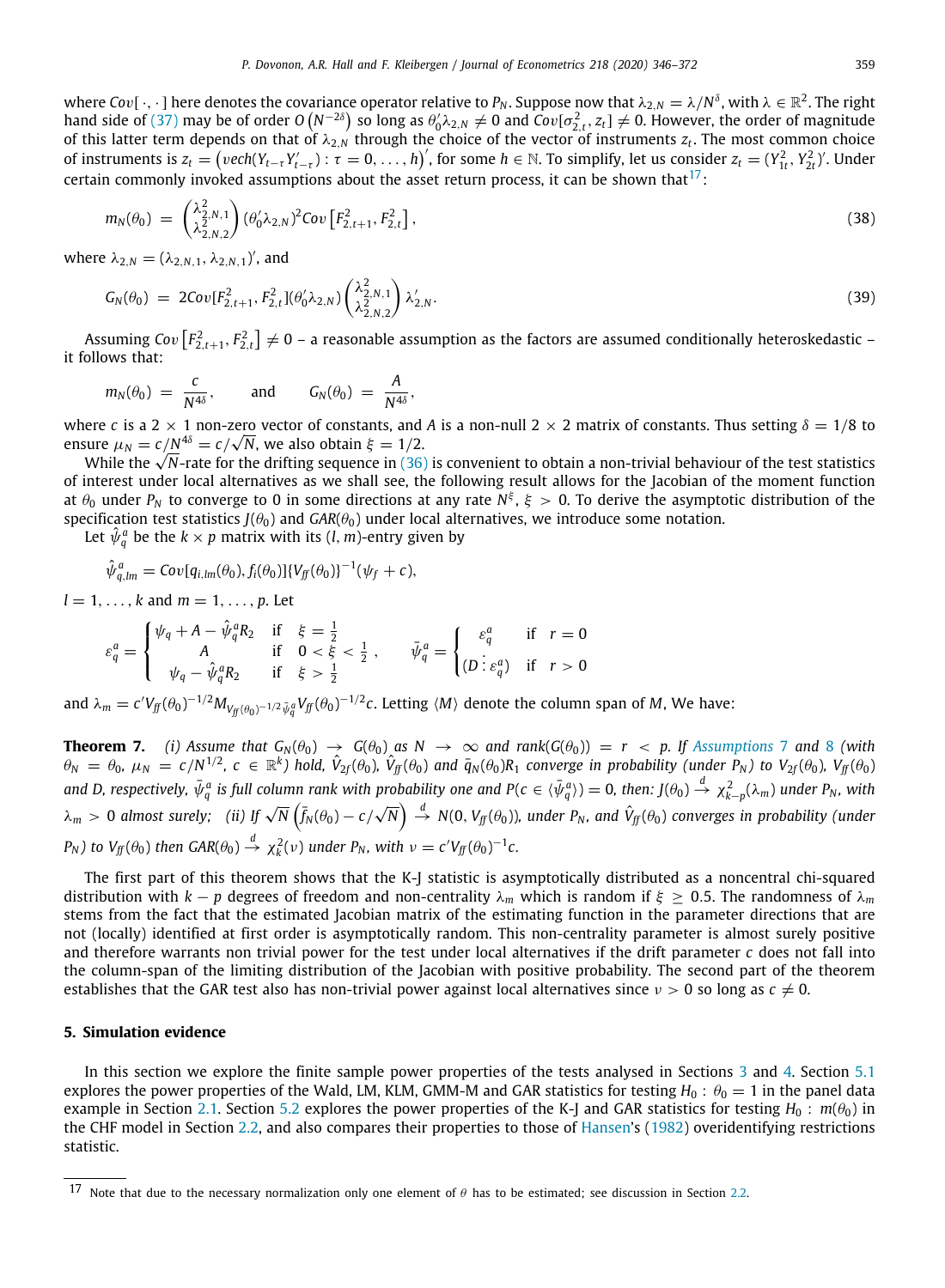where Cov[  $\cdot,\cdot$  ] here denotes the covariance operator relative to  $P_N.$  Suppose now that  $\lambda_{2,N}=\lambda/N^\delta,$  with  $\lambda\in\R^2.$  The right hand side of [\(37\)](#page-13-3) may be of order  $O(N^{-2\delta})$  so long as  $\theta'_0 \lambda_{2,N} \neq 0$  and  $Cov[\sigma_{2,t}^2, z_t] \neq 0$ . However, the order of magnitude of this latter term depends on that of  $\lambda_{2,N}$  through the choice of the vector of instruments  $z_t$ . The most common choice of instruments is  $z_t = (vech(Y_{t-\tau}Y'_{t-\tau}) : \tau = 0, ..., h)'$ , for some  $h \in \mathbb{N}$ . To simplify, let us consider  $z_t = (Y_{1t}^2, Y_{2t}^2)'$ . Under certain commonly invoked assumptions about the asset return process, it can be shown that<sup>[17](#page-14-0)</sup>:

<span id="page-14-0"></span>
$$
m_N(\theta_0) = \begin{pmatrix} \lambda_{2,N,1}^2 \\ \lambda_{2,N,2}^2 \end{pmatrix} (\theta_0' \lambda_{2,N})^2 Cov\left[F_{2,t+1}^2, F_{2,t}^2\right],
$$
\n(38)

where  $\lambda_{2,N} = (\lambda_{2,N,1}, \lambda_{2,N,1})'$ , and

$$
G_N(\theta_0) = 2Cov[F_{2,t+1}^2, F_{2,t}^2](\theta_0' \lambda_{2,N}) \begin{pmatrix} \lambda_{2,N,1}^2 \\ \lambda_{2,N,2}^2 \end{pmatrix} \lambda_{2,N}'.
$$
\n(39)

Assuming Cov  $\left[F_{2,t+1}^2,F_{2,t}^2\right]\neq0$  – a reasonable assumption as the factors are assumed conditionally heteroskedastic – it follows that:

$$
m_N(\theta_0) = \frac{c}{N^{4\delta}}, \quad \text{and} \quad G_N(\theta_0) = \frac{A}{N^{4\delta}},
$$

where *c* is a 2  $\times$  1 non-zero vector of constants, and *A* is a non-null 2  $\times$  2 matrix of constants. Thus setting  $\delta = 1/8$  to ensure  $\mu_N = c/N^{4\delta} = c/\sqrt{N}$ , we also obtain  $\xi = 1/2$ .

ure μ<sub>N</sub> = c/N<sup>-ω</sup> = c/√N, we also obtain ξ = 1/2.<br>While the √N-rate for the drifting sequence in ([36\)](#page-13-4) is convenient to obtain a non-trivial behaviour of the test statistics of interest under local alternatives as we shall see, the following result allows for the Jacobian of the moment function at  $\theta_0$  under  $P_N$  to converge to 0 in some directions at any rate  $N^\xi$ ,  $\xi\,>\,0.$  To derive the asymptotic distribution of the specification test statistics  $J(\theta_0)$  and  $GAR(\theta_0)$  under local alternatives, we introduce some notation.

Let  $\hat{\psi}_q^a$  be the  $k \times p$  matrix with its  $(l, m)$ -entry given by

$$
\hat{\psi}_{q,lm}^a = Cov[q_{i,lm}(\theta_0), f_i(\theta_0)]\{V_{ff}(\theta_0)\}^{-1}(\psi_f + c),
$$

 $l = 1, \ldots, k$  and  $m = 1, \ldots, p$ . Let

$$
\varepsilon_{q}^{a} = \begin{cases} \psi_{q} + A - \hat{\psi}_{q}^{a} R_{2} & \text{if } \xi = \frac{1}{2} \\ A & \text{if } 0 < \xi < \frac{1}{2} \\ \psi_{q} - \hat{\psi}_{q}^{a} R_{2} & \text{if } \xi > \frac{1}{2} \end{cases}, \qquad \bar{\psi}_{q}^{a} = \begin{cases} \varepsilon_{q}^{a} & \text{if } r = 0 \\ (D \vdots \varepsilon_{q}^{a}) & \text{if } r > 0 \end{cases}
$$

and  $\lambda_m = c' V_{\bar{f}f}(\theta_0)^{-1/2} M_{V_{\bar{f}f}(\theta_0)^{-1/2} \bar{\psi}^a_q} V_{\bar{f}f}(\theta_0)^{-1/2} c.$  Letting  $\langle M \rangle$  denote the column span of  $M$ , We have:

<span id="page-14-1"></span>**Theorem [7](#page-10-1).** *(i)* Assume that  $G_N(\theta_0) \to G(\theta_0)$  as  $N \to \infty$  and rank $(G(\theta_0)) = r < p$ . If [Assumptions](#page-10-1) 7 and [8](#page-10-3) *(with*  $\theta_N = \theta_0$ ,  $\mu_N = c/N^{1/2}$ ,  $c \in \mathbb{R}^k$ ) hold,  $\hat{V}_{2f}(\theta_0)$ ,  $\hat{V}_{ff}(\theta_0)$  and  $\bar{q}_N(\theta_0)R_1$  converge in probability (under  $P_N$ ) to  $V_{2f}(\theta_0)$ ,  $V_{ff}(\theta_0)$ and D, respectively,  $\bar{\psi}_q^a$  is full column rank with probability one and P( $c\in \langle\bar{\psi}_q^a\rangle)=0$ , then: J( $\theta_0$ )  $\stackrel{d}{\to} \chi_{k-p}^2(\lambda_m)$  under  $P_N$ , with  $\lambda_m > 0$  *almost surely;* (ii) If  $\sqrt{N}$  ( $\bar{f}_N(\theta_0) - c/\sqrt{N}$  $\overline{N} \Big) \stackrel{d}{\to}$  N(0, V<sub>If</sub>( $\theta_0$ )), under P<sub>N</sub>, and  $\hat{V}_{\text{ff}}(\theta_0)$  converges in probability (under *P<sub>N</sub>*) to  $V_{ff}(\theta_0)$  then  $GAR(\theta_0) \stackrel{d}{\rightarrow} \chi_k^2(v)$  under  $P_N$ , with  $v = c'V_{ff}(\theta_0)^{-1}c$ .

The first part of this theorem shows that the K-J statistic is asymptotically distributed as a noncentral chi-squared distribution with *k* − *p* degrees of freedom and non-centrality  $\lambda_m$  which is random if  $\xi \geq 0.5$ . The randomness of  $\lambda_m$ stems from the fact that the estimated Jacobian matrix of the estimating function in the parameter directions that are not (locally) identified at first order is asymptotically random. This non-centrality parameter is almost surely positive and therefore warrants non trivial power for the test under local alternatives if the drift parameter *c* does not fall into the column-span of the limiting distribution of the Jacobian with positive probability. The second part of the theorem establishes that the GAR test also has non-trivial power against local alternatives since  $v > 0$  so long as  $c \neq 0$ .

### **5. Simulation evidence**

In this section we explore the finite sample power properties of the tests analysed in Sections [3](#page-6-4) and [4](#page-10-4). Section [5.1](#page-15-0) explores the power properties of the Wald, LM, KLM, GMM-M and GAR statistics for testing  $H_0$ :  $\theta_0 = 1$  in the panel data example in Section [2.1](#page-4-5). Section [5.2](#page-18-0) explores the power properties of the K-J and GAR statistics for testing  $H_0$ :  $m(\theta_0)$  in the CHF model in Section [2.2](#page-5-6), and also compares their properties to those of [Hansen'](#page-27-0)s ([1982](#page-27-0)) overidentifying restrictions statistic.

<sup>17</sup> Note that due to the necessary normalization only one element of  $\theta$  has to be estimated; see discussion in Section [2.2](#page-5-6).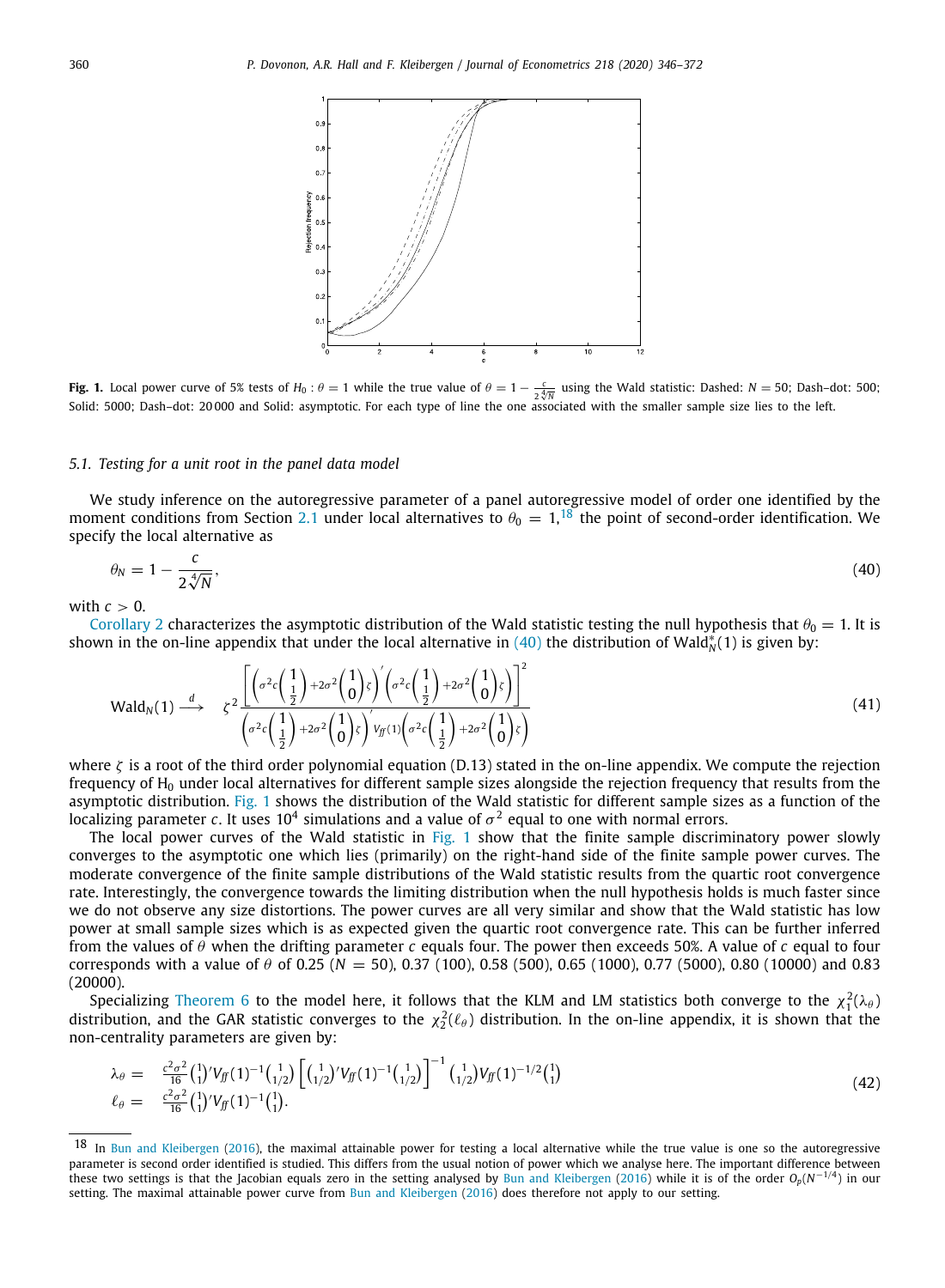<span id="page-15-2"></span>

<span id="page-15-3"></span>**Fig. 1.** Local power curve of 5% tests of  $H_0: \theta = 1$  while the true value of  $\theta = 1 - \frac{c}{2\sqrt[4]{N}}$  using the Wald statistic: Dashed:  $N = 50$ ; Dash–dot: 500; Solid: 5000; Dash–dot: 20 000 and Solid: asymptotic. For each type of line the one associated with the smaller sample size lies to the left.

### *5.1. Testing for a unit root in the panel data model*

<span id="page-15-0"></span>We study inference on the autoregressive parameter of a panel autoregressive model of order one identified by the moment conditions from Section [2.1](#page-4-5) under local alternatives to  $\theta_0 = 1$ ,<sup>[18](#page-15-1)</sup> the point of second-order identification. We specify the local alternative as

<span id="page-15-1"></span>
$$
\theta_N = 1 - \frac{c}{2\sqrt[4]{N}},\tag{40}
$$

with  $c > 0$ .

[Corollary](#page-11-4) [2](#page-11-4) characterizes the asymptotic distribution of the Wald statistic testing the null hypothesis that  $\theta_0 = 1$ . It is shown in the on-line appendix that under the local alternative in [\(40](#page-15-2)) the distribution of Wald $_N^*(1)$  is given by:

$$
\text{Wald}_N(1) \stackrel{d}{\longrightarrow} \zeta^2 \frac{\left[ \left( \sigma^2 c \left( \frac{1}{2} \right) + 2 \sigma^2 \left( \frac{1}{0} \right) \zeta \right)' \left( \sigma^2 c \left( \frac{1}{2} \right) + 2 \sigma^2 \left( \frac{1}{0} \right) \zeta \right) \right]^2}{\left( \sigma^2 c \left( \frac{1}{2} \right) + 2 \sigma^2 \left( \frac{1}{0} \right) \zeta \right)' \vee g \left( 1 \right) \left( \sigma^2 c \left( \frac{1}{2} \right) + 2 \sigma^2 \left( \frac{1}{0} \right) \zeta \right)}
$$
(41)

where  $\zeta$  is a root of the third order polynomial equation (D.13) stated in the on-line appendix. We compute the rejection frequency of  $H_0$  under local alternatives for different sample sizes alongside the rejection frequency that results from the asymptotic distribution. [Fig.](#page-15-3) [1](#page-15-3) shows the distribution of the Wald statistic for different sample sizes as a function of the localizing parameter  $c.$  It uses  $10^4$  simulations and a value of  $\sigma^2$  equal to one with normal errors.

The local power curves of the Wald statistic in [Fig.](#page-15-3) [1](#page-15-3) show that the finite sample discriminatory power slowly converges to the asymptotic one which lies (primarily) on the right-hand side of the finite sample power curves. The moderate convergence of the finite sample distributions of the Wald statistic results from the quartic root convergence rate. Interestingly, the convergence towards the limiting distribution when the null hypothesis holds is much faster since we do not observe any size distortions. The power curves are all very similar and show that the Wald statistic has low power at small sample sizes which is as expected given the quartic root convergence rate. This can be further inferred from the values of θ when the drifting parameter *c* equals four. The power then exceeds 50%. A value of *c* equal to four corresponds with a value of  $\theta$  of 0.25 ( $N = 50$ ), 0.37 (100), 0.58 (500), 0.65 (1000), 0.77 (5000), 0.80 (10000) and 0.83  $(20000)$ .

Specializing [Theorem](#page-13-1) [6](#page-13-1) to the model here, it follows that the KLM and LM statistics both converge to the  $\chi_1^2(\lambda_\theta)$ distribution, and the GAR statistic converges to the  $\chi_2^2(\ell_\theta)$  distribution. In the on-line appendix, it is shown that the non-centrality parameters are given by:

$$
\lambda_{\theta} = \frac{c^2 \sigma^2}{16} \left( \frac{1}{1} \right)^{t} V_{\tilde{J}}(1)^{-1} \left( \frac{1}{1/2} \right) \left[ \left( \frac{1}{1/2} \right)^{t} V_{\tilde{J}}(1)^{-1} \left( \frac{1}{1/2} \right) \right]^{-1} \left( \frac{1}{1/2} \right) V_{\tilde{J}}(1)^{-1/2} \left( \frac{1}{1} \right) \n\ell_{\theta} = \frac{c^2 \sigma^2}{16} \left( \frac{1}{1} \right)^{t} V_{\tilde{J}}(1)^{-1} \left( \frac{1}{1} \right).
$$
\n(42)

<sup>18</sup> In [Bun and Kleibergen](#page-27-15) ([2016](#page-27-15)), the maximal attainable power for testing a local alternative while the true value is one so the autoregressive parameter is second order identified is studied. This differs from the usual notion of power which we analyse here. The important difference between these two settings is that the Jacobian equals zero in the setting analysed by [Bun and Kleibergen](#page-27-15) ([2016](#page-27-15)) while it is of the order *Op*(*N* −1/4 ) in our setting. The maximal attainable power curve from [Bun and Kleibergen](#page-27-15) ([2016](#page-27-15)) does therefore not apply to our setting.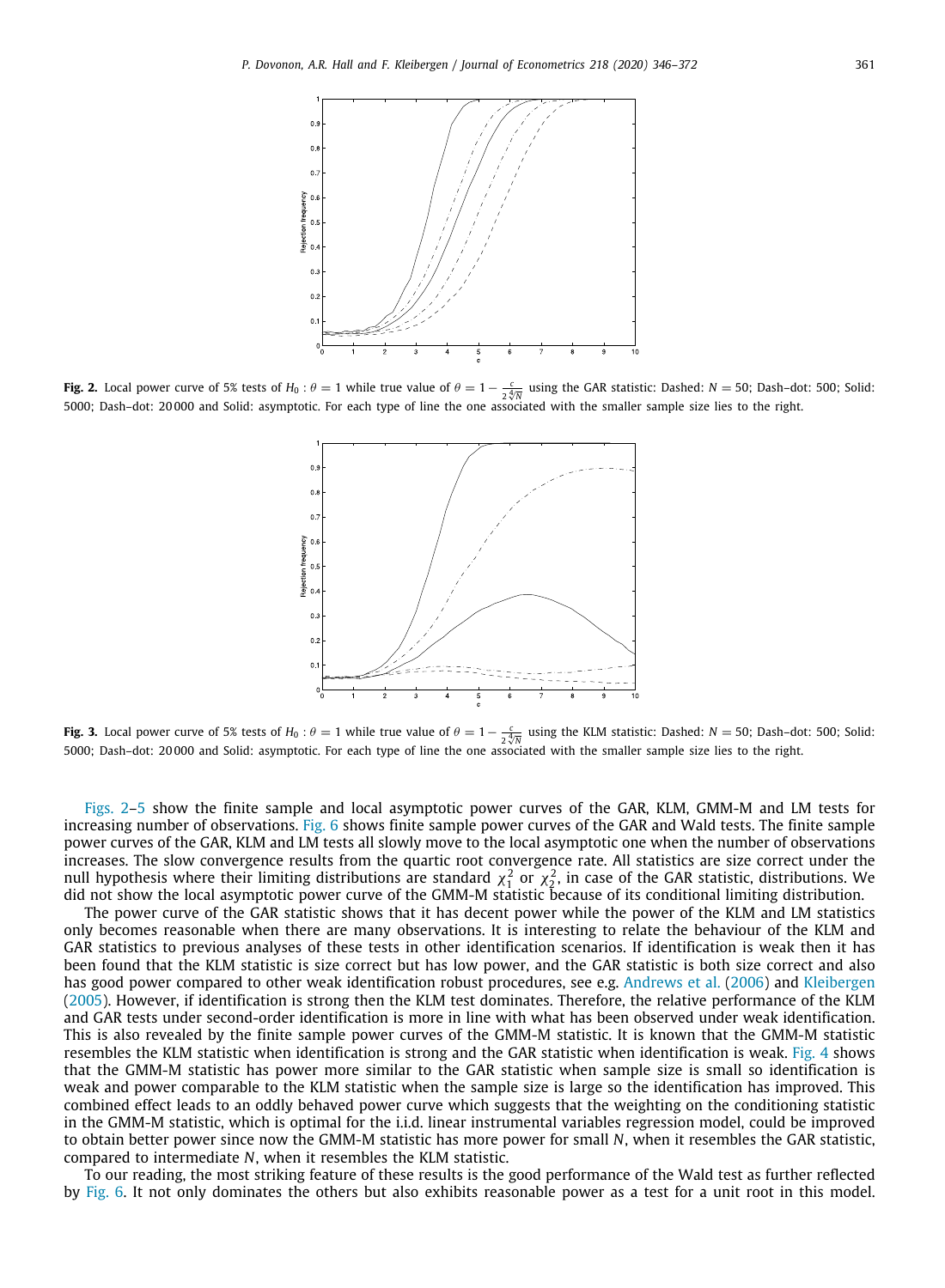

<span id="page-16-0"></span>**Fig. 2.** Local power curve of 5% tests of  $H_0: \theta = 1$  while true value of  $\theta = 1 - \frac{c}{2\sqrt[4]{N}}$  using the GAR statistic: Dashed: *N* = 50; Dash–dot: 500; Solid: 5000; Dash–dot: 20 000 and Solid: asymptotic. For each type of line the one associated with the smaller sample size lies to the right.



**Fig. 3.** Local power curve of 5% tests of  $H_0: \theta = 1$  while true value of  $\theta = 1 - \frac{c}{2\sqrt[4]{N}}$  using the KLM statistic: Dashed:  $N = 50$ ; Dash–dot: 500; Solid: 5000; Dash–dot: 20 000 and Solid: asymptotic. For each type of line the one associated with the smaller sample size lies to the right.

[Figs.](#page-16-0) [2](#page-16-0)[–5](#page-17-0) show the finite sample and local asymptotic power curves of the GAR, KLM, GMM-M and LM tests for increasing number of observations. [Fig.](#page-17-1) [6](#page-17-1) shows finite sample power curves of the GAR and Wald tests. The finite sample power curves of the GAR, KLM and LM tests all slowly move to the local asymptotic one when the number of observations increases. The slow convergence results from the quartic root convergence rate. All statistics are size correct under the null hypothesis where their limiting distributions are standard  $\chi_1^2$  or  $\chi_2^2$ , in case of the GAR statistic, distributions. We did not show the local asymptotic power curve of the GMM-M statistic because of its conditional limiting distribution.

The power curve of the GAR statistic shows that it has decent power while the power of the KLM and LM statistics only becomes reasonable when there are many observations. It is interesting to relate the behaviour of the KLM and GAR statistics to previous analyses of these tests in other identification scenarios. If identification is weak then it has been found that the KLM statistic is size correct but has low power, and the GAR statistic is both size correct and also has good power compared to other weak identification robust procedures, see e.g. [Andrews et al.](#page-26-7) [\(2006](#page-26-7)) and [Kleibergen](#page-27-5) ([2005](#page-27-5)). However, if identification is strong then the KLM test dominates. Therefore, the relative performance of the KLM and GAR tests under second-order identification is more in line with what has been observed under weak identification. This is also revealed by the finite sample power curves of the GMM-M statistic. It is known that the GMM-M statistic resembles the KLM statistic when identification is strong and the GAR statistic when identification is weak. [Fig.](#page-17-2) [4](#page-17-2) shows that the GMM-M statistic has power more similar to the GAR statistic when sample size is small so identification is weak and power comparable to the KLM statistic when the sample size is large so the identification has improved. This combined effect leads to an oddly behaved power curve which suggests that the weighting on the conditioning statistic in the GMM-M statistic, which is optimal for the i.i.d. linear instrumental variables regression model, could be improved to obtain better power since now the GMM-M statistic has more power for small *N*, when it resembles the GAR statistic, compared to intermediate *N*, when it resembles the KLM statistic.

To our reading, the most striking feature of these results is the good performance of the Wald test as further reflected by [Fig.](#page-17-1) [6](#page-17-1). It not only dominates the others but also exhibits reasonable power as a test for a unit root in this model.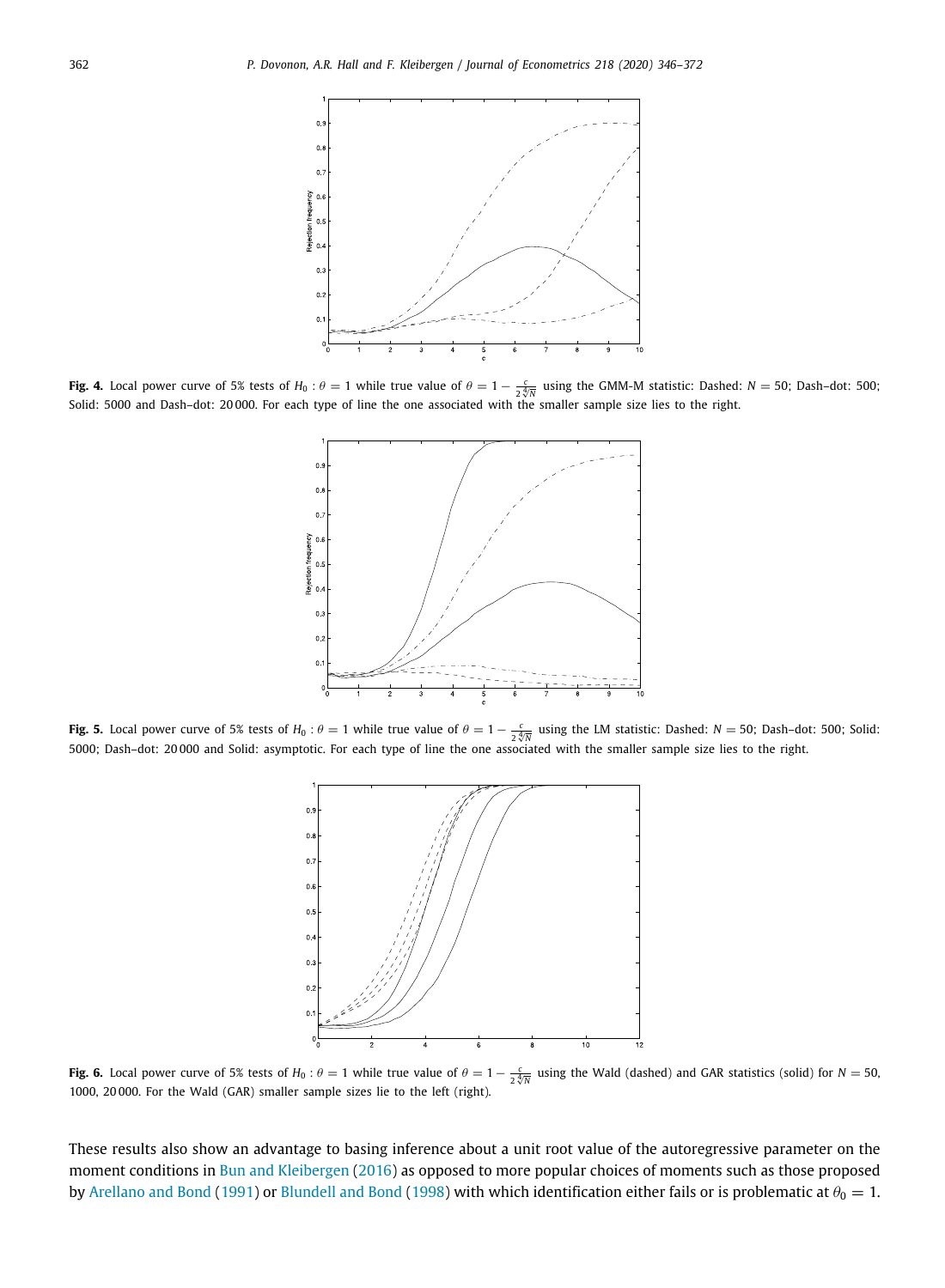

<span id="page-17-2"></span>**Fig. 4.** Local power curve of 5% tests of  $H_0: \theta = 1$  while true value of  $\theta = 1 - \frac{c}{2\sqrt[4]{N}}$  using the GMM-M statistic: Dashed:  $N = 50$ ; Dash–dot: 500; Solid: 5000 and Dash–dot: 20 000. For each type of line the one associated with the smaller sample size lies to the right.



<span id="page-17-0"></span>**Fig. 5.** Local power curve of 5% tests of  $H_0: \theta = 1$  while true value of  $\theta = 1 - \frac{c}{2\sqrt[4]{N}}$  using the LM statistic: Dashed: *N* = 50; Dash–dot: 500; Solid: 5000; Dash–dot: 20 000 and Solid: asymptotic. For each type of line the one associated with the smaller sample size lies to the right.



<span id="page-17-1"></span>**Fig. 6.** Local power curve of 5% tests of  $H_0: \theta = 1$  while true value of  $\theta = 1 - \frac{c}{2\sqrt[4]{N}}$  using the Wald (dashed) and GAR statistics (solid) for  $N = 50$ , 1000, 20 000. For the Wald (GAR) smaller sample sizes lie to the left (right).

These results also show an advantage to basing inference about a unit root value of the autoregressive parameter on the moment conditions in [Bun and Kleibergen](#page-27-15) ([2016\)](#page-27-15) as opposed to more popular choices of moments such as those proposed by [Arellano and Bond](#page-26-4) [\(1991](#page-26-4)) or [Blundell and Bond](#page-27-24) [\(1998](#page-27-24)) with which identification either fails or is problematic at  $\theta_0 = 1$ .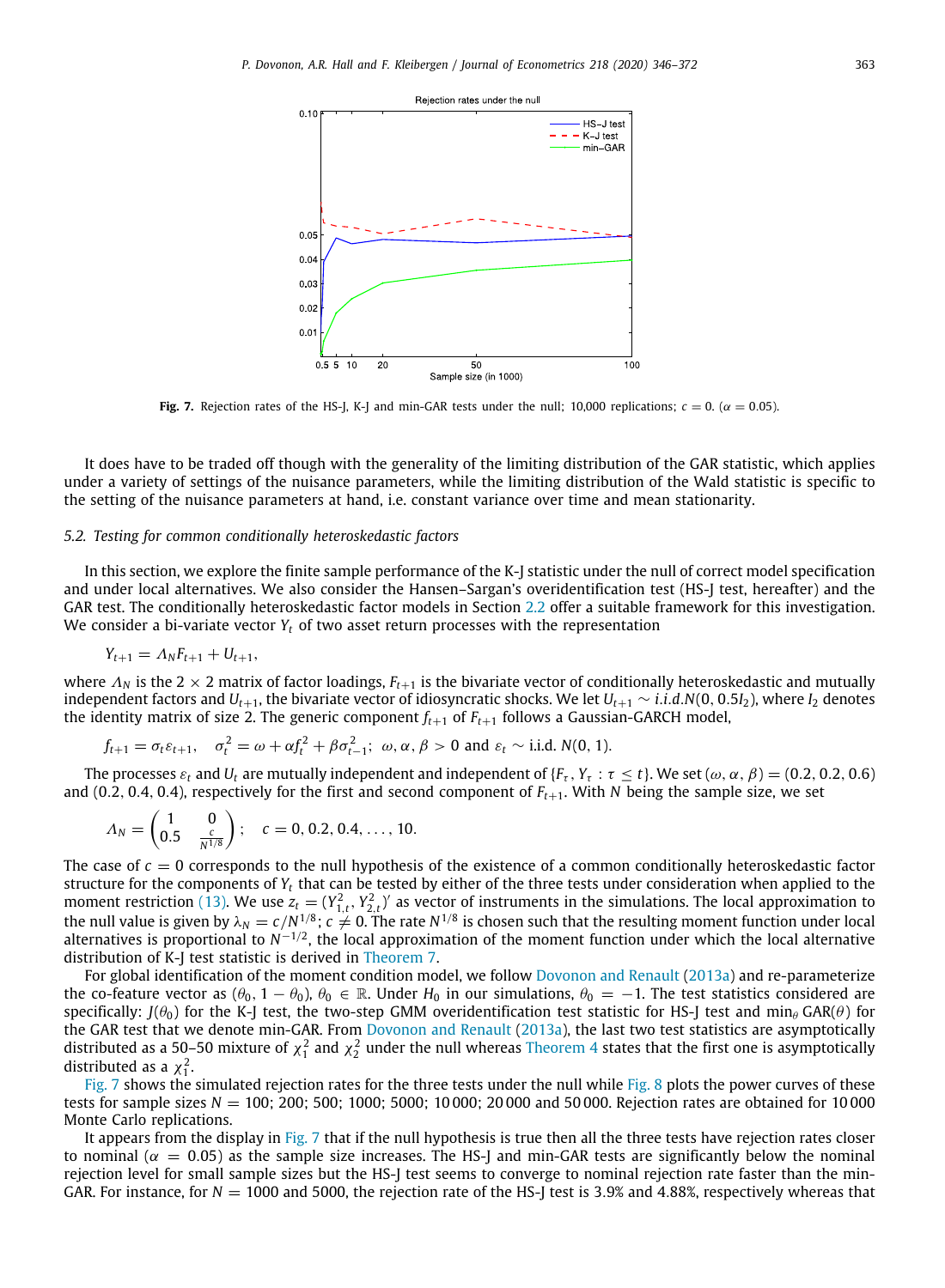

**Fig. 7.** Rejection rates of the HS-I, K-J and min-GAR tests under the null: 10,000 replications;  $c = 0$ ,  $(\alpha = 0.05)$ .

<span id="page-18-1"></span>It does have to be traded off though with the generality of the limiting distribution of the GAR statistic, which applies under a variety of settings of the nuisance parameters, while the limiting distribution of the Wald statistic is specific to the setting of the nuisance parameters at hand, i.e. constant variance over time and mean stationarity.

### *5.2. Testing for common conditionally heteroskedastic factors*

<span id="page-18-0"></span>In this section, we explore the finite sample performance of the K-J statistic under the null of correct model specification and under local alternatives. We also consider the Hansen–Sargan's overidentification test (HS-J test, hereafter) and the GAR test. The conditionally heteroskedastic factor models in Section [2.2](#page-5-6) offer a suitable framework for this investigation. We consider a bi-variate vector  $Y_t$  of two asset return processes with the representation

$$
Y_{t+1} = \Lambda_N F_{t+1} + U_{t+1},
$$

where  $\Lambda_N$  is the 2  $\times$  2 matrix of factor loadings,  $F_{t+1}$  is the bivariate vector of conditionally heteroskedastic and mutually independent factors and *Ut*+1, the bivariate vector of idiosyncratic shocks. We let *Ut*+<sup>1</sup> ∼ *i*.*i*.*d*.*N*(0, 0.5*I*2), where *I*<sup>2</sup> denotes the identity matrix of size 2. The generic component  $f_{t+1}$  of  $F_{t+1}$  follows a Gaussian-GARCH model,

$$
f_{t+1} = \sigma_t \varepsilon_{t+1}, \quad \sigma_t^2 = \omega + \alpha f_t^2 + \beta \sigma_{t-1}^2; \quad \omega, \alpha, \beta > 0 \text{ and } \varepsilon_t \sim \text{i.i.d. } N(0, 1).
$$

The processes  $\varepsilon_t$  and  $U_t$  are mutually independent and independent of  $\{F_\tau, Y_\tau : \tau \le t\}$ . We set  $(\omega, \alpha, \beta) = (0.2, 0.2, 0.6)$ and (0.2, 0.4, 0.4), respectively for the first and second component of  $F_{t+1}$ . With *N* being the sample size, we set

$$
\Lambda_N = \begin{pmatrix} 1 & 0 \\ 0.5 & \frac{c}{N^{1/8}} \end{pmatrix}; \quad c = 0, 0.2, 0.4, \ldots, 10.
$$

The case of  $c = 0$  corresponds to the null hypothesis of the existence of a common conditionally heteroskedastic factor structure for the components of *Y<sup>t</sup>* that can be tested by either of the three tests under consideration when applied to the moment restriction ([13](#page-5-4)). We use  $z_t = (Y_{1,t}^2, Y_{2,t}^2)$  as vector of instruments in the simulations. The local approximation to the null value is given by  $\lambda_N=c/N^{1/8}$ ;  $c\neq 0$ . The rate  $N^{1/8}$  is chosen such that the resulting moment function under local alternatives is proportional to  $N^{-1/2}$ , the local approximation of the moment function under which the local alternative distribution of K-J test statistic is derived in [Theorem](#page-14-1) [7](#page-14-1).

For global identification of the moment condition model, we follow [Dovonon and Renault](#page-27-13) [\(2013a\)](#page-27-13) and re-parameterize the co-feature vector as  $(\theta_0, 1 - \theta_0)$ ,  $\theta_0 \in \mathbb{R}$ . Under  $H_0$  in our simulations,  $\theta_0 = -1$ . The test statistics considered are specifically:  $J(\theta_0)$  for the K-J test, the two-step GMM overidentification test statistic for HS-J test and min $_\theta$  GAR( $\theta$ ) for the GAR test that we denote min-GAR. From [Dovonon and Renault](#page-27-13) [\(2013a\)](#page-27-13), the last two test statistics are asymptotically distributed as a 50–50 mixture of  $\chi^2_1$  and  $\chi^2_2$  under the null whereas [Theorem](#page-9-2) [4](#page-9-2) states that the first one is asymptotically distributed as a  $\chi_1^2$ .

[Fig.](#page-18-1) [7](#page-18-1) shows the simulated rejection rates for the three tests under the null while [Fig.](#page-19-0) [8](#page-19-0) plots the power curves of these tests for sample sizes *N* = 100; 200; 500; 1000; 5000; 10 000; 20 000 and 50 000. Rejection rates are obtained for 10 000 Monte Carlo replications.

It appears from the display in [Fig.](#page-18-1) [7](#page-18-1) that if the null hypothesis is true then all the three tests have rejection rates closer to nominal ( $\alpha = 0.05$ ) as the sample size increases. The HS-J and min-GAR tests are significantly below the nominal rejection level for small sample sizes but the HS-J test seems to converge to nominal rejection rate faster than the min-GAR. For instance, for  $N = 1000$  and 5000, the rejection rate of the HS-J test is 3.9% and 4.88%, respectively whereas that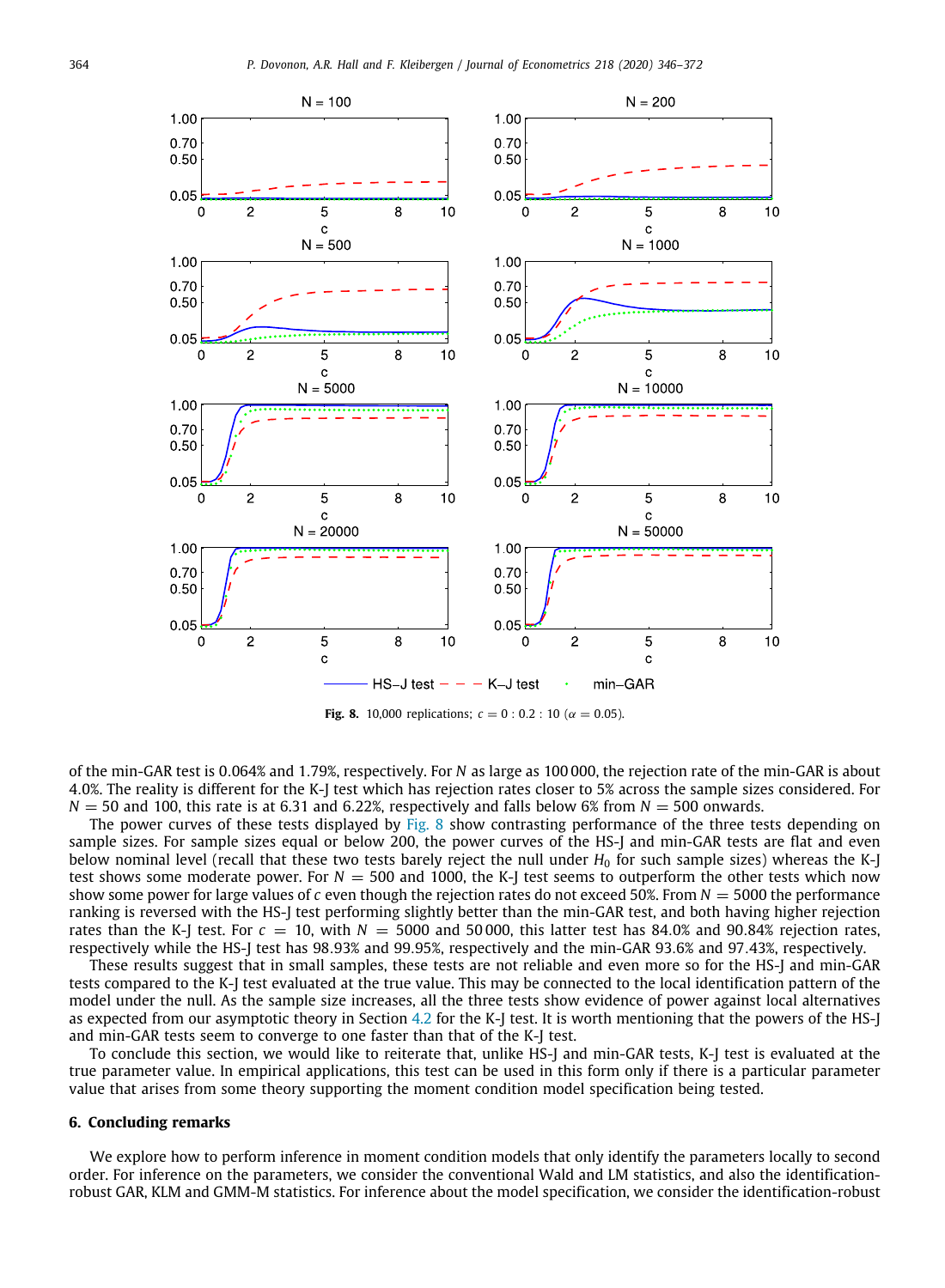

**Fig. 8.** 10,000 replications;  $c = 0$  : 0.2 : 10 ( $\alpha = 0.05$ ).

<span id="page-19-0"></span>of the min-GAR test is 0.064% and 1.79%, respectively. For *N* as large as 100 000, the rejection rate of the min-GAR is about 4.0%. The reality is different for the K-J test which has rejection rates closer to 5% across the sample sizes considered. For  $N = 50$  and 100, this rate is at 6.31 and 6.22%, respectively and falls below 6% from  $N = 500$  onwards.

The power curves of these tests displayed by [Fig.](#page-19-0) [8](#page-19-0) show contrasting performance of the three tests depending on sample sizes. For sample sizes equal or below 200, the power curves of the HS-J and min-GAR tests are flat and even below nominal level (recall that these two tests barely reject the null under  $H_0$  for such sample sizes) whereas the K-J test shows some moderate power. For  $N = 500$  and 1000, the K-J test seems to outperform the other tests which now show some power for large values of *c* even though the rejection rates do not exceed 50%. From  $N = 5000$  the performance ranking is reversed with the HS-J test performing slightly better than the min-GAR test, and both having higher rejection rates than the K-J test. For  $c = 10$ , with  $N = 5000$  and 50 000, this latter test has 84.0% and 90.84% rejection rates, respectively while the HS-J test has 98.93% and 99.95%, respectively and the min-GAR 93.6% and 97.43%, respectively.

These results suggest that in small samples, these tests are not reliable and even more so for the HS-J and min-GAR tests compared to the K-J test evaluated at the true value. This may be connected to the local identification pattern of the model under the null. As the sample size increases, all the three tests show evidence of power against local alternatives as expected from our asymptotic theory in Section [4.2](#page-13-0) for the K-J test. It is worth mentioning that the powers of the HS-J and min-GAR tests seem to converge to one faster than that of the K-J test.

To conclude this section, we would like to reiterate that, unlike HS-J and min-GAR tests, K-J test is evaluated at the true parameter value. In empirical applications, this test can be used in this form only if there is a particular parameter value that arises from some theory supporting the moment condition model specification being tested.

### **6. Concluding remarks**

We explore how to perform inference in moment condition models that only identify the parameters locally to second order. For inference on the parameters, we consider the conventional Wald and LM statistics, and also the identificationrobust GAR, KLM and GMM-M statistics. For inference about the model specification, we consider the identification-robust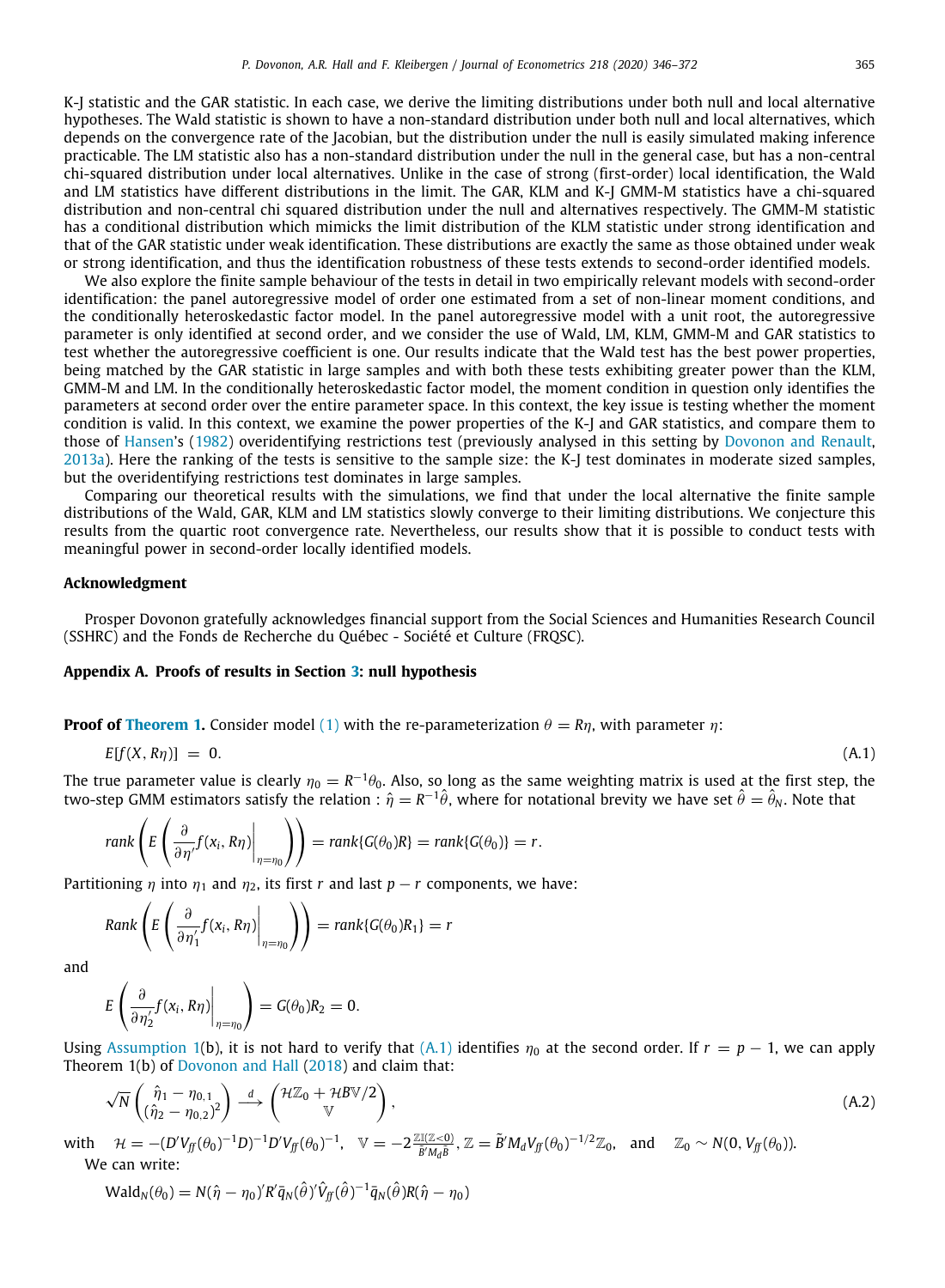K-J statistic and the GAR statistic. In each case, we derive the limiting distributions under both null and local alternative hypotheses. The Wald statistic is shown to have a non-standard distribution under both null and local alternatives, which depends on the convergence rate of the Jacobian, but the distribution under the null is easily simulated making inference practicable. The LM statistic also has a non-standard distribution under the null in the general case, but has a non-central chi-squared distribution under local alternatives. Unlike in the case of strong (first-order) local identification, the Wald and LM statistics have different distributions in the limit. The GAR, KLM and K-J GMM-M statistics have a chi-squared distribution and non-central chi squared distribution under the null and alternatives respectively. The GMM-M statistic has a conditional distribution which mimicks the limit distribution of the KLM statistic under strong identification and that of the GAR statistic under weak identification. These distributions are exactly the same as those obtained under weak or strong identification, and thus the identification robustness of these tests extends to second-order identified models.

We also explore the finite sample behaviour of the tests in detail in two empirically relevant models with second-order identification: the panel autoregressive model of order one estimated from a set of non-linear moment conditions, and the conditionally heteroskedastic factor model. In the panel autoregressive model with a unit root, the autoregressive parameter is only identified at second order, and we consider the use of Wald, LM, KLM, GMM-M and GAR statistics to test whether the autoregressive coefficient is one. Our results indicate that the Wald test has the best power properties, being matched by the GAR statistic in large samples and with both these tests exhibiting greater power than the KLM, GMM-M and LM. In the conditionally heteroskedastic factor model, the moment condition in question only identifies the parameters at second order over the entire parameter space. In this context, the key issue is testing whether the moment condition is valid. In this context, we examine the power properties of the K-J and GAR statistics, and compare them to those of [Hansen](#page-27-0)'s [\(1982](#page-27-0)) overidentifying restrictions test (previously analysed in this setting by [Dovonon and Renault](#page-27-13), [2013a](#page-27-13)). Here the ranking of the tests is sensitive to the sample size: the K-J test dominates in moderate sized samples, but the overidentifying restrictions test dominates in large samples.

Comparing our theoretical results with the simulations, we find that under the local alternative the finite sample distributions of the Wald, GAR, KLM and LM statistics slowly converge to their limiting distributions. We conjecture this results from the quartic root convergence rate. Nevertheless, our results show that it is possible to conduct tests with meaningful power in second-order locally identified models.

### **Acknowledgment**

Prosper Dovonon gratefully acknowledges financial support from the Social Sciences and Humanities Research Council (SSHRC) and the Fonds de Recherche du Québec - Société et Culture (FRQSC).

### **Appendix A. Proofs of results in Section [3](#page-6-4): null hypothesis**

<span id="page-20-1"></span>**Proof of [Theorem](#page-8-3) [1](#page-8-3).** Consider model [\(1](#page-3-0)) with the re-parameterization  $\theta = R\eta$ , with parameter  $\eta$ :

<span id="page-20-2"></span>
$$
E[f(X, R\eta)] = 0. \tag{A.1}
$$

The true parameter value is clearly  $\eta_0=R^{-1}\theta_0$ . Also, so long as the same weighting matrix is used at the first step, the two-step GMM estimators satisfy the relation :  $\hat{\eta}=R^{-1}\hat{\theta}$ , where for notational brevity we have set  $\hat{\theta}=\hat{\theta}_N$ . Note that

$$
rank\left(E\left(\frac{\partial}{\partial \eta'}f(x_i,R\eta)\bigg|_{\eta=\eta_0}\right)\right)=rank\{G(\theta_0)R\}=rank\{G(\theta_0)\}=r.
$$

Partitioning  $\eta$  into  $\eta_1$  and  $\eta_2$ , its first *r* and last  $p - r$  components, we have:

$$
Rank\left(E\left(\frac{\partial}{\partial \eta_1'}f(x_i,R\eta)\bigg|_{\eta=\eta_0}\right)\right)=rank\{G(\theta_0)R_1\}=r
$$

and

$$
E\left(\frac{\partial}{\partial \eta_2'}f(x_i,R\eta)\bigg|_{\eta=\eta_0}\right)=G(\theta_0)R_2=0.
$$

Using [Assumption](#page-4-3) [1\(](#page-4-3)b), it is not hard to verify that [\(A.1](#page-20-2)) identifies  $\eta_0$  at the second order. If  $r = p - 1$ , we can apply Theorem 1(b) of [Dovonon and Hall](#page-27-17) [\(2018](#page-27-17)) and claim that:

$$
\sqrt{N} \begin{pmatrix} \hat{\eta}_1 - \eta_{0,1} \\ (\hat{\eta}_2 - \eta_{0,2})^2 \end{pmatrix} \stackrel{d}{\longrightarrow} \begin{pmatrix} \mathcal{H}\mathbb{Z}_0 + \mathcal{H} \mathcal{B} \mathbb{V}/2 \\ \mathbb{V} \end{pmatrix},\tag{A.2}
$$

with  $\mathcal{H} = - (D'V_{ff}(\theta_0)^{-1}D)^{-1}D'V_{ff}(\theta_0)^{-1}, \quad \mathbb{V} = -2 \frac{\mathbb{Z} \mathbb{Z} (\mathbb{Z}<0)}{\tilde{B}'M_d\tilde{B}}, \mathbb{Z} = \tilde{B}'M_dV_{ff}(\theta_0)^{-1/2}\mathbb{Z}_0, \text{ and } \mathbb{Z}_0 \sim N(0, V_{ff}(\theta_0)).$ We can write:

<span id="page-20-0"></span>
$$
Wald_N(\theta_0) = N(\hat{\eta} - \eta_0)'R'\bar{q}_N(\hat{\theta})'\hat{V}_{ff}(\hat{\theta})^{-1}\bar{q}_N(\hat{\theta})R(\hat{\eta} - \eta_0)
$$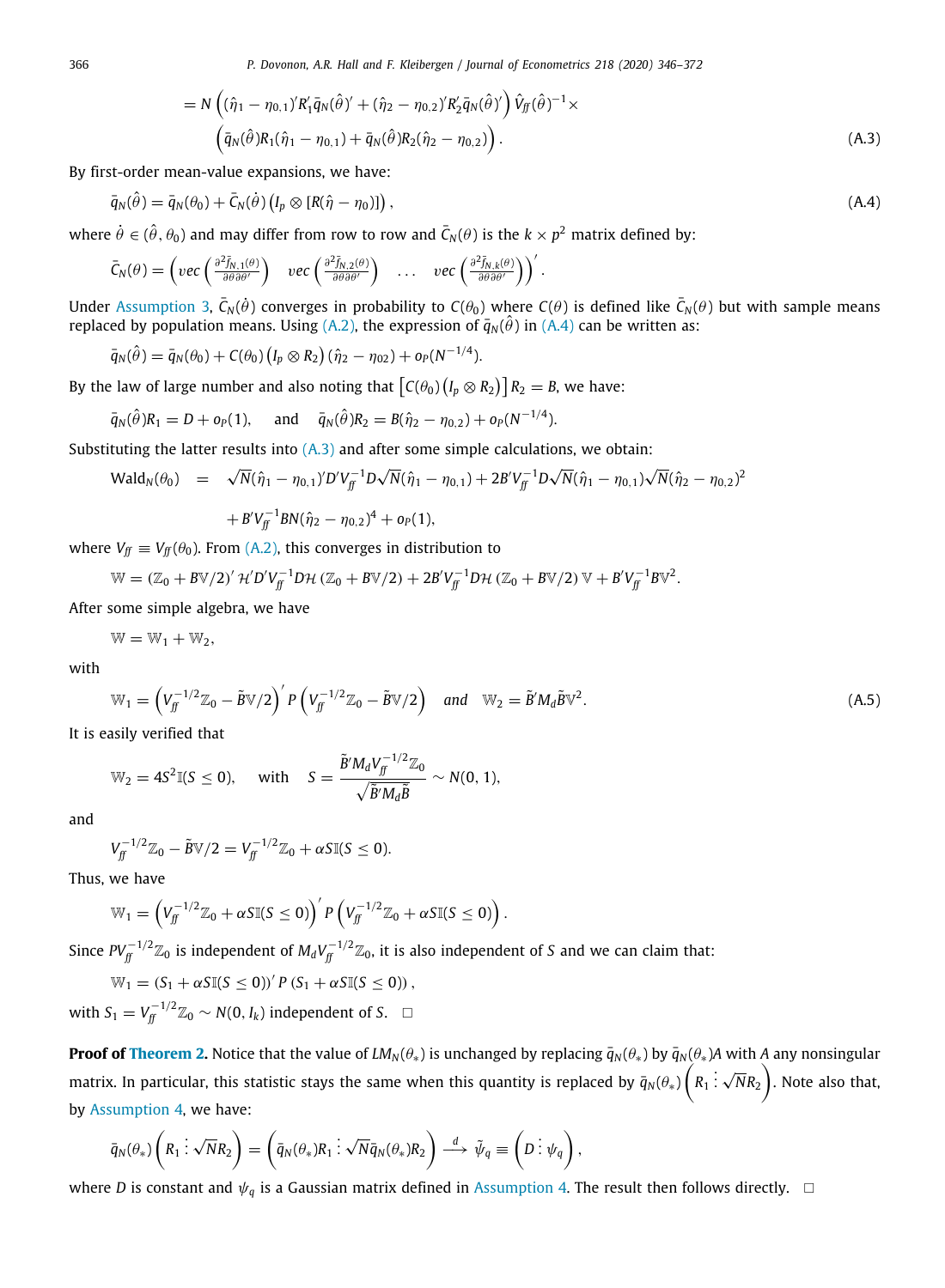366 *P. Dovonon, A.R. Hall and F. Kleibergen / Journal of Econometrics 218 (2020) 346–372*

<span id="page-21-1"></span><span id="page-21-0"></span>
$$
= N \left( (\hat{\eta}_1 - \eta_{0,1})' R'_1 \bar{q}_N (\hat{\theta})' + (\hat{\eta}_2 - \eta_{0,2})' R'_2 \bar{q}_N (\hat{\theta})' \right) \hat{V}_{ff} (\hat{\theta})^{-1} \times (\bar{q}_N (\hat{\theta}) R_1 (\hat{\eta}_1 - \eta_{0,1}) + \bar{q}_N (\hat{\theta}) R_2 (\hat{\eta}_2 - \eta_{0,2}) \right).
$$
 (A.3)

By first-order mean-value expansions, we have:

$$
\bar{q}_N(\hat{\theta}) = \bar{q}_N(\theta_0) + \bar{C}_N(\dot{\theta}) \left( I_p \otimes \left[ R(\hat{\eta} - \eta_0) \right] \right),\tag{A.4}
$$

where  $\dot{\theta}\in(\hat{\theta},\theta_0)$  and may differ from row to row and  $\bar{C}_N(\theta)$  is the  $k\times p^2$  matrix defined by:

$$
\bar{C}_N(\theta) = \left( vec\left( \frac{\partial^2 \bar{f}_{N,1}(\theta)}{\partial \theta \partial \theta'} \right) \quad vec\left( \frac{\partial^2 \bar{f}_{N,2}(\theta)}{\partial \theta \partial \theta'} \right) \quad \ldots \quad vec\left( \frac{\partial^2 \bar{f}_{N,k}(\theta)}{\partial \theta \partial \theta'} \right) \right)'.
$$

Under [Assumption](#page-7-3) [3,](#page-7-3)  $\bar{C}_N(\dot{\theta})$  converges in probability to  $C(\theta_0)$  where  $C(\theta)$  is defined like  $\bar{C}_N(\theta)$  but with sample means replaced by population means. Using [\(A.2](#page-20-0)), the expression of  $\bar{q}_N(\hat{\theta})$  in [\(A.4\)](#page-21-0) can be written as:

$$
\overline{q}_N(\hat{\theta}) = \overline{q}_N(\theta_0) + C(\theta_0) \left( I_p \otimes R_2 \right) (\hat{\eta}_2 - \eta_{02}) + o_P(N^{-1/4}).
$$

By the law of large number and also noting that  $\big\lceil C(\theta_0)\big(I_p\otimes R_2\big)\big\rceil R_2 =$  B, we have:

$$
\bar{q}_N(\hat{\theta})R_1 = D + o_P(1)
$$
, and  $\bar{q}_N(\hat{\theta})R_2 = B(\hat{\eta}_2 - \eta_{0,2}) + o_P(N^{-1/4})$ .

Substituting the latter results into  $(A.3)$  $(A.3)$  and after some simple calculations, we obtain:

$$
\begin{array}{rcl}\n\mathsf{Wald}_{N}(\theta_{0}) & = & \sqrt{N}(\hat{\eta}_{1} - \eta_{0,1})' D' V_{\bar{f}}^{-1} D \sqrt{N} (\hat{\eta}_{1} - \eta_{0,1}) + 2B' V_{\bar{f}}^{-1} D \sqrt{N} (\hat{\eta}_{1} - \eta_{0,1}) \sqrt{N} (\hat{\eta}_{2} - \eta_{0,2})^{2} \\
& & \quad + B' V_{\bar{f}}^{-1} B N (\hat{\eta}_{2} - \eta_{0,2})^{4} + o_{P}(1),\n\end{array}
$$

where  $V_f \equiv V_f(\theta_0)$ . From [\(A.2\)](#page-20-0), this converges in distribution to

$$
\mathbb{W} = (\mathbb{Z}_0 + B\mathbb{V}/2)' \mathcal{H}'D'V_{ff}^{-1}D\mathcal{H} (\mathbb{Z}_0 + B\mathbb{V}/2) + 2B'V_{ff}^{-1}D\mathcal{H} (\mathbb{Z}_0 + B\mathbb{V}/2) \mathbb{V} + B'V_{ff}^{-1}B\mathbb{V}^2.
$$

After some simple algebra, we have

$$
\mathbb{W}=\mathbb{W}_1+\mathbb{W}_2,
$$

with

$$
\mathbb{W}_1 = \left(V_f^{-1/2}\mathbb{Z}_0 - \tilde{B}\mathbb{V}/2\right)'P\left(V_f^{-1/2}\mathbb{Z}_0 - \tilde{B}\mathbb{V}/2\right) \quad \text{and} \quad \mathbb{W}_2 = \tilde{B}'M_d\tilde{B}\mathbb{V}^2. \tag{A.5}
$$

It is easily verified that

$$
\mathbb{W}_2 = 4S^2 \mathbb{I}(S \leq 0), \quad \text{ with } \quad S = \frac{\tilde{B}' M_d V_f^{-1/2} \mathbb{Z}_0}{\sqrt{\tilde{B}' M_d \tilde{B}}} \sim N(0, 1),
$$

and

$$
V_f^{-1/2}\mathbb{Z}_0 - \tilde{B}\mathbb{V}/2 = V_f^{-1/2}\mathbb{Z}_0 + \alpha S \mathbb{I}(S \le 0).
$$

Thus, we have

$$
\mathbb{W}_1 = \left(V_f^{-1/2}\mathbb{Z}_0 + \alpha S \mathbb{I}(S \leq 0)\right)' P\left(V_f^{-1/2}\mathbb{Z}_0 + \alpha S \mathbb{I}(S \leq 0)\right).
$$

Since  $PV_{\it ff}^{-1/2}\mathbb{Z}_0$  is independent of  $M_dV_{\it ff}^{-1/2}\mathbb{Z}_0$ , it is also independent of S and we can claim that:

$$
\mathbb{W}_1 = (S_1 + \alpha S \mathbb{I}(S \le 0))' P (S_1 + \alpha S \mathbb{I}(S \le 0)),
$$
  
with  $S_1 = V_f^{-1/2} \mathbb{Z}_0 \sim N(0, I_k)$  independent of S.  $\square$ 

**Proof of [Theorem](#page-9-0) [2.](#page-9-0)** Notice that the value of *LM<sub>N</sub>*( $\theta_*$ ) is unchanged by replacing  $\bar{q}_N(\theta_*)$  by  $\bar{q}_N(\theta_*)$  with *A* any nonsingular matrix. In particular, this statistic stays the same when this quantity is replaced by  $\bar q_{N}(\theta_*)\bigg(R_1)$ . . . √  $(\overline{N}R_{2}^{\phantom{\dag}})$ . Note also that, by [Assumption](#page-7-2) [4](#page-7-2), we have:

$$
\bar{q}_N(\theta_*)\left(R_1 \dot{:} \sqrt{N}R_2\right) = \left(\bar{q}_N(\theta_*)R_1 \dot{:} \sqrt{N}\bar{q}_N(\theta_*)R_2\right) \stackrel{d}{\longrightarrow} \tilde{\psi}_q \equiv \left(D \dot{:} \psi_q\right),
$$

where *D* is constant and  $\psi_q$  is a Gaussian matrix defined in [Assumption](#page-7-2) [4.](#page-7-2) The result then follows directly.  $\Box$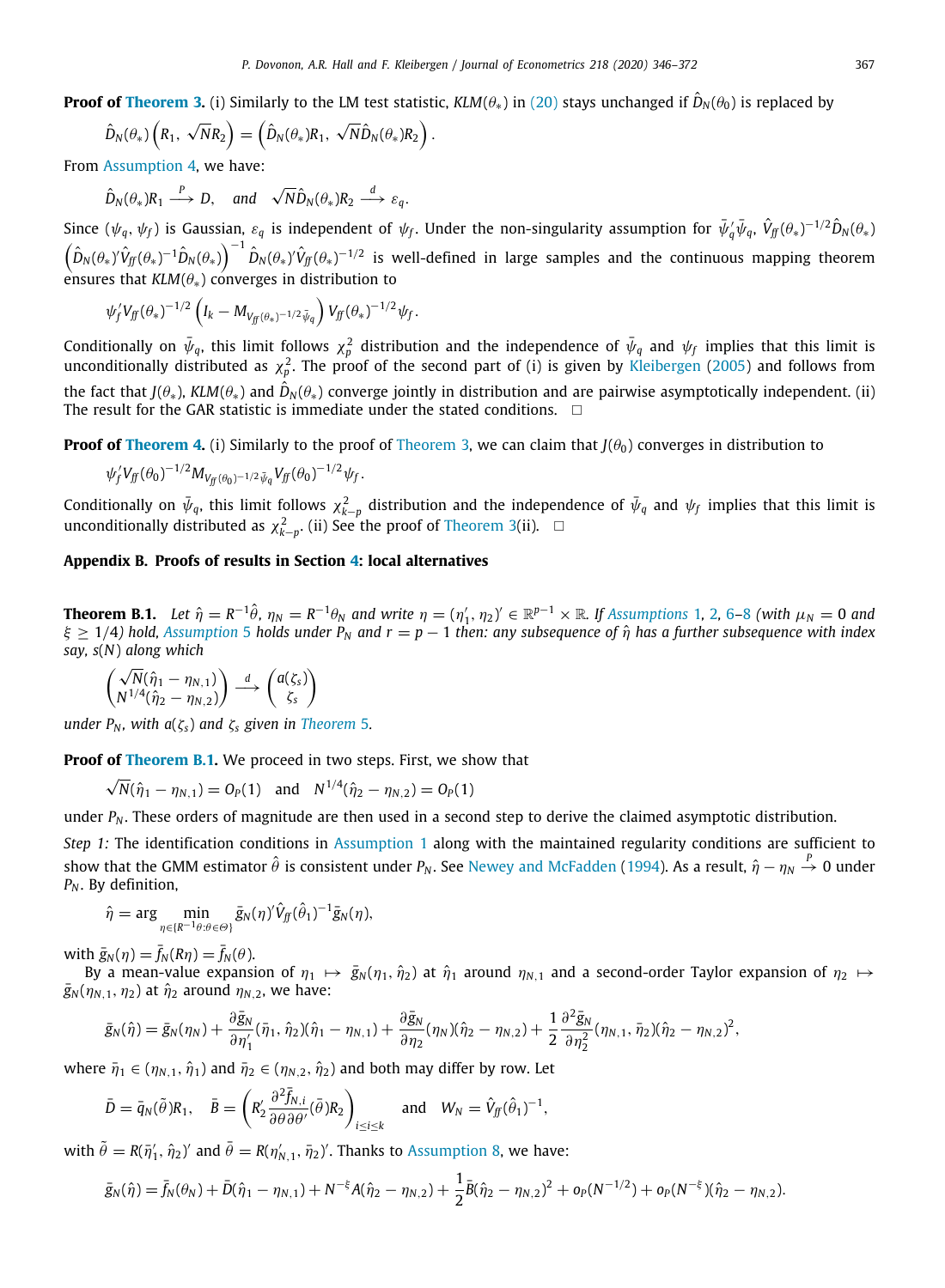**Proof of [Theorem](#page-9-1) [3](#page-9-1).** (i) Similarly to the LM test statistic,  $KLM(\theta_*)$  in ([20](#page-6-3)) stays unchanged if  $\hat{D}_N(\theta_0)$  is replaced by

$$
\hat{D}_N(\theta_*)\left(R_1, \sqrt{N}R_2\right) = \left(\hat{D}_N(\theta_*)R_1, \sqrt{N}\hat{D}_N(\theta_*)R_2\right).
$$

From [Assumption](#page-7-2) [4,](#page-7-2) we have:

$$
\hat{D}_N(\theta_*)R_1 \xrightarrow{P} D
$$
, and  $\sqrt{N}\hat{D}_N(\theta_*)R_2 \xrightarrow{d} \varepsilon_q$ .

Since  $(\psi_q,\psi_f)$  is Gaussian,  $\varepsilon_q$  is independent of  $\psi_f$ . Under the non-singularity assumption for  $\bar\psi_q'\bar\psi_q$ ,  $\hat V_f(\theta_*)^{-1/2} \hat D_N(\theta_*)$  $\left(\hat{D}_N(\theta_*)^{\hat{}}\hat{V}_{\hat{J}^{\hat{r}}}(\theta_*)^{-1}\hat{D}_N(\theta_*)\right)^{-1}\hat{D}_N(\theta_*)^{\hat{}}\hat{V}_{\hat{J}^{\hat{r}}}(\theta_*)^{-1/2}$  is well-defined in large samples and the continuous mapping theorem ensures that *KLM*(θ∗) converges in distribution to

$$
\psi_f' V_{ff} (\theta_*)^{-1/2} \left( I_k - M_{V_{ff} (\theta_*)^{-1/2} \bar{\psi}_q} \right) V_{ff} (\theta_*)^{-1/2} \psi_f.
$$

Conditionally on  $\bar{\psi}_q$ , this limit follows  $\chi_p^2$  distribution and the independence of  $\bar{\psi}_q$  and  $\psi_f$  implies that this limit is unconditionally distributed as  $\chi^2_p$ . The proof of the second part of (i) is given by [Kleibergen](#page-27-5) ([2005\)](#page-27-5) and follows from the fact that *J*( $\theta_*$ ), *KLM*( $\theta_*$ ) and  $\hat{D}_N(\theta_*)$  converge jointly in distribution and are pairwise asymptotically independent. (ii) The result for the GAR statistic is immediate under the stated conditions.  $\Box$ 

**Proof of [Theorem](#page-9-1) [4](#page-9-2).** (i) Similarly to the proof of Theorem [3](#page-9-1), we can claim that  $J(\theta_0)$  converges in distribution to

$$
\psi_f'V_{f\!f}(\theta_0)^{-1/2}M_{V_{f\!f}(\theta_0)^{-1/2}\bar\psi_q}V_{f\!f}(\theta_0)^{-1/2}\psi_f.
$$

Conditionally on  $\bar{\psi}_q$ , this limit follows  $\chi^2_{k-p}$  distribution and the independence of  $\bar{\psi}_q$  and  $\psi_f$  implies that this limit is unconditionally distributed as  $\chi^2_{k-p}$ . (ii) See the proof of [Theorem](#page-9-1) [3\(](#page-9-1)ii).  $\Box$ 

### **Appendix B. Proofs of results in Section [4:](#page-10-4) local alternatives**

<span id="page-22-0"></span>**Theorem B.[1](#page-4-3).** Let  $\hat{\eta} = R^{-1}\hat{\theta}$ ,  $\eta_N = R^{-1}\theta_N$  and write  $\eta = (\eta'_1, \eta_2)' \in \mathbb{R}^{p-1} \times \mathbb{R}$  $\eta = (\eta'_1, \eta_2)' \in \mathbb{R}^{p-1} \times \mathbb{R}$  $\eta = (\eta'_1, \eta_2)' \in \mathbb{R}^{p-1} \times \mathbb{R}$ . If [Assumptions](#page-4-3) 1, 2, [6](#page-10-2)–[8](#page-10-3) (with  $\mu_N = 0$  and ξ ≥ 1/4*) hold, [Assumption](#page-8-1)* [5](#page-8-1) *holds under P<sup>N</sup> and r* = *p* − 1 *then: any subsequence of* ηˆ *has a further subsequence with index say, s*(*N*) *along which*

$$
\begin{pmatrix}\n\sqrt{N}(\hat{\eta}_1 - \eta_{N,1}) \\
N^{1/4}(\hat{\eta}_2 - \eta_{N,2})\n\end{pmatrix} \stackrel{d}{\longrightarrow} \begin{pmatrix}\na(\zeta_s) \\
\zeta_s\n\end{pmatrix}
$$

*under P<sub>N</sub>*, *with*  $a(\zeta_s)$  *and*  $\zeta_s$  *given in [Theorem](#page-11-2) [5](#page-11-2).* 

**Proof of [Theorem](#page-22-0) [B.1.](#page-22-0)** We proceed in two steps. First, we show that √

$$
\sqrt{N}(\hat{\eta}_1 - \eta_{N,1}) = O_P(1)
$$
 and  $N^{1/4}(\hat{\eta}_2 - \eta_{N,2}) = O_P(1)$ 

under  $P_N$ . These orders of magnitude are then used in a second step to derive the claimed asymptotic distribution.

*Step 1:* The identification conditions in [Assumption](#page-4-3) [1](#page-4-3) along with the maintained regularity conditions are sufficient to show that the GMM estimator  $\hat{\theta}$  is consistent under  $P_N.$  See [Newey and McFadden](#page-27-33) [\(1994](#page-27-33)). As a result,  $\hat{\eta}-\eta_N\stackrel{P}{\to}0$  under *P<sup>N</sup>* . By definition,

$$
\hat{\eta} = \arg \min_{\eta \in \{R^{-1}\theta : \theta \in \Theta\}} \bar{g}_N(\eta)' \hat{V}_{ff}(\hat{\theta}_1)^{-1} \bar{g}_N(\eta),
$$

with  $\bar{g}_N(\eta) = \bar{f}_N(R\eta) = \bar{f}_N(\theta)$ .

By a mean-value expansion of  $\eta_1 \mapsto \bar{g}_N(\eta_1, \hat{\eta}_2)$  at  $\hat{\eta}_1$  around  $\eta_{N,1}$  and a second-order Taylor expansion of  $\eta_2 \mapsto$  $\bar{g}_N(\eta_{N,1}, \eta_2)$  at  $\hat{\eta}_2$  around  $\eta_{N,2}$ , we have:

$$
\bar{g}_N(\hat{\eta}) = \bar{g}_N(\eta_N) + \frac{\partial \bar{g}_N}{\partial \eta_1'}(\bar{\eta}_1, \hat{\eta}_2)(\hat{\eta}_1 - \eta_{N,1}) + \frac{\partial \bar{g}_N}{\partial \eta_2}(\eta_N)(\hat{\eta}_2 - \eta_{N,2}) + \frac{1}{2} \frac{\partial^2 \bar{g}_N}{\partial \eta_2^2}(\eta_{N,1}, \bar{\eta}_2)(\hat{\eta}_2 - \eta_{N,2})^2,
$$

where  $\bar{\eta}_1 \in (\eta_{N,1}, \hat{\eta}_1)$  and  $\bar{\eta}_2 \in (\eta_{N,2}, \hat{\eta}_2)$  and both may differ by row. Let

$$
\bar{D} = \bar{q}_N(\tilde{\theta})R_1, \quad \bar{B} = \left(R'_2 \frac{\partial^2 \bar{f}_{N,i}}{\partial \theta \partial \theta'}(\bar{\theta})R_2\right)_{i \le i \le k} \quad \text{and} \quad W_N = \hat{V}_{jj}(\hat{\theta}_1)^{-1},
$$

with  $\tilde{\theta} = R(\bar{\eta}'_1, \hat{\eta}_2)'$  and  $\bar{\theta} = R(\eta'_{N,1}, \bar{\eta}_2)'$ . Thanks to [Assumption](#page-10-3) [8](#page-10-3), we have:

$$
\bar{g}_N(\hat{\eta}) = \bar{f}_N(\theta_N) + \bar{D}(\hat{\eta}_1 - \eta_{N,1}) + N^{-\xi}A(\hat{\eta}_2 - \eta_{N,2}) + \frac{1}{2}\bar{B}(\hat{\eta}_2 - \eta_{N,2})^2 + o_P(N^{-1/2}) + o_P(N^{-\xi})(\hat{\eta}_2 - \eta_{N,2}).
$$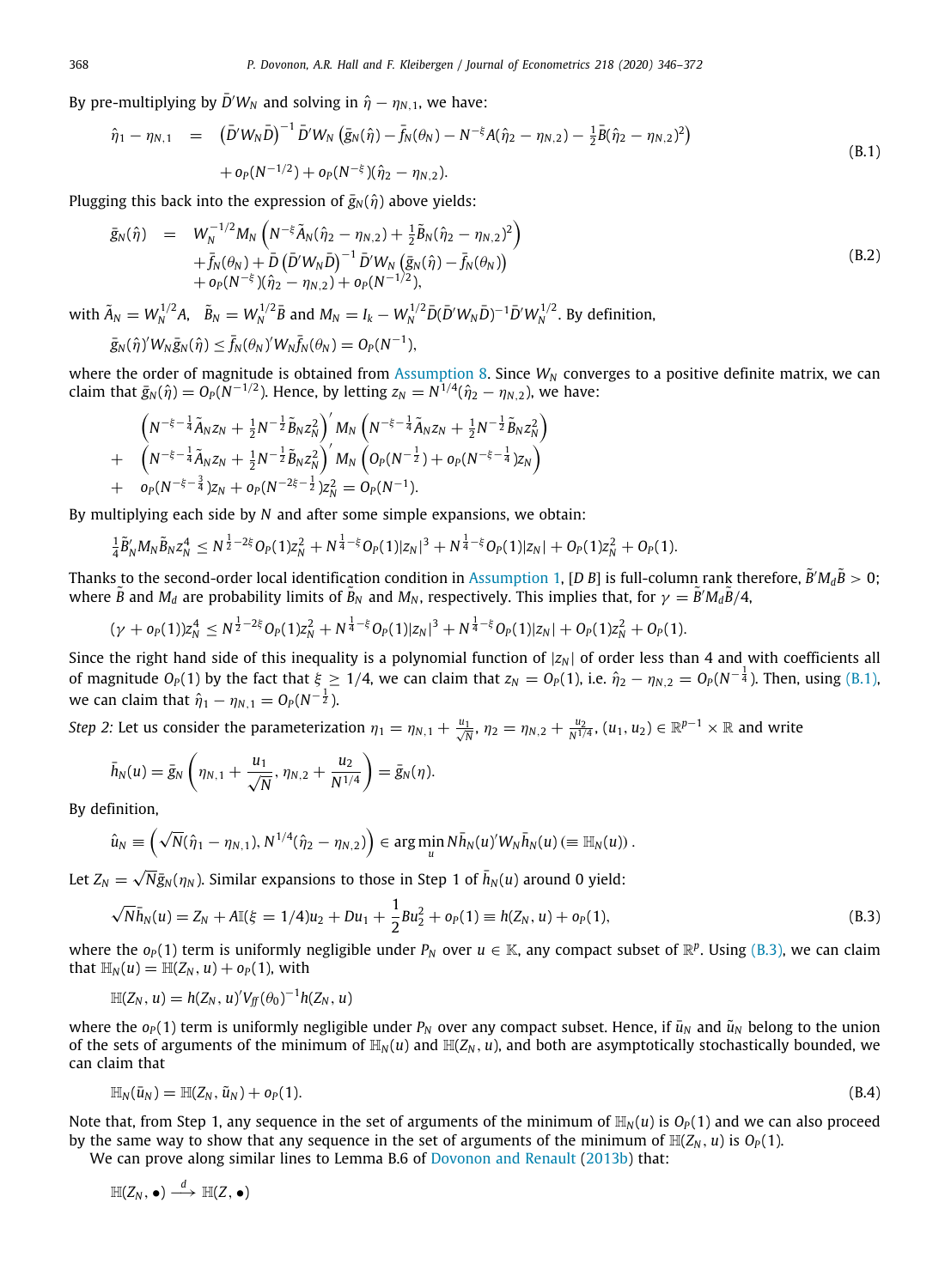By pre-multiplying by  $\bar{D}'W_N$  and solving in  $\hat{\eta} - \eta_{N,1}$ , we have:

<span id="page-23-0"></span>
$$
\hat{\eta}_1 - \eta_{N,1} = (\bar{D}'W_N\bar{D})^{-1}\bar{D}'W_N(\bar{g}_N(\hat{\eta}) - \bar{f}_N(\theta_N) - N^{-\xi}A(\hat{\eta}_2 - \eta_{N,2}) - \frac{1}{2}\bar{B}(\hat{\eta}_2 - \eta_{N,2})^2) \n+ o_P(N^{-1/2}) + o_P(N^{-\xi})(\hat{\eta}_2 - \eta_{N,2}).
$$
\n(B.1)

Plugging this back into the expression of  $\bar{g}_N(\hat{\eta})$  above yields:

$$
\bar{g}_{N}(\hat{\eta}) = W_{N}^{-1/2} M_{N} \left( N^{-\xi} \tilde{A}_{N}(\hat{\eta}_{2} - \eta_{N,2}) + \frac{1}{2} \tilde{B}_{N}(\hat{\eta}_{2} - \eta_{N,2})^{2} \right) \n+ \bar{f}_{N}(\theta_{N}) + \bar{D} \left( \bar{D}' W_{N} \bar{D} \right)^{-1} \bar{D}' W_{N} \left( \bar{g}_{N}(\hat{\eta}) - \bar{f}_{N}(\theta_{N}) \right) \n+ o_{P}(N^{-\xi}) (\hat{\eta}_{2} - \eta_{N,2}) + o_{P}(N^{-1/2}),
$$
\n(B.2)

with  $\tilde{A}_N = W_N^{1/2} A$ ,  $\tilde{B}_N = W_N^{1/2} \bar{B}$  and  $M_N = I_k - W_N^{1/2} \bar{D} (\bar{D}' W_N \bar{D})^{-1} \bar{D}' W_N^{1/2}$ . By definition,

$$
\bar{g}_N(\hat{\eta})'W_N\bar{g}_N(\hat{\eta}) \leq \bar{f}_N(\theta_N)'W_N\bar{f}_N(\theta_N) = O_P(N^{-1}),
$$

where the order of magnitude is obtained from [Assumption](#page-10-3) [8.](#page-10-3) Since  $W_N$  converges to a positive definite matrix, we can claim that  $\bar{g}_N(\hat{\eta}) = O_P(N^{-1/2})$ . Hence, by letting  $z_N = N^{1/4}(\hat{\eta}_2 - \eta_{N,2})$ , we have:

$$
\begin{array}{l} \left(N^{-\xi-\frac{1}{4}}\tilde{A}_N z_N + \frac{1}{2}N^{-\frac{1}{2}}\tilde{B}_N z_N^2\right)' M_N \left(N^{-\xi-\frac{1}{4}}\tilde{A}_N z_N + \frac{1}{2}N^{-\frac{1}{2}}\tilde{B}_N z_N^2\right) \\ + \left(N^{-\xi-\frac{1}{4}}\tilde{A}_N z_N + \frac{1}{2}N^{-\frac{1}{2}}\tilde{B}_N z_N^2\right)' M_N \left(O_P(N^{-\frac{1}{2}}) + o_P(N^{-\xi-\frac{1}{4}})z_N\right) \\ + o_P(N^{-\xi-\frac{3}{4}})z_N + o_P(N^{-2\xi-\frac{1}{2}})z_N^2 = O_P(N^{-1}). \end{array}
$$

By multiplying each side by *N* and after some simple expansions, we obtain:

$$
\frac{1}{4}\tilde{B}'_N M_N \tilde{B}_N z_N^4 \leq N^{\frac{1}{2}-2\xi} O_P(1) z_N^2 + N^{\frac{1}{4}-\xi} O_P(1) |z_N|^3 + N^{\frac{1}{4}-\xi} O_P(1) |z_N| + O_P(1) z_N^2 + O_P(1).
$$

Thanks to the second-order local identification condition in [Assumption](#page-4-3) [1](#page-4-3), [D B] is full-column rank therefore,  $\tilde{B}'M_d\tilde{B} > 0$ ; where  $\tilde{B}$  and  $M_d$  are probability limits of  $\tilde{B}_N$  and  $M_N$ , respectively. This implies that, for  $\gamma = \tilde{B}' M_d \tilde{B}/4$ ,

$$
(\gamma + o_P(1))z_N^4 \leq N^{\frac{1}{2}-2\xi}O_P(1)z_N^2 + N^{\frac{1}{4}-\xi}O_P(1)|z_N|^3 + N^{\frac{1}{4}-\xi}O_P(1)|z_N| + O_P(1)z_N^2 + O_P(1).
$$

Since the right hand side of this inequality is a polynomial function of  $|z_N|$  of order less than 4 and with coefficients all of magnitude  $O_P(1)$  by the fact that  $\xi\geq 1/4$ , we can claim that  $z_N=O_P(1)$ , i.e.  $\hat\eta_2-\eta_{N,2}=O_P(N^{-\frac{1}{4}}).$  Then, using ([B.1](#page-23-0)), we can claim that  $\hat{\eta}_1 - \eta_{N,1} = O_P(N^{-\frac{1}{2}})$ .

*Step 2:* Let us consider the parameterization  $\eta_1 = \eta_{N,1} + \frac{u_1}{\sqrt{N}}, \eta_2 = \eta_{N,2} + \frac{u_2}{N^{1/4}}, (u_1, u_2) \in \mathbb{R}^{p-1} \times \mathbb{R}$  and write

$$
\bar{h}_N(u) = \bar{g}_N\left(\eta_{N,1} + \frac{u_1}{\sqrt{N}}, \eta_{N,2} + \frac{u_2}{N^{1/4}}\right) = \bar{g}_N(\eta).
$$

By definition,

$$
\hat{u}_N\equiv \left(\sqrt{N}(\hat{\eta}_1-\eta_{N,1}),N^{1/4}(\hat{\eta}_2-\eta_{N,2})\right)\in\arg\min_u N\bar{h}_N(u)'W_N\bar{h}_N(u)\,(\equiv\mathbb{H}_N(u))\,.
$$

Let  $Z_N = \sqrt{N} \bar{g}_N(\eta_N)$ . Similar expansions to those in Step 1 of  $\bar{h}_N(u)$  around 0 yield:

<span id="page-23-1"></span>
$$
\sqrt{N}\bar{h}_N(u) = Z_N + A\mathbb{I}(\xi = 1/4)u_2 + Du_1 + \frac{1}{2}Bu_2^2 + o_P(1) \equiv h(Z_N, u) + o_P(1),\tag{B.3}
$$

where the  $o_P(1)$  term is uniformly negligible under  $P_N$  over  $u \in \mathbb{K}$ , any compact subset of  $\mathbb{R}^p$ . Using [\(B.3\)](#page-23-1), we can claim that  $\mathbb{H}_{N}(u) = \mathbb{H}(Z_{N}, u) + o_{P}(1)$ , with

$$
\mathbb{H}(Z_N, u) = h(Z_N, u)' V_{ff}(\theta_0)^{-1} h(Z_N, u)
$$

where the  $o_P(1)$  term is uniformly negligible under  $P_N$  over any compact subset. Hence, if  $\bar{u}_N$  and  $\tilde{u}_N$  belong to the union of the sets of arguments of the minimum of  $\mathbb{H}_N(u)$  and  $\mathbb{H}(Z_N, u)$ , and both are asymptotically stochastically bounded, we can claim that

<span id="page-23-2"></span>
$$
\mathbb{H}_N(\bar{u}_N)=\mathbb{H}(Z_N,\tilde{u}_N)+o_P(1). \hspace{1cm} (B.4)
$$

Note that, from Step 1, any sequence in the set of arguments of the minimum of  $\mathbb{H}_N(u)$  is  $O_P(1)$  and we can also proceed by the same way to show that any sequence in the set of arguments of the minimum of  $\mathbb{H}(Z_N, u)$  is  $O_P(1)$ .

We can prove along similar lines to Lemma B.6 of [Dovonon and Renault](#page-27-34) ([2013b\)](#page-27-34) that:

$$
\mathbb{H}(Z_N,\bullet)\stackrel{d}{\longrightarrow}\mathbb{H}(Z,\bullet)
$$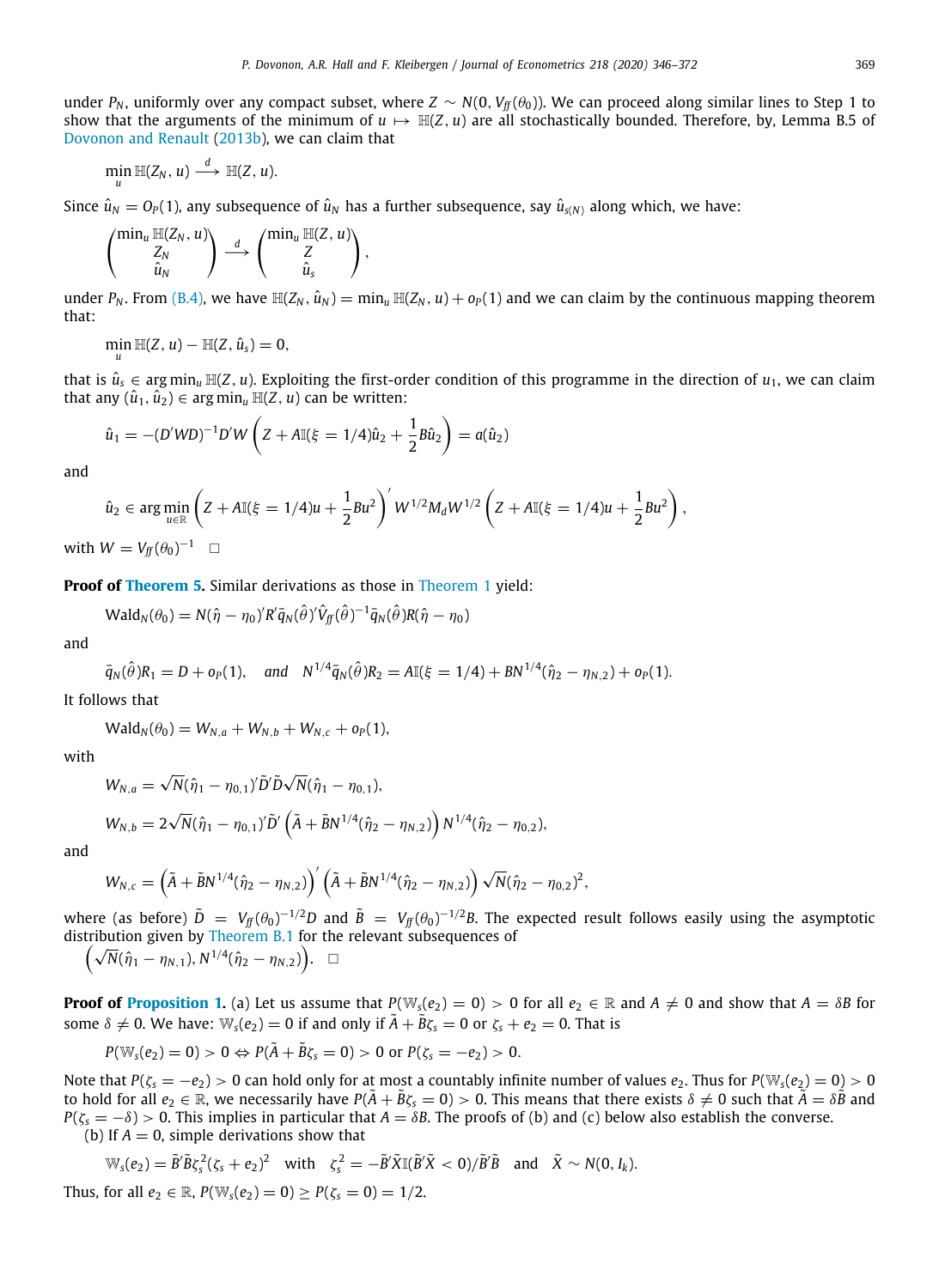under  $P_N$ , uniformly over any compact subset, where  $Z \sim N(0, V_f(\theta_0))$ . We can proceed along similar lines to Step 1 to show that the arguments of the minimum of  $u \mapsto \mathbb{H}(Z, u)$  are all stochastically bounded. Therefore, by, Lemma B.5 of [Dovonon and Renault](#page-27-34) [\(2013b](#page-27-34)), we can claim that

$$
\min_u \mathbb{H}(Z_N, u) \stackrel{d}{\longrightarrow} \mathbb{H}(Z, u).
$$

Since  $\hat{u}_N = O_P(1)$ , any subsequence of  $\hat{u}_N$  has a further subsequence, say  $\hat{u}_{S(N)}$  along which, we have:

$$
\begin{pmatrix} \min_u \mathbb{H}(Z_N, u) \\ Z_N \\ \hat{u}_N \end{pmatrix} \stackrel{d}{\longrightarrow} \begin{pmatrix} \min_u \mathbb{H}(Z, u) \\ Z \\ \hat{u}_s \end{pmatrix},
$$

under  $P_N$ . From [\(B.4\)](#page-23-2), we have  $\mathbb{H}(Z_N, \hat{u}_N) = \min_u \mathbb{H}(Z_N, u) + o_P(1)$  and we can claim by the continuous mapping theorem that:

$$
\min_{u} \mathbb{H}(Z, u) - \mathbb{H}(Z, \hat{u}_s) = 0,
$$

that is  $\hat{u}_s \in \arg \min_u \mathbb{H}(Z, u)$ . Exploiting the first-order condition of this programme in the direction of  $u_1$ , we can claim that any  $(\hat{u}_1, \hat{u}_2) \in \arg\min_u \mathbb{H}(Z, u)$  can be written:

$$
\hat{u}_1 = -(D'WD)^{-1}D'W\left(Z + A\mathbb{I}(\xi = 1/4)\hat{u}_2 + \frac{1}{2}B\hat{u}_2\right) = a(\hat{u}_2)
$$

and

$$
\hat{u}_2 \in \arg\min_{u \in \mathbb{R}} \left( Z + A \mathbb{I}(\xi = 1/4)u + \frac{1}{2}Bu^2 \right)' W^{1/2} M_d W^{1/2} \left( Z + A \mathbb{I}(\xi = 1/4)u + \frac{1}{2}Bu^2 \right),
$$
  
with  $W = V_{ff}(\theta_0)^{-1} \quad \Box$ 

**Proof of [Theorem](#page-11-2) [5](#page-11-2).** Similar derivations as those in [Theorem](#page-8-3) [1](#page-8-3) yield:

$$
\text{Wald}_N(\theta_0) = N(\hat{\eta} - \eta_0)' R' \bar{q}_N(\hat{\theta})' \hat{V}_{ff}(\hat{\theta})^{-1} \bar{q}_N(\hat{\theta}) R(\hat{\eta} - \eta_0)
$$

$$
\quad \text{and} \quad
$$

$$
\bar{q}_N(\hat{\theta})R_1 = D + o_P(1), \quad \text{and} \quad N^{1/4}\bar{q}_N(\hat{\theta})R_2 = A\mathbb{I}(\xi = 1/4) + BN^{1/4}(\hat{\eta}_2 - \eta_{N,2}) + o_P(1).
$$

It follows that

$$
Wald_N(\theta_0) = W_{N,a} + W_{N,b} + W_{N,c} + o_P(1),
$$

with

$$
W_{N,a} = \sqrt{N}(\hat{\eta}_1 - \eta_{0,1})'\tilde{D}'\tilde{D}\sqrt{N}(\hat{\eta}_1 - \eta_{0,1}),
$$

$$
W_{N,b} = 2\sqrt{N}(\hat{\eta}_1 - \eta_{0,1})'\tilde{D}'\left(\tilde{A} + \tilde{B}N^{1/4}(\hat{\eta}_2 - \eta_{N,2})\right)N^{1/4}(\hat{\eta}_2 - \eta_{0,2}),
$$

and

$$
W_{N,c} = \left(\tilde{A} + \tilde{B}N^{1/4}(\hat{\eta}_2 - \eta_{N,2})\right)' \left(\tilde{A} + \tilde{B}N^{1/4}(\hat{\eta}_2 - \eta_{N,2})\right) \sqrt{N}(\hat{\eta}_2 - \eta_{0,2})^2,
$$

where (as before)  $\tilde{D} = V_f(f(\theta_0)^{-1/2}D$  and  $\tilde{B} = V_f(f(\theta_0)^{-1/2}B)$ . The expected result follows easily using the asymptotic distribution given by [Theorem](#page-22-0) [B.1](#page-22-0) for the relevant subsequences of

$$
(\sqrt{N}(\hat{\eta}_1-\eta_{N,1}),N^{1/4}(\hat{\eta}_2-\eta_{N,2}))\ . \ \ \Box
$$

**Proof of [Proposition](#page-12-0) [1](#page-12-0).** (a) Let us assume that  $P(\mathbb{W}_s(e_2) = 0) > 0$  for all  $e_2 \in \mathbb{R}$  and  $A \neq 0$  and show that  $A = \delta B$  for some  $\delta \neq 0$ . We have:  $\mathbb{W}_s(e_2) = 0$  if and only if  $\tilde{A} + \tilde{B}\zeta_s = 0$  or  $\zeta_s + e_2 = 0$ . That is

$$
P(\mathbb{W}_{s}(e_2)=0)>0 \Leftrightarrow P(\tilde{A}+\tilde{B}\zeta_s=0)>0 \text{ or } P(\zeta_s=-e_2)>0.
$$

Note that  $P(\zeta_s = -e_2) > 0$  can hold only for at most a countably infinite number of values  $e_2$ . Thus for  $P(\mathbb{W}_s(e_2) = 0) > 0$ to hold for all  $e_2 \in \mathbb{R}$ , we necessarily have  $P(\overline{A} + \overline{B}\zeta_s = 0) > 0$ . This means that there exists  $\delta \neq 0$  such that  $\overline{A} = \delta \overline{B}$  and  $P(\zeta_s = -\delta) > 0$ . This implies in particular that  $A = \delta B$ . The proofs of (b) and (c) below also establish the converse. (b) If  $A = 0$ , simple derivations show that

$$
\mathbb{W}_{s}(e_2) = \tilde{B}'\tilde{B}\zeta_s^2(\zeta_s + e_2)^2 \quad \text{with} \quad \zeta_s^2 = -\tilde{B}'\tilde{X}\mathbb{I}(\tilde{B}'\tilde{X} < 0)/\tilde{B}'\tilde{B} \quad \text{and} \quad \tilde{X} \sim N(0, I_k).
$$
\n
$$
\text{for all } e_1 \in \mathbb{R} \quad P(\mathbb{W}(e_1) = 0) > P(z_1 = 0) = 1/2
$$

Thus, for all 
$$
e_2 \in \mathbb{R}
$$
,  $P(\mathbb{W}_s(e_2) = 0) \ge P(\zeta_s = 0) = 1/2$ .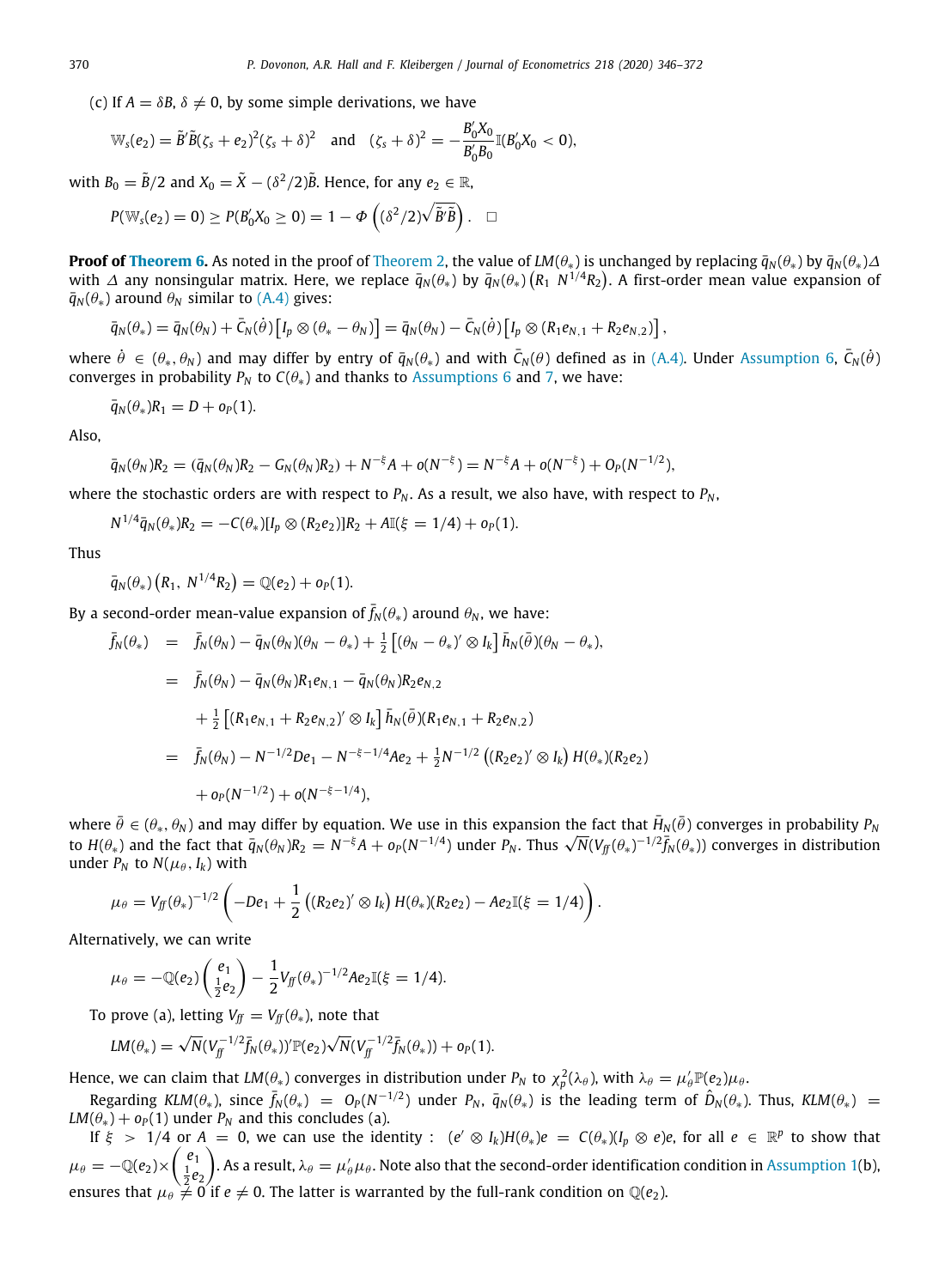(c) If  $A = \delta B$ ,  $\delta \neq 0$ , by some simple derivations, we have

$$
\mathbb{W}_{s}(e_2) = \tilde{B}'\tilde{B}(\zeta_{s} + e_2)^2(\zeta_{s} + \delta)^2 \quad \text{and} \quad (\zeta_{s} + \delta)^2 = -\frac{B'_0 X_0}{B'_0 B_0} \mathbb{I}(B'_0 X_0 < 0),
$$

with  $B_0 = \tilde{B}/2$  and  $X_0 = \tilde{X} - (\delta^2/2)\tilde{B}$ . Hence, for any  $e_2 \in \mathbb{R}$ ,

$$
P(\mathbb{W}_{s}(e_2) = 0) \ge P(B'_0 X_0 \ge 0) = 1 - \Phi\left((\delta^2/2)\sqrt{\tilde{B}'\tilde{B}}\right). \quad \Box
$$

**Proof of [Theorem](#page-9-0) [6.](#page-13-1)** As noted in the proof of Theorem [2](#page-9-0), the value of *LM*( $\theta_*$ ) is unchanged by replacing  $\bar{q}_N(\theta_*)$  by  $\bar{q}_N(\theta_*)\Delta$ with ∆ any nonsingular matrix. Here, we replace  $\bar q_N(\theta_*)$  by  $\bar q_N(\theta_*)(R_1\;N^{1/4}R_2).$  A first-order mean value expansion of  $\bar{q}_N(\theta_*)$  around  $\theta_N$  similar to [\(A.4](#page-21-0)) gives:

$$
\bar{q}_N(\theta_*) = \bar{q}_N(\theta_N) + \bar{C}_N(\dot{\theta}) \left[ I_p \otimes (\theta_* - \theta_N) \right] = \bar{q}_N(\theta_N) - \bar{C}_N(\dot{\theta}) \left[ I_p \otimes (R_1 e_{N,1} + R_2 e_{N,2}) \right],
$$

where  $\dot{\theta} \in (\theta_*,\theta_N)$  and may differ by entry of  $\bar q_N(\theta_*)$  and with  $\bar C_N(\theta)$  defined as in ([A.4\)](#page-21-0). Under [Assumption](#page-10-2) [6,](#page-10-2)  $\bar C_N(\dot{\theta})$ converges in probability  $P_N$  to  $C(\theta_*)$  and thanks to [Assumptions](#page-10-2) [6](#page-10-2) and [7](#page-10-1), we have:

$$
\bar{q}_N(\theta_*)R_1=D+o_P(1).
$$

Also,

$$
\bar{q}_N(\theta_N)R_2 = (\bar{q}_N(\theta_N)R_2 - G_N(\theta_N)R_2) + N^{-\xi}A + o(N^{-\xi}) = N^{-\xi}A + o(N^{-\xi}) + O_P(N^{-1/2}),
$$

where the stochastic orders are with respect to  $P_N$ . As a result, we also have, with respect to  $P_N$ ,

 $N^{1/4}\bar{q}_N(\theta_*)R_2 = -C(\theta_*)[I_p \otimes (R_2e_2)]R_2 + A\mathbb{I}(\xi = 1/4) + o_P(1).$ 

Thus

$$
\bar{q}_{N}(\theta_{*})\left(R_{1},\ N^{1/4}R_{2}\right)=\mathbb{Q}(e_{2})+o_{P}(1).
$$

By a second-order mean-value expansion of  $\bar{f}_N(\theta_*)$  around  $\theta_N$ , we have:

$$
\begin{array}{rcl}\n\bar{f}_{N}(\theta_{*}) & = & \bar{f}_{N}(\theta_{N}) - \bar{q}_{N}(\theta_{N})(\theta_{N} - \theta_{*}) + \frac{1}{2} \left[ (\theta_{N} - \theta_{*})' \otimes I_{k} \right] \bar{h}_{N}(\bar{\theta})(\theta_{N} - \theta_{*}), \\
& = & \bar{f}_{N}(\theta_{N}) - \bar{q}_{N}(\theta_{N})R_{1}e_{N,1} - \bar{q}_{N}(\theta_{N})R_{2}e_{N,2} \\
& & + \frac{1}{2} \left[ (R_{1}e_{N,1} + R_{2}e_{N,2})' \otimes I_{k} \right] \bar{h}_{N}(\bar{\theta})(R_{1}e_{N,1} + R_{2}e_{N,2}) \\
& = & \bar{f}_{N}(\theta_{N}) - N^{-1/2}De_{1} - N^{-\xi - 1/4}Ae_{2} + \frac{1}{2}N^{-1/2} \left( (R_{2}e_{2})' \otimes I_{k} \right) H(\theta_{*})(R_{2}e_{2}) \\
& & + o_{P}(N^{-1/2}) + o(N^{-\xi - 1/4}),\n\end{array}
$$

where  $\bar{\theta}\in(\theta_*,\theta_N)$  and may differ by equation. We use in this expansion the fact that  $\bar H_N(\bar\theta)$  converges in probability  $P_N$ where  $\theta \in (\theta_*,\theta_N)$  and may differ by equation. We use in this expansion the fact that  $H_N(\theta)$  converges in probability  $P_N$ <br>to  $H(\theta_*)$  and the fact that  $\bar q_N(\theta_N) R_2 = N^{-\xi} A + o_P(N^{-1/4})$  under  $P_N$ . Thus  $\sqrt N (V_{ff}(\theta_*)^{-1/2} \$ under  $P_N$  to  $N(\mu_\theta, I_k)$  with

$$
\mu_{\theta} = V_{\text{ff}}(\theta_*)^{-1/2} \left( -De_1 + \frac{1}{2} \left( (R_2 e_2)' \otimes I_k \right) H(\theta_*) (R_2 e_2) - Ae_2 \mathbb{I}(\xi = 1/4) \right).
$$

Alternatively, we can write

$$
\mu_{\theta} = -\mathbb{Q}(e_2) \begin{pmatrix} e_1 \\ \frac{1}{2}e_2 \end{pmatrix} - \frac{1}{2} V_{\text{ff}}(\theta_*)^{-1/2} A e_2 \mathbb{I}(\xi = 1/4).
$$

To prove (a), letting  $V_f = V_f(\theta_*)$ , note that

$$
LM(\theta_*) = \sqrt{N}(V_{ff}^{-1/2} \bar{f}_N(\theta_*))' \mathbb{P}(e_2) \sqrt{N}(V_{ff}^{-1/2} \bar{f}_N(\theta_*)) + o_P(1).
$$

Hence, we can claim that  $LM(\theta_*)$  converges in distribution under  $P_N$  to  $\chi_p^2(\lambda_\theta)$ , with  $\lambda_\theta=\mu'_\theta\mathbb{P}(e_2)\mu_\theta$ .

 $\text{Regarding } KLM(\theta_*)$ , since  $\bar{f}_N(\theta_*) = O_P(N^{-1/2})$  under  $P_N$ ,  $\bar{q}_N(\theta_*)$  is the leading term of  $\hat{D}_N(\theta_*)$ . Thus,  $KLM(\theta_*) =$ *LM*( $\theta_*$ ) +  $o_P(1)$  under  $P_N$  and this concludes (a).

If  $\xi > 1/4$  or  $A = 0$ , we can use the identity :  $(e' \otimes I_k)H(\theta_*)e = C(\theta_*)(I_p \otimes e)e$ , for all  $e \in \mathbb{R}^p$  to show that  $\mu_\theta = -\mathbb{Q}(e_2) \times \begin{pmatrix} e_1 \ \frac{1}{2}e_2 \end{pmatrix}$ ). As a result,  $\lambda_{\theta} = \mu'_{\theta} \mu_{\theta}$ . Note also that the second-order identification condition in [Assumption](#page-4-3) [1\(](#page-4-3)b), ensures that  $\mu_\theta \neq 0$  if  $e \neq 0$ . The latter is warranted by the full-rank condition on  $\mathbb{Q}(e_2)$ .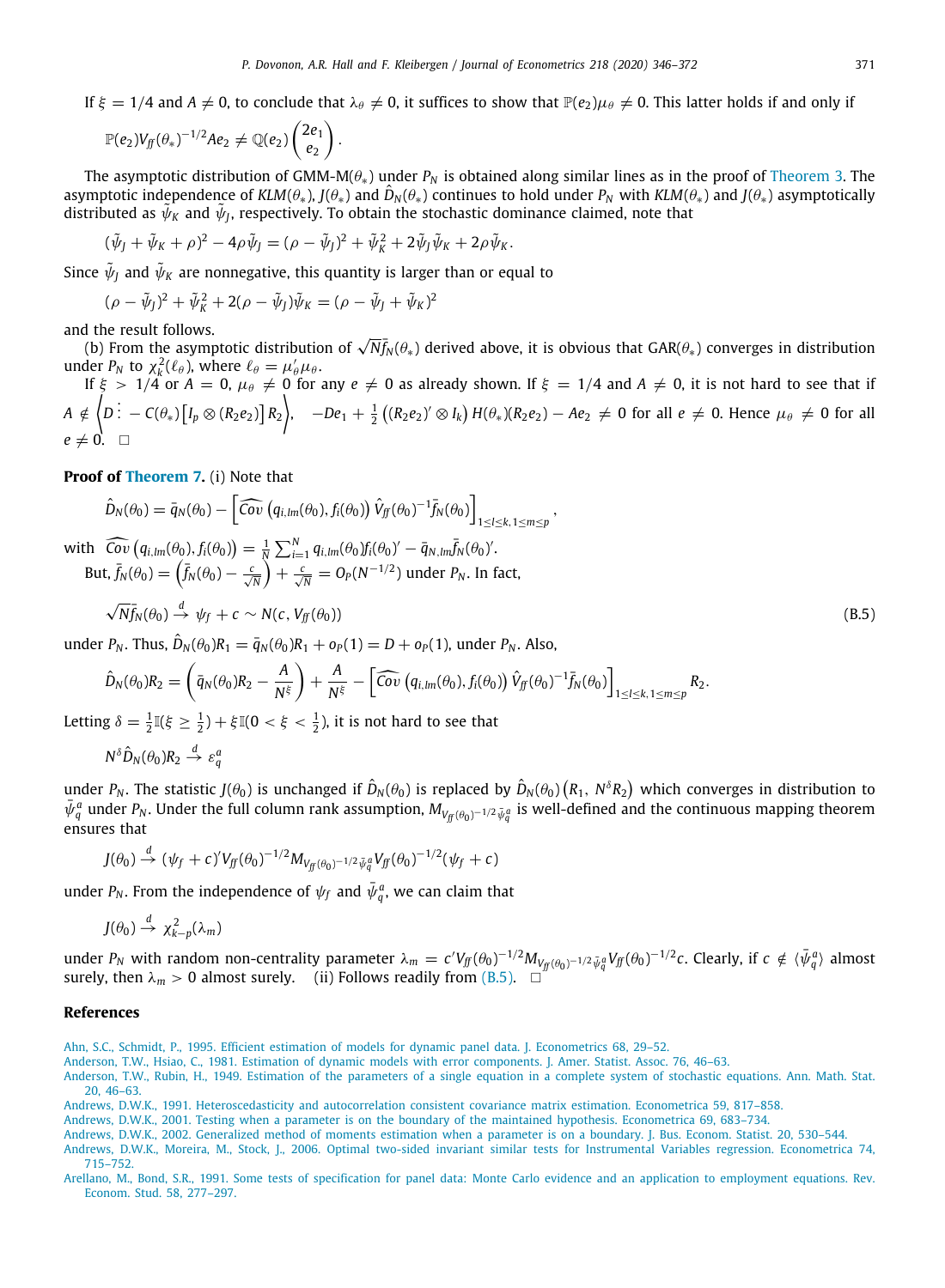If  $\xi = 1/4$  and  $A \neq 0$ , to conclude that  $\lambda_{\theta} \neq 0$ , it suffices to show that  $\mathbb{P}(e_2)\mu_{\theta} \neq 0$ . This latter holds if and only if

$$
\mathbb{P}(e_2)V_{ff}(\theta_*)^{-1/2}Ae_2\neq \mathbb{Q}(e_2)\begin{pmatrix}2e_1\\e_2\end{pmatrix}.
$$

The asymptotic distribution of GMM-M(θ∗) under *P<sup>N</sup>* is obtained along similar lines as in the proof of [Theorem](#page-9-1) [3.](#page-9-1) The asymptotic independence of *KLM*( $\theta_*$ ), *J*( $\theta_*$ ) and  $\hat{D}_N(\theta_*)$  continues to hold under  $P_N$  with *KLM*( $\theta_*$ ) and *J*( $\theta_*$ ) asymptotically distributed as  $\tilde{\psi}_K$  and  $\tilde{\psi}_J$ , respectively. To obtain the stochastic dominance claimed, note that

$$
(\tilde{\psi}_J + \tilde{\psi}_K + \rho)^2 - 4\rho \tilde{\psi}_J = (\rho - \tilde{\psi}_J)^2 + \tilde{\psi}_K^2 + 2\tilde{\psi}_J \tilde{\psi}_K + 2\rho \tilde{\psi}_K.
$$

Since  $\tilde{\psi}_J$  and  $\tilde{\psi}_K$  are nonnegative, this quantity is larger than or equal to

$$
(\rho - \tilde{\psi}_J)^2 + \tilde{\psi}_K^2 + 2(\rho - \tilde{\psi}_J)\tilde{\psi}_K = (\rho - \tilde{\psi}_J + \tilde{\psi}_K)^2
$$

and the result follows.

1 the result follows.<br>(b) From the asymptotic distribution of  $\sqrt{N f_{N}(\theta_{*})}$  derived above, it is obvious that GAR( $\theta_{*}$ ) converges in distribution under  $P_N$  to  $\chi_k^2(\ell_\theta)$ , where  $\ell_\theta = \mu'_\theta \mu_\theta$ .

If  $\xi\,=\,1/4$  or  $A\,=\,0, \,\mu_\theta\,\neq\,0$  for any  $e\,\neq\,0$  as already shown. If  $\xi\,=\,1/4$  and  $A\,\neq\,0,$  it is not hard to see that if  $A \notin \Big\{ D \ \vdots \ - \ C(\theta_*) \big[ I_p \otimes (R_2 e_2) \big] \, R_2 \Big\}, \quad -De_1 + \tfrac{1}{2} \left( (R_2 e_2)^\prime \otimes I_k \right) H(\theta_*) (R_2 e_2) \ - \ A e_2 \ \neq \ 0 \, \text{ for all } e \ \neq \ 0. \,\, \text{Hence} \,\, \mu_\theta \ \neq \ 0 \,\, \text{for all} \,\, \theta_0 \in \mathbb{R}^3.$  $e \neq 0$ .  $\square$ 

**Proof of [Theorem](#page-14-1) [7](#page-14-1).** (i) Note that

$$
\hat{D}_N(\theta_0) = \bar{q}_N(\theta_0) - \left[\widehat{Cov}\left(q_{i,lm}(\theta_0), f_i(\theta_0)\right) \hat{V}_{ff}(\theta_0)^{-1} \bar{f}_N(\theta_0)\right]_{1 \leq l \leq k, 1 \leq m \leq p},
$$

with  $\widehat{Cov}(q_{i,lm}(\theta_0), f_i(\theta_0)) = \frac{1}{N} \sum_{i=1}^{N} q_{i,lm}(\theta_0) f_i(\theta_0)' - \overline{q}_{N,lm} \overline{f}_N(\theta_0)'$ .  ${\rm But,} \ \bar{f}_N(\theta_0) = \left(\bar{f}_N(\theta_0) - \frac{c}{\sqrt{N}}\right) + \frac{c}{\sqrt{N}} = O_P(N^{-1/2})$  under  $P_N.$  In fact,

<span id="page-26-8"></span>
$$
\sqrt{N} \bar{f}_N(\theta_0) \stackrel{d}{\to} \psi_f + c \sim N(c, V_{ff}(\theta_0))
$$
\n(B.5)

under *<sup>P</sup><sup>N</sup>* . Thus, *<sup>D</sup>*ˆ *<sup>N</sup>* (θ0)*R*<sup>1</sup> = *q*¯*<sup>N</sup>* (θ0)*R*<sup>1</sup> + *o<sup>P</sup>* (1) = *D* + *o<sup>P</sup>* (1), under *P<sup>N</sup>* . Also,

$$
\hat{D}_N(\theta_0)R_2 = \left(\bar{q}_N(\theta_0)R_2 - \frac{A}{N^{\xi}}\right) + \frac{A}{N^{\xi}} - \left[\widehat{Cov}\left(q_{i,lm}(\theta_0), f_i(\theta_0)\right)\hat{V}_{ff}(\theta_0)^{-1}\bar{f}_N(\theta_0)\right]_{1 \leq l \leq k, 1 \leq m \leq p}R_2.
$$

Letting  $\delta = \frac{1}{2} \mathbb{I}(\xi \geq \frac{1}{2}) + \xi \mathbb{I}(0 < \xi < \frac{1}{2})$ , it is not hard to see that

$$
N^{\delta}\hat{D}_N(\theta_0)R_2 \stackrel{d}{\rightarrow} \varepsilon_q^a
$$

under  $P_N.$  The statistic  $J(\theta_0)$  is unchanged if  $\hat{D}_N(\theta_0)$  is replaced by  $\hat{D}_N(\theta_0)\left(R_1,~N^\delta R_2\right)$  which converges in distribution to  $\bar{\psi}_q^a$  under *P<sub>N</sub>*. Under the full column rank assumption,  $M_{V_f^c(\theta_0)^{-1/2}\bar{\psi}_q^a}$  is well-defined and the continuous mapping theorem ensures that

$$
J(\theta_0) \stackrel{d}{\rightarrow} (\psi_f + c)' V_{ff}(\theta_0)^{-1/2} M_{V_{ff}(\theta_0)^{-1/2} \bar{\psi}_q} V_{ff}(\theta_0)^{-1/2} (\psi_f + c)
$$

under  $P_N.$  From the independence of  $\psi_f$  and  $\bar\psi_q^{\,a}$ , we can claim that

$$
J(\theta_0) \stackrel{d}{\rightarrow} \chi^2_{k-p}(\lambda_m)
$$

under  $P_N$  with random non-centrality parameter  $\lambda_m = c'V_\text{ff}(\theta_0)^{-1/2} M_{V_\text{ff}(\theta_0)^{-1/2} \bar{\psi}_q^a} V_\text{ff}(\theta_0)^{-1/2} c$ . Clearly, if  $c \notin \langle \bar{\psi}_q^a \rangle$  almost surely, then  $\lambda_m > 0$  almost surely. (ii) Follows readily from ([B.5\)](#page-26-8).  $\Box$ 

### **References**

<span id="page-26-7"></span><span id="page-26-2"></span>[Andrews, D.W.K., 2002. Generalized method of moments estimation when a parameter is on a boundary. J. Bus. Econom. Statist. 20, 530–544.](http://refhub.elsevier.com/S0304-4076(20)30140-8/sb6) [Andrews, D.W.K., Moreira, M., Stock, J., 2006. Optimal two-sided invariant similar tests for Instrumental Variables regression. Econometrica 74,](http://refhub.elsevier.com/S0304-4076(20)30140-8/sb7)

[715–752.](http://refhub.elsevier.com/S0304-4076(20)30140-8/sb7)

<span id="page-26-5"></span>[Ahn, S.C., Schmidt, P., 1995. Efficient estimation of models for dynamic panel data. J. Econometrics 68, 29–52.](http://refhub.elsevier.com/S0304-4076(20)30140-8/sb1)

<span id="page-26-3"></span>[Anderson, T.W., Hsiao, C., 1981. Estimation of dynamic models with error components. J. Amer. Statist. Assoc. 76, 46–63.](http://refhub.elsevier.com/S0304-4076(20)30140-8/sb2)

<span id="page-26-0"></span>[Anderson, T.W., Rubin, H., 1949. Estimation of the parameters of a single equation in a complete system of stochastic equations. Ann. Math. Stat.](http://refhub.elsevier.com/S0304-4076(20)30140-8/sb3) [20, 46–63.](http://refhub.elsevier.com/S0304-4076(20)30140-8/sb3)

<span id="page-26-6"></span>[Andrews, D.W.K., 1991. Heteroscedasticity and autocorrelation consistent covariance matrix estimation. Econometrica 59, 817–858.](http://refhub.elsevier.com/S0304-4076(20)30140-8/sb4)

<span id="page-26-1"></span>[Andrews, D.W.K., 2001. Testing when a parameter is on the boundary of the maintained hypothesis. Econometrica 69, 683–734.](http://refhub.elsevier.com/S0304-4076(20)30140-8/sb5)

<span id="page-26-4"></span>[Arellano, M., Bond, S.R., 1991. Some tests of specification for panel data: Monte Carlo evidence and an application to employment equations. Rev.](http://refhub.elsevier.com/S0304-4076(20)30140-8/sb8) [Econom. Stud. 58, 277–297.](http://refhub.elsevier.com/S0304-4076(20)30140-8/sb8)